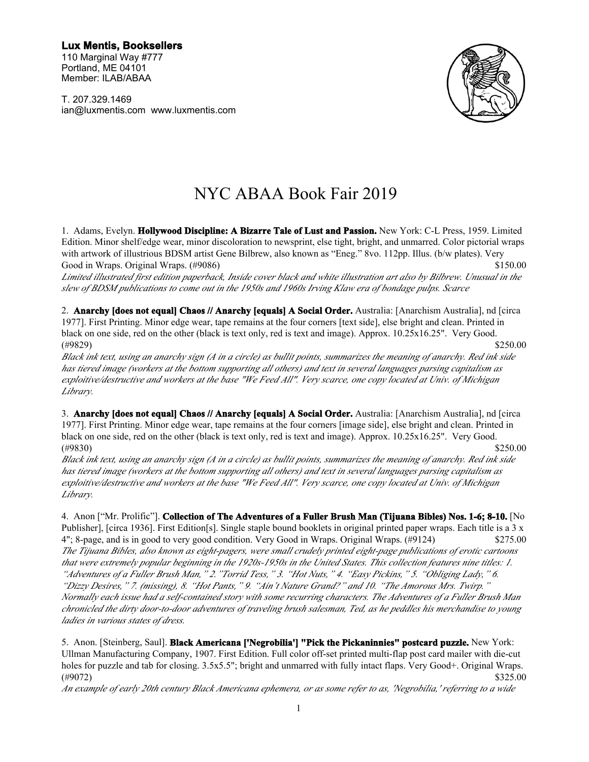**Lux Mentis, Booksellers**

110 Marginal Way #777 Portland, ME 04101 Member: ILAB/ABAA

T. 207.329.1469 ian@luxmentis.com www.luxmentis.com



# NYC ABAA Book Fair 2019

1. Adams, Evelyn. **Hollywood Discipline: A Bizarre Tale of Lust and Passion.** New York: C-L Press, 1959. Limited Edition. Minor shelf/edge wear, minor discoloration to newsprint, else tight, bright, and unmarred. Color pictorial wraps with artwork of illustrious BDSM artist Gene Bilbrew, also known as "Eneg." 8vo. 112pp. Illus. (b/w plates). Very Good in Wraps. Original Wraps. (#9086) \$150.00

*Limited illustrated first edition paperback, Inside cover black and white illustration art also by Bilbrew. Unusual in the slew of BDSM publications to come out in the 1950s and 1960s Irving Klaw era of bondage pulps. Scarce*

2. **Anarchy [does not equal] Chaos // Anarchy [equals] A Social Order.** Australia: [Anarchism Australia], nd [circa 1977]. First Printing. Minor edge wear, tape remains at the four corners [text side], else bright and clean. Printed in black on one side, red on the other (black is text only, red is text and image). Approx. 10.25x16.25". Very Good. (#9829) \$250.00

*Black ink text, using an anarchy sign (A in a circle) as bullit points, summarizes the meaning of anarchy. Red ink side has tiered image (workers at the bottom supporting all others) and text in several languages parsing capitalism as exploitive/destructive and workers at the base "We Feed All". Very scarce, one copy located at Univ. of Michigan Library.*

3. **Anarchy [does not equal] Chaos // Anarchy [equals] A Social Order.** Australia: [Anarchism Australia], nd [circa 1977]. First Printing. Minor edge wear, tape remains at the four corners [image side], else bright and clean. Printed in black on one side, red on the other (black is text only, red is text and image). Approx. 10.25x16.25". Very Good. (#9830) \$250.00

*Black ink text, using an anarchy sign (A in a circle) as bullit points, summarizes the meaning of anarchy. Red ink side has tiered image (workers at the bottom supporting all others) and text in several languages parsing capitalism as exploitive/destructive and workers at the base "We Feed All". Very scarce, one copy located at Univ. of Michigan Library.*

4. Anon ["Mr. Prolific"]. **Collection of The Adventures of a Fuller Brush Man (Tijuana Bibles) Nos. 1-6; 8-10.** [No Publisher], [circa 1936]. First Edition[s]. Single staple bound booklets in original printed paper wraps. Each title is a 3 x 4"; 8-page, and is in good to very good condition. Very Good in Wraps. Original Wraps. (#9124) \$275.00 *The Tijuana Bibles, also known as eight-pagers, were small crudely printed eight-page publications of erotic cartoons that were extremely popular beginning in the 1920s-1950s in the United States. This collection features nine titles: 1. "Adventures of a Fuller Brush Man," 2."Torrid Tess," 3. "Hot Nuts," 4. "Easy Pickins," 5. "Obliging Lady," 6. "Dizzy Desires," 7. (missing), 8. "Hot Pants," 9. "Ain't Nature Grand?" and 10. "The Amorous Mrs. Twirp." Normally each issue had a self-contained story with some recurring characters. The Adventures of a Fuller Brush Man chronicled the dirty door-to-door adventures of traveling brush salesman, Ted, as he peddles his merchandise to young ladies in various states of dress.*

5. Anon. [Steinberg, Saul]. **Black Americana ['Negrobilia'] "Pick the Pickaninnies" postcard puzzle.** New York: Ullman Manufacturing Company, 1907. First Edition. Full color off-set printed multi-flap post card mailer with die-cut holes for puzzle and tab for closing. 3.5x5.5"; bright and unmarred with fully intact flaps. Very Good+. Original Wraps.  $(#9072)$  \$325.00

*An example of early 20th century Black Americana ephemera, or as some refer to as, 'Negrobilia,' referring to a wide*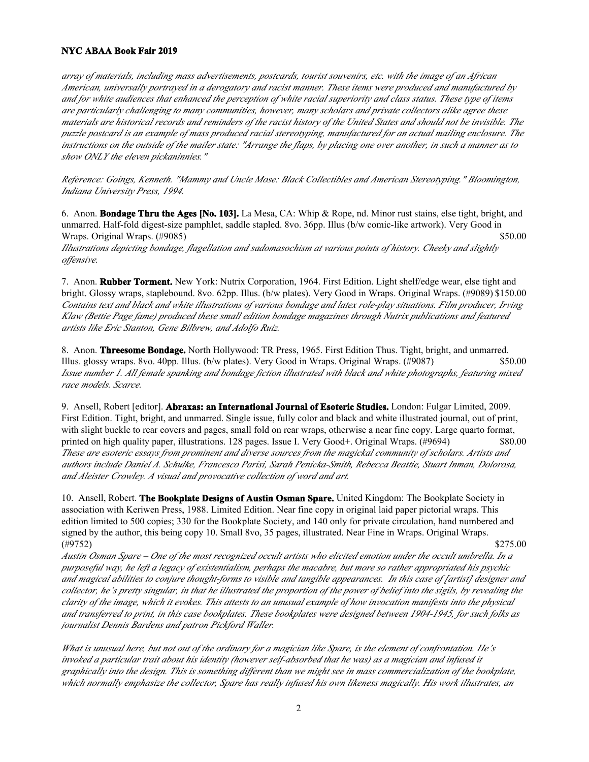*array of materials, including mass advertisements, postcards, tourist souvenirs, etc. with the image of an African American, universally portrayed in a derogatory and racist manner. These items were produced and manufactured by and for white audiences that enhanced the perception of white racial superiority and class status. These type of items are particularly challenging to many communities, however, many scholars and private collectors alike agree these materials are historical records and reminders of the racist history of the United States and should not be invisible. The puzzle postcard is an example of mass produced racial stereotyping, manufactured for an actual mailing enclosure. The instructions on the outside of the mailer state: "Arrange the flaps, by placing one over another, in such a manner as to show ONLY the eleven pickaninnies."*

*Reference: Goings, Kenneth. "Mammy and Uncle Mose: Black Collectibles and American Stereotyping." Bloomington, Indiana University Press, 1994.*

6. Anon. **Bondage Thru the Ages [No. 103].** La Mesa, CA: Whip & Rope, nd. Minor rust stains, else tight, bright, and unmarred. Half-fold digest-size pamphlet, saddle stapled. 8vo. 36pp. Illus (b/w comic-like artwork). Very Good in Wraps. Original Wraps. (#9085)  $$50.00$ 

*Illustrations depicting bondage, flagellation and sadomasochism at various points of history. Cheeky and slightly offensive.*

7. Anon. **Rubber Torment.** New York: Nutrix Corporation, 1964. First Edition. Light shelf/edge wear, else tight and bright. Glossy wraps, staplebound. 8vo. 62pp. Illus. (b/w plates). Very Good in Wraps. Original Wraps. (#9089) \$150.00 *Contains text and black and white illustrations of various bondage and latex role-play situations. Film producer, Irving Klaw (Bettie Page fame) produced these small edition bondage magazines through Nutrix publications and featured artists like Eric Stanton, Gene Bilbrew, and Adolfo Ruiz.*

8. Anon. **Threesome Bondage.** North Hollywood: TR Press, 1965. First Edition Thus. Tight, bright, and unmarred. Illus. glossy wraps. 8vo. 40pp. Illus. (b/w plates). Very Good in Wraps. Original Wraps. (#9087) \$50.00 *Issue number 1. All female spanking and bondage fiction illustrated with black and white photographs, featuring mixed race models. Scarce.*

9. Ansell, Robert [editor]. **Abraxas: an International Journal of Esoteric Studies.** London: Fulgar Limited, 2009. First Edition. Tight, bright, and unmarred. Single issue, fully color and black and white illustrated journal, out of print, with slight buckle to rear covers and pages, small fold on rear wraps, otherwise a near fine copy. Large quarto format, printed on high quality paper, illustrations. 128 pages. Issue I. Very Good+. Original Wraps. (#9694) \$80.00 *These are esoteric essays from prominent and diverse sources from the magickal community of scholars. Artists and authors include Daniel A. Schulke, Francesco Parisi, Sarah Penicka-Smith, Rebecca Beattie, Stuart Inman, Dolorosa, and Aleister Crowley. A visual and provocative collection of word and art.*

10. Ansell, Robert. **The Bookplate Designs of Austin Osman Spare.** United Kingdom: The Bookplate Society in association with Keriwen Press, 1988. Limited Edition. Near fine copy in original laid paper pictorial wraps. This edition limited to 500 copies; 330 for the Bookplate Society, and 140 only for private circulation, hand numbered and signed by the author, this being copy 10. Small 8vo, 35 pages, illustrated. Near Fine in Wraps. Original Wraps. (#9752) \$275.00

*Austin Osman Spare – One of the most recognized occult artists who elicited emotion under the occult umbrella. In a purposeful way, he left a legacy of existentialism, perhaps the macabre, but more so rather appropriated his psychic and magical abilities to conjure thought-forms to visible and tangible appearances. In this case of [artist] designer and collector, he's pretty singular, in that he illustrated the proportion of the power of belief into the sigils, by revealing the clarity of the image, which it evokes. This attests to an unusual example of how invocation manifests into the physical and transferred to print, in this case bookplates. These bookplates were designed between 1904-1945, for such folks as journalist Dennis Bardens and patron Pickford Waller.*

*What is unusual here, but not out of the ordinary for a magician like Spare, is the element of confrontation. He's invoked a particular trait about his identity (however self-absorbed that he was) as a magician and infused it graphically into the design. This is something different than we might see in mass commercialization of the bookplate, which normally emphasize the collector, Spare has really infused his own likeness magically. His work illustrates, an*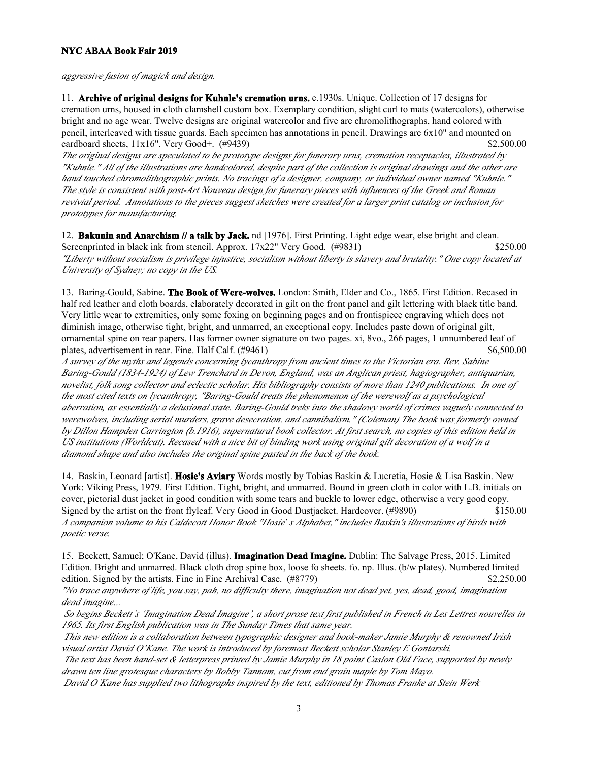*aggressive fusion of magick and design.*

11. **Archive of original designs for Kuhnle's cremation urns.** c.1930s. Unique. Collection of 17 designs for cremation urns, housed in cloth clamshell custom box. Exemplary condition, slight curl to mats (watercolors), otherwise bright and no age wear. Twelve designs are original watercolor and five are chromolithographs, hand colored with pencil, interleaved with tissue guards. Each specimen has annotations in pencil. Drawings are 6x10" and mounted on  $cardboard sheets, 11x16"$ . Very Good+.  $(\#9439)$  \$2,500.00

*The original designs are speculated to be prototype designs for funerary urns, cremation receptacles, illustrated by "Kuhnle." All of the illustrations are handcolored, despite part of the collection is original drawings and the other are hand touched chromolithographic prints. No tracings of a designer, company, or individual owner named "Kuhnle." The style is consistent with post-Art Nouveau design for funerary pieces with influences of the Greek and Roman revivial period. Annotations to the pieces suggest sketches were created for a larger print catalog or inclusion for prototypes for manufacturing.*

12. **Bakunin and Anarchism // a talk by Jack.** nd [1976]. First Printing. Light edge wear, else bright and clean. Screenprinted in black ink from stencil. Approx. 17x22" Very Good. (#9831) \$250.00 *"Liberty without socialism is privilege injustice, socialism without liberty is slavery and brutality." One copy located at University of Sydney; no copy in the US.*

13. Baring-Gould, Sabine. **The Book of Were-wolves.** London: Smith, Elder and Co., 1865. First Edition. Recased in half red leather and cloth boards, elaborately decorated in gilt on the front panel and gilt lettering with black title band. Very little wear to extremities, only some foxing on beginning pages and on frontispiece engraving which does not diminish image, otherwise tight, bright, and unmarred, an exceptional copy. Includes paste down of original gilt, ornamental spine on rear papers. Has former owner signature on two pages. xi, 8vo., 266 pages, 1 unnumbered leaf of plates, advertisement in rear. Fine. Half Calf. (#9461) \$6,500.00 \$6,500.00

*A survey of the myths and legends concerning lycanthropy from ancient times to the Victorian era. Rev. Sabine Baring-Gould (1834-1924) of Lew Trenchard in Devon, England, was an Anglican priest, hagiographer, antiquarian, novelist, folk song collector and eclectic scholar. His bibliography consists of more than 1240 publications. In one of the most cited texts on lycanthropy, "Baring-Gould treats the phenomenon of the werewolf as a psychological aberration, as essentially a delusional state. Baring-Gould treks into the shadowy world of crimes vaguely connected to werewolves, including serial murders, grave desecration, and cannibalism." (Coleman) The book was formerly owned by Dillon Hampden Carrington (b.1916), supernatural book collector. At first search, no copies of this edition held in US institutions (Worldcat). Recased with a nice bit of binding work using original gilt decoration of a wolf in a diamond shape and also includes the original spine pasted in the back of the book.*

14. Baskin, Leonard [artist]. **Hosie's Aviary** Words mostly by Tobias Baskin & Lucretia, Hosie & Lisa Baskin. New York: Viking Press, 1979. First Edition. Tight, bright, and unmarred. Bound in green cloth in color with L.B. initials on cover, pictorial dust jacket in good condition with some tears and buckle to lower edge, otherwise a very good copy. Signed by the artist on the front flyleaf. Very Good in Good Dustjacket. Hardcover. (#9890) \$150.00 *A companion volume to his Caldecott Honor Book "Hosies Alphabet," includes Baskin's illustrations of birds with poetic verse.*

15. Beckett, Samuel; O'Kane, David (illus). **Imagination Dead Imagine.** Dublin: The Salvage Press, 2015. Limited Edition. Bright and unmarred. Black cloth drop spine box, loose fo sheets. fo. np. Illus. (b/w plates). Numbered limited edition. Signed by the artists. Fine in Fine Archival Case. (#8779) \$2,250.00

*"No trace anywhere of life, you say, pah, no difficulty there, imagination not dead yet, yes, dead, good, imagination dead imagine...*

 *So begins Beckett's 'Imagination Dead Imagine', a short prose text first published in French in Les Lettres nouvelles in 1965. Its first English publication was in The Sunday Times that same year.*

 *This new edition is a collaboration between typographic designer and book-maker Jamie Murphy & renowned Irish visual artist David O'Kane. The work is introduced by foremost Beckett scholar Stanley E Gontarski.*

 *The text has been hand-set & letterpress printed by Jamie Murphy in 18 point Caslon Old Face, supported by newly drawn ten line grotesque characters by Bobby Tannam, cut from end grain maple by Tom Mayo.*

 *David O'Kane has supplied two lithographs inspired by the text, editioned by Thomas Franke at Stein Werk*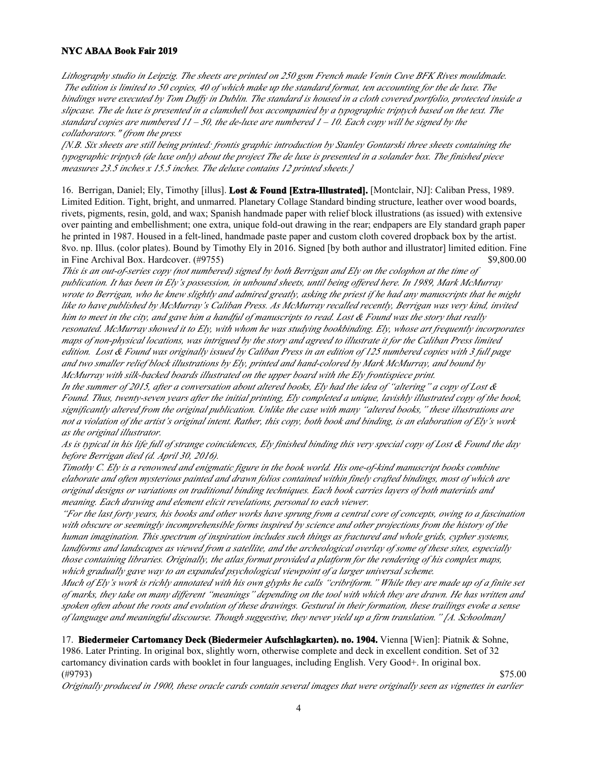*Lithography studio in Leipzig. The sheets are printed on 250 gsm French made Venin Cuve BFK Rives mouldmade. The edition is limited to 50 copies, 40 of which make up the standard format, ten accounting for the de luxe. The bindings were executed by Tom Duffy in Dublin. The standard is housed in a cloth covered portfolio, protected inside a slipcase. The de luxe is presented in a clamshell box accompanied by a typographic triptych based on the text. The standard copies are numbered 11 – 50, the de-luxe are numbered 1 – 10. Each copy will be signed by the collaborators." (from the press*

*[N.B. Six sheets are still being printed: frontis graphic introduction by Stanley Gontarski three sheets containing the typographic triptych (de luxe only) about the project The de luxe is presented in a solander box. The finished piece measures 23.5 inches x 15.5 inches. The deluxe contains 12 printed sheets.]*

16. Berrigan, Daniel; Ely, Timothy [illus]. **Lost & Found [Extra-Illustrated].** [Montclair, NJ]: Caliban Press, 1989. Limited Edition. Tight, bright, and unmarred. Planetary Collage Standard binding structure, leather over wood boards, rivets, pigments, resin, gold, and wax; Spanish handmade paper with relief block illustrations (as issued) with extensive over painting and embellishment; one extra, unique fold-out drawing in the rear; endpapers are Ely standard graph paper he printed in 1987. Housed in a felt-lined, handmade paste paper and custom cloth covered dropback box by the artist. 8vo. np. Illus. (color plates). Bound by Timothy Ely in 2016. Signed [by both author and illustrator] limited edition. Fine in Fine Archival Box. Hardcover. (#9755) \$9,800.00

*This is an out-of-series copy (not numbered) signed by both Berrigan and Ely on the colophon at the time of publication. It has been in Ely's possession, in unbound sheets, until being offered here. In 1989, Mark McMurray wrote to Berrigan, who he knew slightly and admired greatly, asking the priest if he had any manuscripts that he might like to have published by McMurray's Caliban Press. As McMurray recalled recently, Berrigan was very kind, invited him to meet in the city, and gave him a handful of manuscripts to read. Lost & Found was the story that really resonated. McMurray showed it to Ely, with whom he was studying bookbinding. Ely, whose art frequently incorporates maps of non-physical locations, was intrigued by the story and agreed to illustrate it for the Caliban Press limited edition. Lost & Found was originally issued by Caliban Press in an edition of 125 numbered copies with 3 full page and two smaller relief block illustrations by Ely, printed and hand-colored by Mark McMurray, and bound by McMurray with silk-backed boards illustrated on the upper board with the Ely frontispiece print.*

*In the summer of 2015, after a conversation about altered books, Ely had the idea of "altering" a copy of Lost & Found. Thus, twenty-seven years after the initial printing, Ely completed a unique, lavishly illustrated copy of the book, significantly altered from the original publication. Unlike the case with many "altered books," these illustrations are not a violation of the artist's original intent. Rather, this copy, both book and binding, is an elaboration of Ely's work as the original illustrator.*

*As is typical in his life full of strange coincidences, Ely finished binding this very special copy of Lost & Found the day before Berrigan died (d. April 30, 2016).*

*Timothy C. Ely is a renowned and enigmatic figure in the book world. His one-of-kind manuscript books combine elaborate and often mysterious painted and drawn folios contained within finely crafted bindings, most of which are original designs or variations on traditional binding techniques. Each book carries layers of both materials and meaning. Each drawing and element elicit revelations, personal to each viewer.*

*"For the last forty years, his books and other works have sprung from a central core of concepts, owing to a fascination with obscure or seemingly incomprehensible forms inspired by science and other projections from the history of the human imagination. This spectrum of inspiration includes such things as fractured and whole grids, cypher systems, landforms and landscapes as viewed from a satellite, and the archeological overlay of some of these sites, especially those containing libraries. Originally, the atlas format provided a platform for the rendering of his complex maps, which gradually gave way to an expanded psychological viewpoint of a larger universal scheme.*

*Much of Ely's work is richly annotated with his own glyphs he calls "cribriform." While they are made up of a finite set of marks, they take on many different "meanings" depending on the tool with which they are drawn. He has written and spoken often about the roots and evolution of these drawings. Gestural in their formation, these trailings evoke a sense of language and meaningful discourse. Though suggestive, they never yield up a firm translation." [A. Schoolman]*

17. **Biedermeier Cartomancy Deck (Biedermeier Aufschlagkarten). no. 1904.** Vienna [Wien]: Piatnik & Sohne, 1986. Later Printing. In original box, slightly worn, otherwise complete and deck in excellent condition. Set of 32 cartomancy divination cards with booklet in four languages, including English. Very Good+. In original box. (#9793) \$75.00

*Originally produced in 1900, these oracle cards contain several images that were originally seen as vignettes in earlier*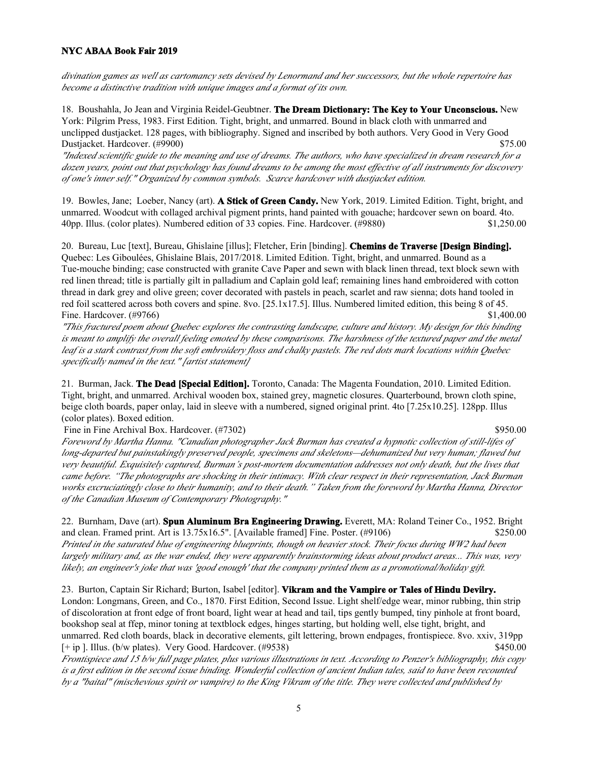*divination games as well as cartomancy sets devised by Lenormand and her successors, but the whole repertoire has become a distinctive tradition with unique images and a format of its own.*

18. Boushahla, Jo Jean and Virginia Reidel-Geubtner. **The Dream Dictionary: The Key to Your Unconscious.** New York: Pilgrim Press, 1983. First Edition. Tight, bright, and unmarred. Bound in black cloth with unmarred and unclipped dustjacket. 128 pages, with bibliography. Signed and inscribed by both authors. Very Good in Very Good Dustjacket. Hardcover. (#9900) \$75.00

*"Indexed scientific guide to the meaning and use of dreams. The authors, who have specialized in dream research for a dozen years, point out that psychology has found dreams to be among the most effective of all instruments for discovery of one's inner self." Organized by common symbols. Scarce hardcover with dustjacket edition.*

19. Bowles, Jane; Loeber, Nancy (art). **A Stick of Green Candy.** New York, 2019. Limited Edition. Tight, bright, and unmarred. Woodcut with collaged archival pigment prints, hand painted with gouache; hardcover sewn on board. 4to. 40pp. Illus. (color plates). Numbered edition of 33 copies. Fine. Hardcover. (#9880) \$1,250.00

20. Bureau, Luc [text], Bureau, Ghislaine [illus]; Fletcher, Erin [binding]. **Chemins de Traverse [Design Binding].** Quebec: Les Giboulées, Ghislaine Blais, 2017/2018. Limited Edition. Tight, bright, and unmarred. Bound as a Tue-mouche binding; case constructed with granite Cave Paper and sewn with black linen thread, text block sewn with red linen thread; title is partially gilt in palladium and Caplain gold leaf; remaining lines hand embroidered with cotton thread in dark grey and olive green; cover decorated with pastels in peach, scarlet and raw sienna; dots hand tooled in red foil scattered across both covers and spine. 8vo. [25.1x17.5]. Illus. Numbered limited edition, this being 8 of 45. Fine. Hardcover. (#9766) \$1,400.00

*"This fractured poem about Quebec explores the contrasting landscape, culture and history. My design for this binding is meant to amplify the overall feeling emoted by these comparisons. The harshness of the textured paper and the metal leaf is a stark contrast from the soft embroidery floss and chalky pastels. The red dots mark locations within Quebec specifically named in the text." [artist statement]*

21. Burman, Jack. **The Dead [Special Edition].** Toronto, Canada: The Magenta Foundation, 2010. Limited Edition. Tight, bright, and unmarred. Archival wooden box, stained grey, magnetic closures. Quarterbound, brown cloth spine, beige cloth boards, paper onlay, laid in sleeve with a numbered, signed original print. 4to [7.25x10.25]. 128pp. Illus (color plates). Boxed edition.

Fine in Fine Archival Box. Hardcover. (#7302) \$950.00

*Foreword by Martha Hanna. "Canadian photographer Jack Burman has created a hypnotic collection of still-lifes of long-departed but painstakingly preserved people, specimens and skeletons—dehumanized but very human; flawed but very beautiful. Exquisitely captured, Burman's post-mortem documentation addresses not only death, but the lives that came before. "The photographs are shocking in their intimacy. With clear respect in their representation, Jack Burman works excruciatingly close to their humanity, and to their death." Taken from the foreword by Martha Hanna, Director of the Canadian Museum of Contemporary Photography."*

22. Burnham, Dave (art). **Spun Aluminum Bra Engineering Drawing.** Everett, MA: Roland Teiner Co., 1952. Bright and clean. Framed print. Art is 13.75x16.5". [Available framed] Fine. Poster. (#9106) \$250.00 *Printed in the saturated blue of engineering blueprints, though on heavier stock. Their focus during WW2 had been largely military and, as the war ended, they were apparently brainstorming ideas about product areas... This was, very likely, an engineer's joke that was 'good enough' that the company printed them as a promotional/holiday gift.*

23. Burton, Captain Sir Richard; Burton, Isabel [editor]. **Vikram and the Vampire or Tales of Hindu Devilry.** London: Longmans, Green, and Co., 1870. First Edition, Second Issue. Light shelf/edge wear, minor rubbing, thin strip of discoloration at front edge of front board, light wear at head and tail, tips gently bumped, tiny pinhole at front board, bookshop seal at ffep, minor toning at textblock edges, hinges starting, but holding well, else tight, bright, and unmarred. Red cloth boards, black in decorative elements, gilt lettering, brown endpages, frontispiece. 8vo. xxiv, 319pp  $[-1]$  [+ ip ]. Illus. (b/w plates). Very Good. Hardcover. (#9538)  $$450.00$ 

*Frontispiece and 15 b/w full page plates, plus various illustrations in text. According to Penzer's bibliography, this copy is a first edition in the second issue binding. Wonderful collection of ancient Indian tales, said to have been recounted by a "baital" (mischevious spirit or vampire) to the King Vikram of the title. They were collected and published by*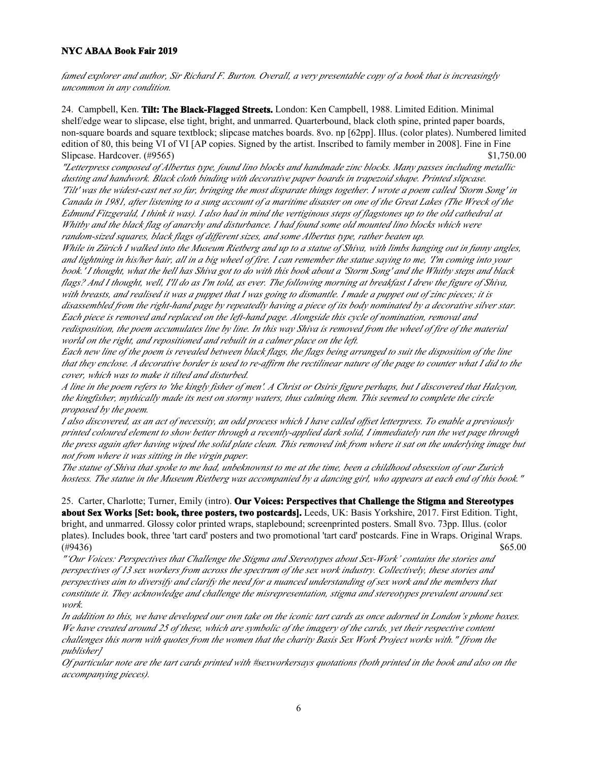*famed explorer and author, Sir Richard F. Burton. Overall, a very presentable copy of a book that is increasingly uncommon in any condition.*

24. Campbell, Ken. **Tilt: The Black-Flagged Streets.** London: Ken Campbell, 1988. Limited Edition. Minimal shelf/edge wear to slipcase, else tight, bright, and unmarred. Quarterbound, black cloth spine, printed paper boards, non-square boards and square textblock; slipcase matches boards. 8vo. np [62pp]. Illus. (color plates). Numbered limited edition of 80, this being VI of VI [AP copies. Signed by the artist. Inscribed to family member in 2008]. Fine in Fine Slipcase. Hardcover. (#9565) \$1,750.00

*"Letterpress composed of Albertus type, found lino blocks and handmade zinc blocks. Many passes including metallic dusting and handwork. Black cloth binding with decorative paper boards in trapezoid shape. Printed slipcase. 'Tilt' was the widest-cast net so far, bringing the most disparate things together. I wrote a poem called 'Storm Song' in Canada in 1981, after listening to a sung account of a maritime disaster on one of the Great Lakes (The Wreck of the Edmund Fitzgerald, I think it was). I also had in mind the vertiginous steps of flagstones up to the old cathedral at Whitby and the black flag of anarchy and disturbance. I had found some old mounted lino blocks which were random-sized squares, black flags of different sizes, and some Albertus type, rather beaten up.*

*While in Zürich I walked into the Museum Rietberg and up to a statue of Shiva, with limbs hanging out in funny angles, and lightning in his/her hair, all in a big wheel of fire. I can remember the statue saying to me, 'I'm coming into your book.' I thought, what the hell has Shiva got to do with this book about a 'Storm Song' and the Whitby steps and black flags? And I thought, well, I'll do as I'm told, as ever. The following morning at breakfast I drew the figure of Shiva, with breasts, and realised it was a puppet that I was going to dismantle. I made a puppet out of zinc pieces; it is disassembled from the right-hand page by repeatedly having a piece of its body nominated by a decorative silver star. Each piece is removed and replaced on the left-hand page. Alongside this cycle of nomination, removal and redisposition, the poem accumulates line by line. In this way Shiva is removed from the wheel of fire of the material world on the right, and repositioned and rebuilt in a calmer place on the left.*

*Each new line of the poem is revealed between black flags, the flags being arranged to suit the disposition of the line that they enclose. A decorative border is used to re-affirm the rectilinear nature of the page to counter what I did to the cover, which was to make it tilted and disturbed.*

*A line in the poem refers to 'the kingly fisher of men'. A Christ or Osiris figure perhaps, but I discovered that Halcyon, the kingfisher, mythically made its nest on stormy waters, thus calming them. This seemed to complete the circle proposed by the poem.*

*I also discovered, as an act of necessity, an odd process which I have called offset letterpress. To enable a previously printed coloured element to show better through a recently-applied dark solid, I immediately ran the wet page through the press again after having wiped the solid plate clean. This removed ink from where it sat on the underlying image but not from where it was sitting in the virgin paper.*

*The statue of Shiva that spoke to me had, unbeknownst to me at the time, been a childhood obsession of our Zurich hostess. The statue in the Museum Rietberg was accompanied by a dancing girl, who appears at each end of this book."*

25. Carter, Charlotte; Turner, Emily (intro). **Our Voices: Perspectives that Challenge the Stigma and Stereotypes about Sex Works [Set: book, three posters, two postcards].** Leeds, UK: Basis Yorkshire, 2017. First Edition. Tight, bright, and unmarred. Glossy color printed wraps, staplebound; screenprinted posters. Small 8vo. 73pp. Illus. (color plates). Includes book, three 'tart card' posters and two promotional 'tart card' postcards. Fine in Wraps. Original Wraps. (#9436) \$65.00

*"'Our Voices: Perspectives that Challenge the Stigma and Stereotypes about Sex-Work' contains the stories and perspectives of 13 sex workers from across the spectrum of the sex work industry. Collectively, these stories and perspectives aim to diversify and clarify the need for a nuanced understanding of sex work and the members that constitute it. They acknowledge and challenge the misrepresentation, stigma and stereotypes prevalent around sex work.*

*In addition to this, we have developed our own take on the iconic tart cards as once adorned in London's phone boxes. We have created around 25 of these, which are symbolic of the imagery of the cards, yet their respective content challenges this norm with quotes from the women that the charity Basis Sex Work Project works with." [from the publisher]*

*Of particular note are the tart cards printed with #sexworkersays quotations (both printed in the book and also on the accompanying pieces).*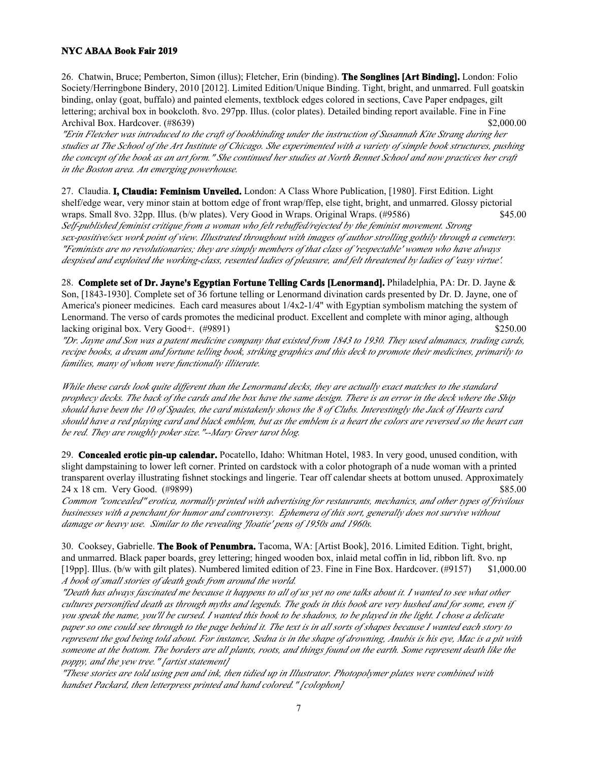26. Chatwin, Bruce; Pemberton, Simon (illus); Fletcher, Erin (binding). **The Songlines [Art Binding].** London: Folio Society/Herringbone Bindery, 2010 [2012]. Limited Edition/Unique Binding. Tight, bright, and unmarred. Full goatskin binding, onlay (goat, buffalo) and painted elements, textblock edges colored in sections, Cave Paper endpages, gilt lettering; archival box in bookcloth. 8vo. 297pp. Illus. (color plates). Detailed binding report available. Fine in Fine Archival Box. Hardcover. (#8639) \$2,000.00

*"Erin Fletcher was introduced to the craft of bookbinding under the instruction of Susannah Kite Strang during her studies at The School of the Art Institute of Chicago. She experimented with a variety of simple book structures, pushing the concept of the book as an art form." She continued her studies at North Bennet School and now practices her craft in the Boston area. An emerging powerhouse.*

27. Claudia. **I, Claudia: Feminism Unveiled.** London: A Class Whore Publication, [1980]. First Edition. Light shelf/edge wear, very minor stain at bottom edge of front wrap/ffep, else tight, bright, and unmarred. Glossy pictorial wraps. Small 8vo. 32pp. Illus. (b/w plates). Very Good in Wraps. Original Wraps. (#9586) \$45.00 *Self-published feminist critique from a woman who felt rebuffed/rejected by the feminist movement. Strong sex-positive/sex work point of view. Illustrated throughout with images of author strolling gothily through a cemetery. "Feminists are no revolutionaries; they are simply members of that class of 'respectable' women who have always despised and exploited the working-class, resented ladies of pleasure, and felt threatened by ladies of 'easy virtue'.*

28. **Complete set of Dr. Jayne's Egyptian Fortune Telling Cards [Lenormand].** Philadelphia, PA: Dr. D. Jayne & Son, [1843-1930]. Complete set of 36 fortune telling or Lenormand divination cards presented by Dr. D. Jayne, one of America's pioneer medicines. Each card measures about 1/4x2-1/4" with Egyptian symbolism matching the system of Lenormand. The verso of cards promotes the medicinal product. Excellent and complete with minor aging, although lacking original box. Very Good+. (#9891) \$250.00

*"Dr. Jayne and Son was a patent medicine company that existed from 1843 to 1930. They used almanacs, trading cards, recipe books, a dream and fortune telling book, striking graphics and this deck to promote their medicines, primarily to families, many of whom were functionally illiterate.*

*While these cards look quite different than the Lenormand decks, they are actually exact matches to the standard prophecy decks. The back of the cards and the box have the same design. There is an error in the deck where the Ship should have been the 10 of Spades, the card mistakenly shows the 8 of Clubs. Interestingly the Jack of Hearts card should have a red playing card and black emblem, but as the emblem is a heart the colors are reversed so the heart can be red. They are roughly poker size."--Mary Greer tarot blog.*

29. **Concealed erotic pin-up calendar.** Pocatello, Idaho: Whitman Hotel, 1983. In very good, unused condition, with slight dampstaining to lower left corner. Printed on cardstock with a color photograph of a nude woman with a printed transparent overlay illustrating fishnet stockings and lingerie. Tear off calendar sheets at bottom unused. Approximately 24 x 18 cm. Very Good. (#9899) \$85.00

*Common "concealed" erotica, normally printed with advertising for restaurants, mechanics, and other types of frivilous businesses with a penchant for humor and controversy. Ephemera of this sort, generally does not survive without damage or heavy use. Similar to the revealing 'floatie' pens of 1950s and 1960s.*

30. Cooksey, Gabrielle. **The Book of Penumbra.** Tacoma, WA: [Artist Book], 2016. Limited Edition. Tight, bright, and unmarred. Black paper boards, grey lettering; hinged wooden box, inlaid metal coffin in lid, ribbon lift. 8vo. np [19pp]. Illus. (b/w with gilt plates). Numbered limited edition of 23. Fine in Fine Box. Hardcover. (#9157) \$1,000.00 *A book of small stories of death gods from around the world.*

*"Death has always fascinated me because it happens to all of us yet no one talks about it. I wanted to see what other cultures personified death as through myths and legends. The gods in this book are very hushed and for some, even if you speak the name, you'll be cursed. I wanted this book to be shadows, to be played in the light. I chose a delicate paper so one could see through to the page behind it. The text is in all sorts of shapes because I wanted each story to represent the god being told about. For instance, Sedna is in the shape of drowning, Anubis is his eye, Mac is a pit with someone at the bottom. The borders are all plants, roots, and things found on the earth. Some represent death like the poppy, and the yew tree." [artist statement]*

*"These stories are told using pen and ink, then tidied up in Illustrator. Photopolymer plates were combined with handset Packard, then letterpress printed and hand colored." [colophon]*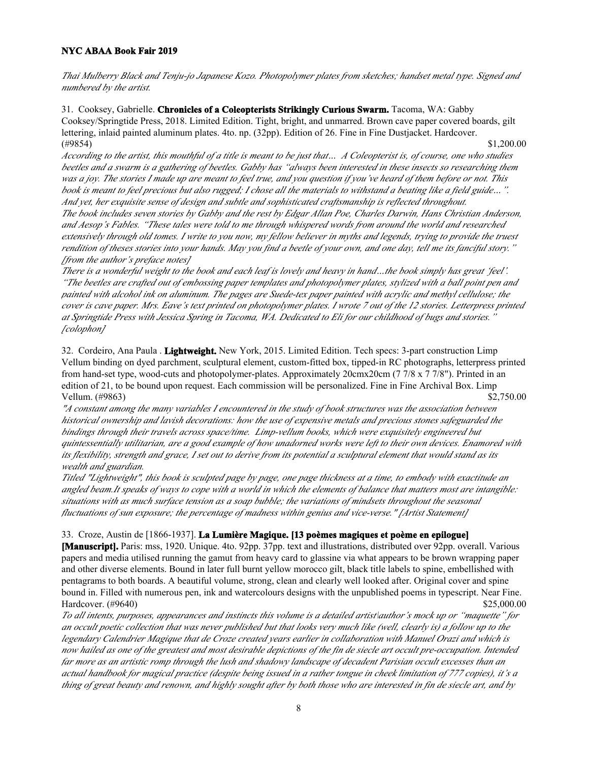*Thai Mulberry Black and Tenju-jo Japanese Kozo. Photopolymer plates from sketches; handset metal type. Signed and numbered by the artist.*

31. Cooksey, Gabrielle. **Chronicles of a Coleopterists Strikingly Curious Swarm.** Tacoma, WA: Gabby Cooksey/Springtide Press, 2018. Limited Edition. Tight, bright, and unmarred. Brown cave paper covered boards, gilt lettering, inlaid painted aluminum plates. 4to. np. (32pp). Edition of 26. Fine in Fine Dustjacket. Hardcover. (#9854)  $$1,200.00$ 

*According to the artist, this mouthful of a title is meant to be just that… A Coleopterist is, of course, one who studies beetles and a swarm is a gathering of beetles. Gabby has "always been interested in these insects so researching them was a joy. The stories I made up are meant to feel true, and you question if you've heard of them before or not. This book is meant to feel precious but also rugged; I chose all the materials to withstand a beating like a field guide…". And yet, her exquisite sense of design and subtle and sophisticated craftsmanship is reflected throughout.*

*The book includes seven stories by Gabby and the rest by Edgar Allan Poe, Charles Darwin, Hans Christian Anderson, and Aesop's Fables. "These tales were told to me through whispered words from around the world and researched extensively through old tomes. I write to you now, my fellow believer in myths and legends, trying to provide the truest rendition of theses stories into your hands. May you find a beetle of your own, and one day, tell me its fanciful story." [from the author's preface notes]*

*There is a wonderful weight to the book and each leaf is lovely and heavy in hand…the book simply has great 'feel'. "The beetles are crafted out of embossing paper templates and photopolymer plates, stylized with a ball point pen and painted with alcohol ink on aluminum. The pages are Suede-tex paper painted with acrylic and methyl cellulose; the cover is cave paper. Mrs. Eave's text printed on photopolymer plates. I wrote 7 out of the 12 stories. Letterpress printed at Springtide Press with Jessica Spring in Tacoma, WA. Dedicated to Eli for our childhood of bugs and stories." [colophon]*

32. Cordeiro, Ana Paula . **Lightweight.** New York, 2015. Limited Edition. Tech specs: 3-part construction Limp Vellum binding on dyed parchment, sculptural element, custom-fitted box, tipped-in RC photographs, letterpress printed from hand-set type, wood-cuts and photopolymer-plates. Approximately 20cmx20cm (7 7/8 x 7 7/8"). Printed in an edition of 21, to be bound upon request. Each commission will be personalized. Fine in Fine Archival Box. Limp Vellum. (#9863) \$2,750.00

*"A constant among the many variables I encountered in the study of book structures was the association between historical ownership and lavish decorations: how the use of expensive metals and precious stones safeguarded the bindings through their travels across space/time. Limp-vellum books, which were exquisitely engineered but quintessentially utilitarian, are a good example of how unadorned works were left to their own devices. Enamored with its flexibility, strength and grace, I set out to derive from its potential a sculptural element that would stand as its wealth and guardian.*

*Titled "Lightweight", this book is sculpted page by page, one page thickness at a time, to embody with exactitude an angled beam.It speaks of ways to cope with a world in which the elements of balance that matters most are intangible: situations with as much surface tension as a soap bubble; the variations of mindsets throughout the seasonal fluctuations of sun exposure; the percentage of madness within genius and vice-verse." [Artist Statement]*

#### 33. Croze, Austin de [1866-1937]. **La Lumière Magique. [13 poèmes magiques et poème en epilogue]**

**[Manuscript].** Paris: mss, 1920. Unique. 4to. 92pp. 37pp. text and illustrations, distributed over 92pp. overall. Various papers and media utilised running the gamut from heavy card to glassine via what appears to be brown wrapping paper and other diverse elements. Bound in later full burnt yellow morocco gilt, black title labels to spine, embellished with pentagrams to both boards. A beautiful volume, strong, clean and clearly well looked after. Original cover and spine bound in. Filled with numerous pen, ink and watercolours designs with the unpublished poems in typescript. Near Fine. Hardcover. (#9640) \$25,000.00

*To all intents, purposes, appearances and instincts this volume is a detailed artist\author's mock up or "maquette" for an occult poetic collection that was never published but that looks very much like (well, clearly is) a follow up to the legendary Calendrier Magique that de Croze created years earlier in collaboration with Manuel Orazi and which is now hailed as one of the greatest and most desirable depictions of the fin de siecle art occult pre-occupation. Intended far more as an artistic romp through the lush and shadowy landscape of decadent Parisian occult excesses than an actual handbook for magical practice (despite being issued in a rather tongue in cheek limitation of 777 copies), it's a thing of great beauty and renown, and highly sought after by both those who are interested in fin de siecle art, and by*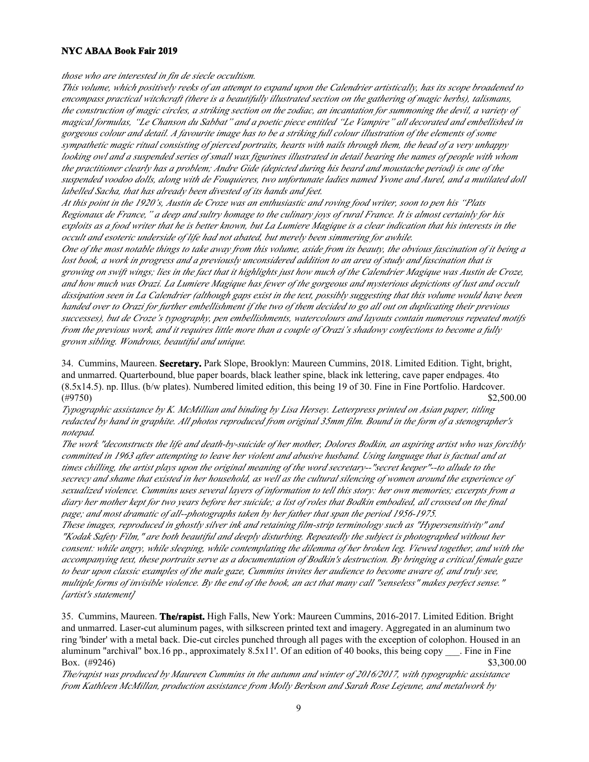*those who are interested in fin de siecle occultism.*

*This volume, which positively reeks of an attempt to expand upon the Calendrier artistically, has its scope broadened to encompass practical witchcraft (there is a beautifully illustrated section on the gathering of magic herbs), talismans, the construction of magic circles, a striking section on the zodiac, an incantation for summoning the devil, a variety of magical formulas, "Le Chanson du Sabbat" and a poetic piece entitled "Le Vampire" all decorated and embellished in gorgeous colour and detail. A favourite image has to be a striking full colour illustration of the elements of some sympathetic magic ritual consisting of pierced portraits, hearts with nails through them, the head of a very unhappy looking owl and a suspended series of small wax figurines illustrated in detail bearing the names of people with whom the practitioner clearly has a problem; Andre Gide (depicted during his beard and moustache period) is one of the suspended voodoo dolls, along with de Fouquieres, two unfortunate ladies named Yvone and Aurel, and a mutilated doll labelled Sacha, that has already been divested of its hands and feet.*

*At this point in the 1920's, Austin de Croze was an enthusiastic and roving food writer, soon to pen his "Plats Regionaux de France," a deep and sultry homage to the culinary joys of rural France. It is almost certainly for his exploits as a food writer that he is better known, but La Lumiere Magique is a clear indication that his interests in the occult and esoteric underside of life had not abated, but merely been simmering for awhile.*

*One of the most notable things to take away from this volume, aside from its beauty, the obvious fascination of it being a lost book, a work in progress and a previously unconsidered addition to an area of study and fascination that is growing on swift wings; lies in the fact that it highlights just how much of the Calendrier Magique was Austin de Croze, and how much was Orazi. La Lumiere Magique has fewer of the gorgeous and mysterious depictions of lust and occult dissipation seen in La Calendrier (although gaps exist in the text, possibly suggesting that this volume would have been handed over to Orazi for further embellishment if the two of them decided to go all out on duplicating their previous successes), but de Croze's typography, pen embellishments, watercolours and layouts contain numerous repeated motifs from the previous work, and it requires little more than a couple of Orazi's shadowy confections to become a fully grown sibling. Wondrous, beautiful and unique.*

34. Cummins, Maureen. **Secretary.** Park Slope, Brooklyn: Maureen Cummins, 2018. Limited Edition. Tight, bright, and unmarred. Quarterbound, blue paper boards, black leather spine, black ink lettering, cave paper endpages. 4to (8.5x14.5). np. Illus. (b/w plates). Numbered limited edition, this being 19 of 30. Fine in Fine Portfolio. Hardcover. (#9750) \$2,500.00

*Typographic assistance by K. McMillian and binding by Lisa Hersey. Letterpress printed on Asian paper, titling redacted by hand in graphite. All photos reproduced from original 35mm film. Bound in the form of a stenographer's notepad.*

*The work "deconstructs the life and death-by-suicide of her mother, Dolores Bodkin, an aspiring artist who was forcibly committed in 1963 after attempting to leave her violent and abusive husband. Using language that is factual and at times chilling, the artist plays upon the original meaning of the word secretary--"secret keeper"--to allude to the secrecy and shame that existed in her household, as well as the cultural silencing of women around the experience of sexualized violence. Cummins uses several layers of information to tell this story: her own memories; excerpts from a diary her mother kept for two years before her suicide; a list of roles that Bodkin embodied, all crossed on the final page; and most dramatic of all--photographs taken by her father that span the period 1956-1975.*

*These images, reproduced in ghostly silver ink and retaining film-strip terminology such as "Hypersensitivity" and "Kodak Safety Film," are both beautiful and deeply disturbing. Repeatedly the subject is photographed without her consent: while angry, while sleeping, while contemplating the dilemma of her broken leg. Viewed together, and with the accompanying text, these portraits serve as a documentation of Bodkin's destruction. By bringing a critical female gaze to bear upon classic examples of the male gaze, Cummins invites her audience to become aware of, and truly see, multiple forms of invisible violence. By the end of the book, an act that many call "senseless" makes perfect sense." [artist's statement]*

35. Cummins, Maureen. **The/rapist.** High Falls, New York: Maureen Cummins, 2016-2017. Limited Edition. Bright and unmarred. Laser-cut aluminum pages, with silkscreen printed text and imagery. Aggregated in an aluminum two ring 'binder' with a metal back. Die-cut circles punched through all pages with the exception of colophon. Housed in an aluminum "archival" box.16 pp., approximately 8.5x11'. Of an edition of 40 books, this being copy \_\_\_. Fine in Fine Box.  $(\#9246)$  \$3,300.00

*The/rapist was produced by Maureen Cummins in the autumn and winter of 2016/2017, with typographic assistance from Kathleen McMillan, production assistance from Molly Berkson and Sarah Rose Lejeune, and metalwork by*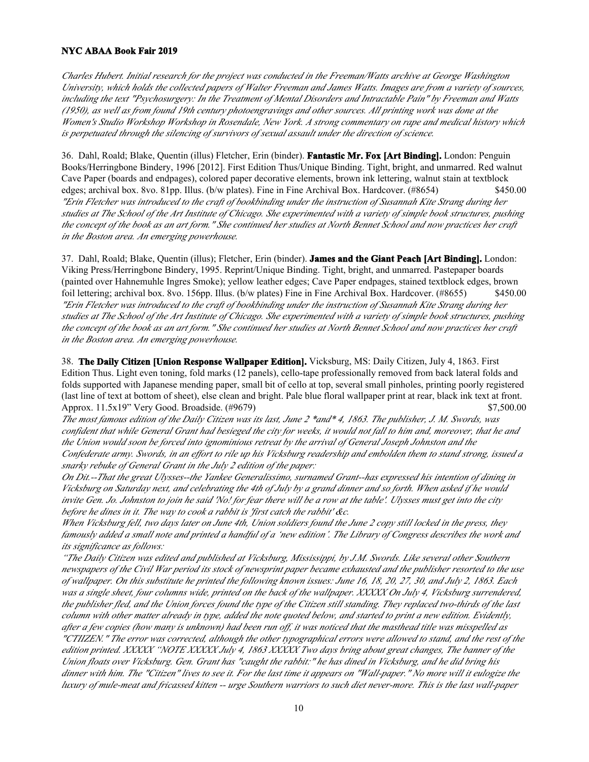*Charles Hubert. Initial research for the project was conducted in the Freeman/Watts archive at George Washington University, which holds the collected papers of Walter Freeman and James Watts. Images are from a variety of sources, including the text "Psychosurgery: In the Treatment of Mental Disorders and Intractable Pain" by Freeman and Watts (1950), as well as from found 19th century photoengravings and other sources. All printing work was done at the Women's Studio Workshop Workshop in Rosendale, New York. A strong commentary on rape and medical history which is perpetuated through the silencing of survivors of sexual assault under the direction of science.*

36. Dahl, Roald; Blake, Quentin (illus) Fletcher, Erin (binder). **Fantastic Mr. Fox [Art Binding].** London: Penguin Books/Herringbone Bindery, 1996 [2012]. First Edition Thus/Unique Binding. Tight, bright, and unmarred. Red walnut Cave Paper (boards and endpages), colored paper decorative elements, brown ink lettering, walnut stain at textblock edges; archival box. 8vo. 81pp. Illus. (b/w plates). Fine in Fine Archival Box. Hardcover. (#8654) \$450.00 *"Erin Fletcher was introduced to the craft of bookbinding under the instruction of Susannah Kite Strang during her studies at The School of the Art Institute of Chicago. She experimented with a variety of simple book structures, pushing the concept of the book as an art form." She continued her studies at North Bennet School and now practices her craft in the Boston area. An emerging powerhouse.*

37. Dahl, Roald; Blake, Quentin (illus); Fletcher, Erin (binder). **James and the Giant Peach [Art Binding].** London: Viking Press/Herringbone Bindery, 1995. Reprint/Unique Binding. Tight, bright, and unmarred. Pastepaper boards (painted over Hahnemuhle Ingres Smoke); yellow leather edges; Cave Paper endpages, stained textblock edges, brown foil lettering; archival box. 8vo. 156pp. Illus. (b/w plates) Fine in Fine Archival Box. Hardcover. (#8655) \$450.00 *"Erin Fletcher was introduced to the craft of bookbinding under the instruction of Susannah Kite Strang during her studies at The School of the Art Institute of Chicago. She experimented with a variety of simple book structures, pushing the concept of the book as an art form." She continued her studies at North Bennet School and now practices her craft in the Boston area. An emerging powerhouse.*

38. **The Daily Citizen [Union Response Wallpaper Edition].** Vicksburg, MS: Daily Citizen, July 4, 1863. First Edition Thus. Light even toning, fold marks (12 panels), cello-tape professionally removed from back lateral folds and folds supported with Japanese mending paper, small bit of cello at top, several small pinholes, printing poorly registered (last line of text at bottom of sheet), else clean and bright. Pale blue floral wallpaper print at rear, black ink text at front. Approx. 11.5x19" Very Good. Broadside. (#9679) \$7,500.00

*The most famous edition of the Daily Citizen was its last, June 2 \*and\* 4, 1863. The publisher, J. M. Swords, was confident that while General Grant had besieged the city for weeks, it would not fall to him and, moreover, that he and the Union would soon be forced into ignominious retreat by the arrival of General Joseph Johnston and the Confederate army. Swords, in an effort to rile up his Vicksburg readership and embolden them to stand strong, issued a snarky rebuke of General Grant in the July 2 edition of the paper:*

*On Dit.--That the great Ulysses--the Yankee Generalissimo, surnamed Grant--has expressed his intention of dining in Vicksburg on Saturday next, and celebrating the 4th of July by a grand dinner and so forth. When asked if he would invite Gen. Jo. Johnston to join he said 'No! for fear there will be a row at the table'. Ulysses must get into the city before he dines in it. The way to cook a rabbit is 'first catch the rabbit' &c.*

*When Vicksburg fell, two days later on June 4th, Union soldiers found the June 2 copy still locked in the press, they famously added a small note and printed a handful of a 'new edition'. The Library of Congress describes the work and its significance as follows:*

*"The Daily Citizen was edited and published at Vicksburg, Mississippi, by J.M. Swords. Like several other Southern newspapers of the Civil War period its stock of newsprint paper became exhausted and the publisher resorted to the use of wallpaper. On this substitute he printed the following known issues: June 16, 18, 20, 27, 30, and July 2, 1863. Each was a single sheet, four columns wide, printed on the back of the wallpaper. XXXXX On July 4, Vicksburg surrendered, the publisher fled, and the Union forces found the type of the Citizen still standing. They replaced two-thirds of the last column with other matter already in type, added the note quoted below, and started to print a new edition. Evidently, after a few copies (how many is unknown) had been run off, it was noticed that the masthead title was misspelled as "CTIIZEN." The error was corrected, although the other typographical errors were allowed to stand, and the rest of the edition printed. XXXXX "NOTE XXXXX July 4, 1863 XXXXX Two days bring about great changes, The banner of the Union floats over Vicksburg. Gen. Grant has "caught the rabbit:" he has dined in Vicksburg, and he did bring his dinner with him. The "Citizen" lives to see it. For the last time it appears on "Wall-paper." No more will it eulogize the luxury of mule-meat and fricassed kitten -- urge Southern warriors to such diet never-more. This is the last wall-paper*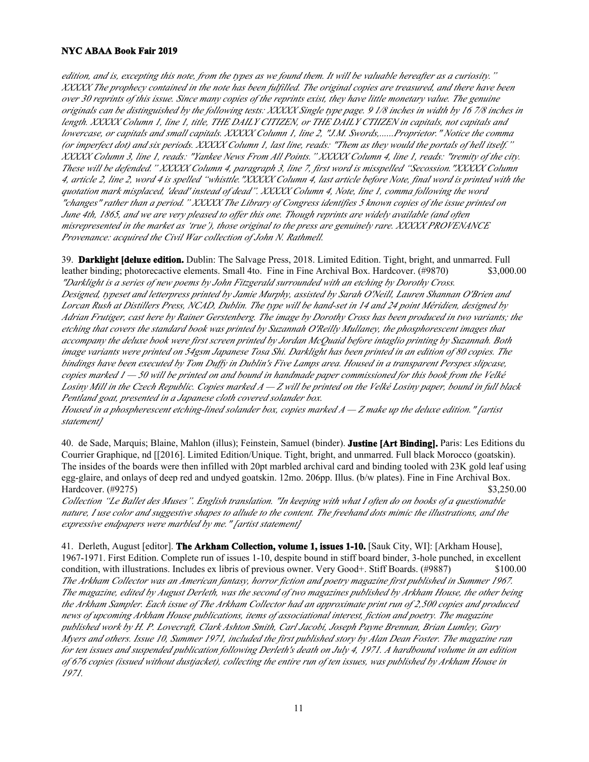*edition, and is, excepting this note, from the types as we found them. It will be valuable hereafter as a curiosity." XXXXX The prophecy contained in the note has been fulfilled. The original copies are treasured, and there have been over 30 reprints of this issue. Since many copies of the reprints exist, they have little monetary value. The genuine originals can be distinguished by the following tests: XXXXX Single type page. 9 1/8 inches in width by 16 7/8 inches in length. XXXXX Column 1, line 1, title, THE DAILY CITIZEN, or THE DAILY CTIIZEN in capitals, not capitals and lowercase, or capitals and small capitals. XXXXX Column 1, line 2, "J.M. Swords,......Proprietor." Notice the comma (or imperfect dot) and six periods. XXXXX Column 1, last line, reads: "Them as they would the portals of hell itself." XXXXX Column 3, line 1, reads: "Yankee News From All Points." XXXXX Column 4, line 1, reads: "tremity of the city. These will be defended." XXXXX Column 4, paragraph 3, line 7, first word is misspelled "Secossion."XXXXX Column 4, article 2, line 2, word 4 is spelled "whisttle."XXXXX Column 4, last article before Note, final word is printed with the quotation mark misplaced, 'dead' instead of dead". XXXXX Column 4, Note, line 1, comma following the word "changes" rather than a period." XXXXX The Library of Congress identifies 5 known copies of the issue printed on June 4th, 1865, and we are very pleased to offer this one. Though reprints are widely available (and often misrepresented in the market as 'true'), those original to the press are genuinely rare. XXXXX PROVENANCE Provenance: acquired the Civil War collection of John N. Rathmell.*

39. **Darklight [deluxe edition.** Dublin: The Salvage Press, 2018. Limited Edition. Tight, bright, and unmarred. Full leather binding; photorecactive elements. Small 4to. Fine in Fine Archival Box. Hardcover. (#9870) \$3,000.00 *"Darklight is a series of new poems by John Fitzgerald surrounded with an etching by Dorothy Cross. Designed, typeset and letterpress printed by Jamie Murphy, assisted by Sarah O'Neill, Lauren Shannan O'Brien and Lorcan Rush at Distillers Press, NCAD, Dublin. The type will be hand-set in 14 and 24 point Méridien, designed by Adrian Frutiger, cast here by Rainer Gerstenberg. The image by Dorothy Cross has been produced in two variants; the etching that covers the standard book was printed by Suzannah O'Reilly Mullaney, the phosphorescent images that accompany the deluxe book were first screen printed by Jordan McQuaid before intaglio printing by Suzannah. Both image variants were printed on 54gsm Japanese Tosa Shi. Darklight has been printed in an edition of 80 copies. The bindings have been executed by Tom Duffy in Dublin's Five Lamps area. Housed in a transparent Perspex slipcase, copies marked 1 — 50 will be printed on and bound in handmade paper commissioned for this book from the Velké Losiny Mill in the Czech Republic. Copies marked A — Z will be printed on the Velké Losiny paper, bound in full black Pentland goat, presented in a Japanese cloth covered solander box.*

*Housed in a phospherescent etching-lined solander box, copies marked A — Z make up the deluxe edition." [artist statement]*

40. de Sade, Marquis; Blaine, Mahlon (illus); Feinstein, Samuel (binder). **Justine [Art Binding].** Paris: Les Editions du Courrier Graphique, nd [[2016]. Limited Edition/Unique. Tight, bright, and unmarred. Full black Morocco (goatskin). The insides of the boards were then infilled with 20pt marbled archival card and binding tooled with 23K gold leaf using egg-glaire, and onlays of deep red and undyed goatskin. 12mo. 206pp. Illus. (b/w plates). Fine in Fine Archival Box. Hardcover. (#9275) \$3,250.00

*Collection "Le Ballet des Muses". English translation. "In keeping with what I often do on books of a questionable nature, I use color and suggestive shapes to allude to the content. The freehand dots mimic the illustrations, and the expressive endpapers were marbled by me." [artist statement]*

41. Derleth, August [editor]. **The Arkham Collection, volume 1, issues 1-10.** [Sauk City, WI]: [Arkham House], 1967-1971. First Edition. Complete run of issues 1-10, despite bound in stiff board binder, 3-hole punched, in excellent condition, with illustrations. Includes ex libris of previous owner. Very Good+. Stiff Boards. (#9887) \$100.00 *The Arkham Collector was an American fantasy, horror fiction and poetry magazine first published in Summer 1967. The magazine, edited by August Derleth, was the second of two magazines published by Arkham House, the other being the Arkham Sampler. Each issue of The Arkham Collector had an approximate print run of 2,500 copies and produced news of upcoming Arkham House publications, items of associational interest, fiction and poetry. The magazine published work by H. P. Lovecraft, Clark Ashton Smith, Carl Jacobi, Joseph Payne Brennan, Brian Lumley, Gary Myers and others. Issue 10, Summer 1971, included the first published story by Alan Dean Foster. The magazine ran for ten issues and suspended publication following Derleth's death on July 4, 1971. A hardbound volume in an edition of 676 copies (issued without dustjacket), collecting the entire run of ten issues, was published by Arkham House in 1971.*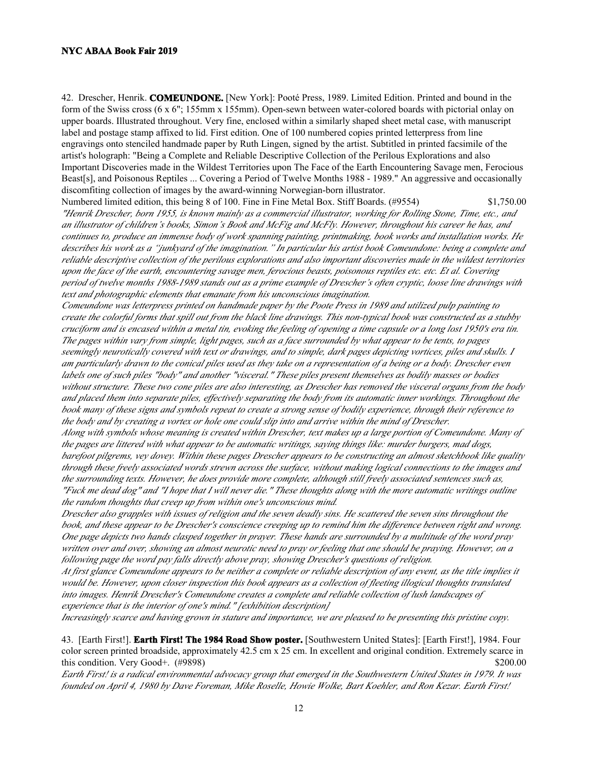42. Drescher, Henrik. **COMEUNDONE.** [New York]: Pooté Press, 1989. Limited Edition. Printed and bound in the form of the Swiss cross (6 x 6"; 155mm x 155mm). Open-sewn between water-colored boards with pictorial onlay on upper boards. Illustrated throughout. Very fine, enclosed within a similarly shaped sheet metal case, with manuscript label and postage stamp affixed to lid. First edition. One of 100 numbered copies printed letterpress from line engravings onto stenciled handmade paper by Ruth Lingen, signed by the artist. Subtitled in printed facsimile of the artist's holograph: "Being a Complete and Reliable Descriptive Collection of the Perilous Explorations and also Important Discoveries made in the Wildest Territories upon The Face of the Earth Encountering Savage men, Ferocious Beast[s], and Poisonous Reptiles ... Covering a Period of Twelve Months 1988 - 1989." An aggressive and occasionally discomfiting collection of images by the award-winning Norwegian-born illustrator.

Numbered limited edition, this being 8 of 100. Fine in Fine Metal Box. Stiff Boards. (#9554) \$1,750.00 *"Henrik Drescher, born 1955, is known mainly as a commercial illustrator, working for Rolling Stone, Time, etc., and an illustrator of children's books, Simon's Book and McFig and McFly. However, throughout his career he has, and continues to, produce an immense body of work spanning painting, printmaking, book works and installation works. He describes his work as a "junkyard of the imagination." In particular his artist book Comeundone: being a complete and reliable descriptive collection of the perilous explorations and also important discoveries made in the wildest territories upon the face of the earth, encountering savage men, ferocious beasts, poisonous reptiles etc. etc. Et al. Covering period of twelve months 1988-1989 stands out as a prime example of Drescher's often cryptic, loose line drawings with text and photographic elements that emanate from his unconscious imagination.*

*Comeundone was letterpress printed on handmade paper by the Poote Press in 1989 and utilized pulp painting to create the colorful forms that spill out from the black line drawings. This non-typical book was constructed as a stubby cruciform and is encased within a metal tin, evoking the feeling of opening a time capsule or a long lost 1950's era tin. The pages within vary from simple, light pages, such as a face surrounded by what appear to be tents, to pages seemingly neurotically covered with text or drawings, and to simple, dark pages depicting vortices, piles and skulls. I am particularly drawn to the conical piles used as they take on a representation of a being or a body. Drescher even labels one of such piles "body" and another "visceral." These piles present themselves as bodily masses or bodies without structure. These two cone piles are also interesting, as Drescher has removed the visceral organs from the body and placed them into separate piles, effectively separating the body from its automatic inner workings. Throughout the book many of these signs and symbols repeat to create a strong sense of bodily experience, through their reference to the body and by creating a vortex or hole one could slip into and arrive within the mind of Drescher.*

*Along with symbols whose meaning is created within Drescher, text makes up a large portion of Comeundone. Many of the pages are littered with what appear to be automatic writings, saying things like: murder burgers, mad dogs, barefoot pilgrems, vey dovey. Within these pages Drescher appears to be constructing an almost sketchbook like quality through these freely associated words strewn across the surface, without making logical connections to the images and the surrounding texts. However, he does provide more complete, although still freely associated sentences such as, "Fuck me dead dog" and "I hope that I will never die." These thoughts along with the more automatic writings outline the random thoughts that creep up from within one's unconscious mind.*

*Drescher also grapples with issues of religion and the seven deadly sins. He scattered the seven sins throughout the book, and these appear to be Drescher's conscience creeping up to remind him the difference between right and wrong. One page depicts two hands clasped together in prayer. These hands are surrounded by a multitude of the word pray written over and over, showing an almost neurotic need to pray or feeling that one should be praying. However, on a following page the word pay falls directly above pray, showing Drescher's questions of religion.*

*At first glance Comeundone appears to be neither a complete or reliable description of any event, as the title implies it would be. However, upon closer inspection this book appears as a collection of fleeting illogical thoughts translated into images. Henrik Drescher's Comeundone creates a complete and reliable collection of lush landscapes of experience that is the interior of one's mind." [exhibition description]*

*Increasingly scarce and having grown in stature and importance, we are pleased to be presenting this pristine copy.*

43. [Earth First!]. **Earth First! The 1984 Road Show poster.** [Southwestern United States]: [Earth First!], 1984. Four color screen printed broadside, approximately 42.5 cm x 25 cm. In excellent and original condition. Extremely scarce in this condition. Very Good+. (#9898) \$200.00

*Earth First! is a radical environmental advocacy group that emerged in the Southwestern United States in 1979. It was founded on April 4, 1980 by Dave Foreman, Mike Roselle, Howie Wolke, Bart Koehler, and Ron Kezar. Earth First!*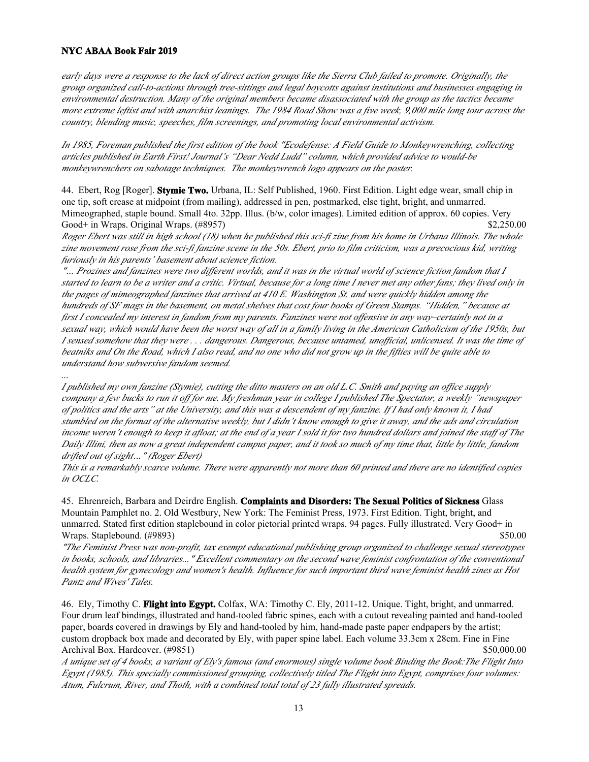*...*

*early days were a response to the lack of direct action groups like the Sierra Club failed to promote. Originally, the group organized call-to-actions through tree-sittings and legal boycotts against institutions and businesses engaging in environmental destruction. Many of the original members became disassociated with the group as the tactics became more extreme leftist and with anarchist leanings. The 1984 Road Show was a five week, 9,000 mile long tour across the country, blending music, speeches, film screenings, and promoting local environmental activism.*

*In 1985, Foreman published the first edition of the book "Ecodefense: A Field Guide to Monkeywrenching, collecting articles published in Earth First! Journal's "Dear Nedd Ludd" column, which provided advice to would-be monkeywrenchers on sabotage techniques. The monkeywrench logo appears on the poster.*

44. Ebert, Rog [Roger]. **Stymie Two.** Urbana, IL: Self Published, 1960. First Edition. Light edge wear, small chip in one tip, soft crease at midpoint (from mailing), addressed in pen, postmarked, else tight, bright, and unmarred. Mimeographed, staple bound. Small 4to. 32pp. Illus. (b/w, color images). Limited edition of approx. 60 copies. Very Good+ in Wraps. Original Wraps. (#8957) \$2,250.00

*Roger Ebert was still in high school (18) when he published this sci-fi zine from his home in Urbana Illinois. The whole zine movement rose from the sci-fi fanzine scene in the 50s. Ebert, prio to film criticism, was a precocious kid, writing furiously in his parents' basement about science fiction.*

*"… Prozines and fanzines were two different worlds, and it was in the virtual world of science fiction fandom that I started to learn to be a writer and a critic. Virtual, because for a long time I never met any other fans; they lived only in the pages of mimeographed fanzines that arrived at 410 E. Washington St. and were quickly hidden among the hundreds of SF mags in the basement, on metal shelves that cost four books of Green Stamps. "Hidden," because at first I concealed my interest in fandom from my parents. Fanzines were not offensive in any way–certainly not in a sexual way, which would have been the worst way of all in a family living in the American Catholicism of the 1950s, but I sensed somehow that they were . . . dangerous. Dangerous, because untamed, unofficial, unlicensed. It was the time of beatniks and On the Road, which I also read, and no one who did not grow up in the fifties will be quite able to understand how subversive fandom seemed.*

*I published my own fanzine (Stymie), cutting the ditto masters on an old L.C. Smith and paying an office supply company a few bucks to run it off for me. My freshman year in college I published The Spectator, a weekly "newspaper of politics and the arts" at the University, and this was a descendent of my fanzine. If I had only known it, I had stumbled on the format of the alternative weekly, but I didn't know enough to give it away, and the ads and circulation income weren't enough to keep it afloat; at the end of a year I sold it for two hundred dollars and joined the staff of The Daily Illini, then as now a great independent campus paper, and it took so much of my time that, little by little, fandom drifted out of sight…" (Roger Ebert)*

*This is a remarkably scarce volume. There were apparently not more than 60 printed and there are no identified copies in OCLC.*

45. Ehrenreich, Barbara and Deirdre English. **Complaints and Disorders: The Sexual Politics of Sickness** Glass Mountain Pamphlet no. 2. Old Westbury, New York: The Feminist Press, 1973. First Edition. Tight, bright, and unmarred. Stated first edition staplebound in color pictorial printed wraps. 94 pages. Fully illustrated. Very Good+ in Wraps. Staplebound. (#9893) \$50.00

*"The Feminist Press was non-profit, tax exempt educational publishing group organized to challenge sexual stereotypes in books, schools, and libraries..." Excellent commentary on the second wave feminist confrontation of the conventional health system for gynecology and women's health. Influence for such important third wave feminist health zines as Hot Pantz and Wives' Tales.*

46. Ely, Timothy C. **Flight into Egypt.** Colfax, WA: Timothy C. Ely, 2011-12. Unique. Tight, bright, and unmarred. Four drum leaf bindings, illustrated and hand-tooled fabric spines, each with a cutout revealing painted and hand-tooled paper, boards covered in drawings by Ely and hand-tooled by him, hand-made paste paper endpapers by the artist; custom dropback box made and decorated by Ely, with paper spine label. Each volume 33.3cm x 28cm. Fine in Fine Archival Box. Hardcover. (#9851)  $$50,000.00$ 

*A unique set of 4 books, a variant of Ely's famous (and enormous) single volume book Binding the Book:The Flight Into Egypt (1985). This specially commissioned grouping, collectively titled The Flight into Egypt, comprises four volumes: Atum, Fulcrum, River, and Thoth, with a combined total total of 23 fully illustrated spreads.*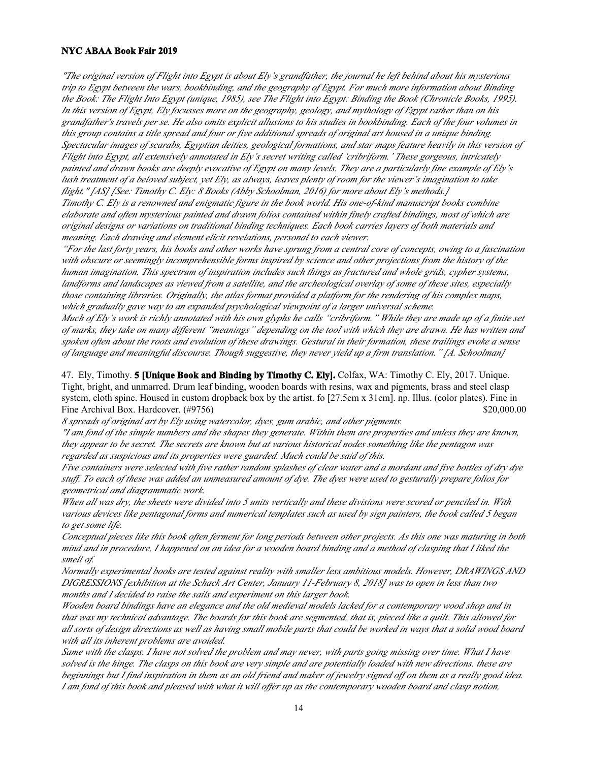*"The original version of Flight into Egypt is about Ely's grandfather, the journal he left behind about his mysterious trip to Egypt between the wars, bookbinding, and the geography of Egypt. For much more information about Binding the Book: The Flight Into Egypt (unique, 1985), see The Flight into Egypt: Binding the Book (Chronicle Books, 1995). In this version of Egypt, Ely focusses more on the geography, geology, and mythology of Egypt rather than on his grandfather's travels per se. He also omits explicit allusions to his studies in bookbinding. Each of the four volumes in this group contains a title spread and four or five additional spreads of original art housed in a unique binding. Spectacular images of scarabs, Egyptian deities, geological formations, and star maps feature heavily in this version of Flight into Egypt, all extensively annotated in Ely's secret writing called 'cribriform.' These gorgeous, intricately painted and drawn books are deeply evocative of Egypt on many levels. They are a particularly fine example of Ely's lush treatment of a beloved subject, yet Ely, as always, leaves plenty of room for the viewer's imagination to take flight." [AS] [See: Timothy C. Ely: 8 Books (Abby Schoolman, 2016) for more about Ely's methods.] Timothy C. Ely is a renowned and enigmatic figure in the book world. His one-of-kind manuscript books combine*

*elaborate and often mysterious painted and drawn folios contained within finely crafted bindings, most of which are original designs or variations on traditional binding techniques. Each book carries layers of both materials and meaning. Each drawing and element elicit revelations, personal to each viewer.*

*"For the last forty years, his books and other works have sprung from a central core of concepts, owing to a fascination with obscure or seemingly incomprehensible forms inspired by science and other projections from the history of the human imagination. This spectrum of inspiration includes such things as fractured and whole grids, cypher systems, landforms and landscapes as viewed from a satellite, and the archeological overlay of some of these sites, especially those containing libraries. Originally, the atlas format provided a platform for the rendering of his complex maps, which gradually gave way to an expanded psychological viewpoint of a larger universal scheme.*

*Much of Ely's work is richly annotated with his own glyphs he calls "cribriform." While they are made up of a finite set of marks, they take on many different "meanings" depending on the tool with which they are drawn. He has written and spoken often about the roots and evolution of these drawings. Gestural in their formation, these trailings evoke a sense of language and meaningful discourse. Though suggestive, they never yield up a firm translation." [A. Schoolman]*

47. Ely, Timothy. **5 [Unique Book and Binding by Timothy C. Ely].** Colfax, WA: Timothy C. Ely, 2017. Unique. Tight, bright, and unmarred. Drum leaf binding, wooden boards with resins, wax and pigments, brass and steel clasp system, cloth spine. Housed in custom dropback box by the artist. fo [27.5cm x 31cm]. np. Illus. (color plates). Fine in Fine Archival Box. Hardcover. (#9756) \$20,000.00

*8 spreads of original art by Ely using watercolor, dyes, gum arabic, and other pigments.*

*"I am fond of the simple numbers and the shapes they generate. Within them are properties and unless they are known, they appear to be secret. The secrets are known but at various historical nodes something like the pentagon was regarded as suspicious and its properties were guarded. Much could be said of this.*

*Five containers were selected with five rather random splashes of clear water and a mordant and five bottles of dry dye stuff. To each of these was added an unmeasured amount of dye. The dyes were used to gesturally prepare folios for geometrical and diagrammatic work.*

*When all was dry, the sheets were divided into 5 units vertically and these divisions were scored or penciled in. With various devices like pentagonal forms and numerical templates such as used by sign painters, the book called 5 began to get some life.*

*Conceptual pieces like this book often ferment for long periods between other projects. As this one was maturing in both mind and in procedure, I happened on an idea for a wooden board binding and a method of clasping that I liked the smell of.*

*Normally experimental books are tested against reality with smaller less ambitious models. However, DRAWINGS AND DIGRESSIONS [exhibition at the Schack Art Center, January 11-February 8, 2018] was to open in less than two months and I decided to raise the sails and experiment on this larger book.*

*Wooden board bindings have an elegance and the old medieval models lacked for a contemporary wood shop and in that was my technical advantage. The boards for this book are segmented, that is, pieced like a quilt. This allowed for all sorts of design directions as well as having small mobile parts that could be worked in ways that a solid wood board with all its inherent problems are avoided.*

*Same with the clasps. I have not solved the problem and may never, with parts going missing over time. What I have solved is the hinge. The clasps on this book are very simple and are potentially loaded with new directions. these are beginnings but I find inspiration in them as an old friend and maker of jewelry signed off on them as a really good idea. I am fond of this book and pleased with what it will offer up as the contemporary wooden board and clasp notion,*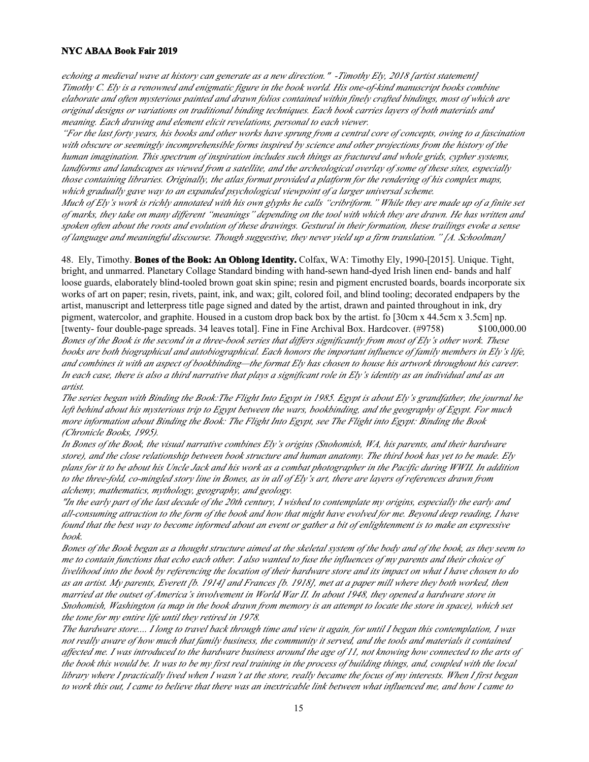*echoing a medieval wave at history can generate as a new direction." -Timothy Ely, 2018 [artist statement] Timothy C. Ely is a renowned and enigmatic figure in the book world. His one-of-kind manuscript books combine elaborate and often mysterious painted and drawn folios contained within finely crafted bindings, most of which are original designs or variations on traditional binding techniques. Each book carries layers of both materials and meaning. Each drawing and element elicit revelations, personal to each viewer.*

*"For the last forty years, his books and other works have sprung from a central core of concepts, owing to a fascination with obscure or seemingly incomprehensible forms inspired by science and other projections from the history of the human imagination. This spectrum of inspiration includes such things as fractured and whole grids, cypher systems, landforms and landscapes as viewed from a satellite, and the archeological overlay of some of these sites, especially those containing libraries. Originally, the atlas format provided a platform for the rendering of his complex maps, which gradually gave way to an expanded psychological viewpoint of a larger universal scheme.*

*Much of Ely's work is richly annotated with his own glyphs he calls "cribriform." While they are made up of a finite set of marks, they take on many different "meanings" depending on the tool with which they are drawn. He has written and spoken often about the roots and evolution of these drawings. Gestural in their formation, these trailings evoke a sense of language and meaningful discourse. Though suggestive, they never yield up a firm translation." [A. Schoolman]*

48. Ely, Timothy. **Bones of the Book: An Oblong Identity.** Colfax, WA: Timothy Ely, 1990-[2015]. Unique. Tight, bright, and unmarred. Planetary Collage Standard binding with hand-sewn hand-dyed Irish linen end- bands and half loose guards, elaborately blind-tooled brown goat skin spine; resin and pigment encrusted boards, boards incorporate six works of art on paper; resin, rivets, paint, ink, and wax; gilt, colored foil, and blind tooling; decorated endpapers by the artist, manuscript and letterpress title page signed and dated by the artist, drawn and painted throughout in ink, dry pigment, watercolor, and graphite. Housed in a custom drop back box by the artist. fo [30cm x 44.5cm x 3.5cm] np. [twenty- four double-page spreads. 34 leaves total]. Fine in Fine Archival Box. Hardcover. (#9758) \$100,000.00 *Bones of the Book is the second in a three-book series that differs significantly from most of Ely's other work. These books are both biographical and autobiographical. Each honors the important influence of family members in Ely's life, and combines it with an aspect of bookbinding—the format Ely has chosen to house his artwork throughout his career. In each case, there is also a third narrative that plays a significant role in Ely's identity as an individual and as an artist.*

*The series began with Binding the Book:The Flight Into Egypt in 1985. Egypt is about Ely's grandfather, the journal he left behind about his mysterious trip to Egypt between the wars, bookbinding, and the geography of Egypt. For much more information about Binding the Book: The Flight Into Egypt, see The Flight into Egypt: Binding the Book (Chronicle Books, 1995).*

*In Bones of the Book, the visual narrative combines Ely's origins (Snohomish, WA, his parents, and their hardware store), and the close relationship between book structure and human anatomy. The third book has yet to be made. Ely plans for it to be about his Uncle Jack and his work as a combat photographer in the Pacific during WWII. In addition to the three-fold, co-mingled story line in Bones, as in all of Ely's art, there are layers of references drawn from alchemy, mathematics, mythology, geography, and geology.*

*"In the early part of the last decade of the 20th century, I wished to contemplate my origins, especially the early and all-consuming attraction to the form of the book and how that might have evolved for me. Beyond deep reading, I have found that the best way to become informed about an event or gather a bit of enlightenment is to make an expressive book.*

*Bones of the Book began as a thought structure aimed at the skeletal system of the body and of the book, as they seem to me to contain functions that echo each other. I also wanted to fuse the influences of my parents and their choice of livelihood into the book by referencing the location of their hardware store and its impact on what I have chosen to do as an artist. My parents, Everett [b. 1914] and Frances [b. 1918], met at a paper mill where they both worked, then married at the outset of America's involvement in World War II. In about 1948, they opened a hardware store in Snohomish, Washington (a map in the book drawn from memory is an attempt to locate the store in space), which set the tone for my entire life until they retired in 1978.*

*The hardware store.... I long to travel back through time and view it again, for until I began this contemplation, I was not really aware of how much that family business, the community it served, and the tools and materials it contained affected me. I was introduced to the hardware business around the age of 11, not knowing how connected to the arts of the book this would be. It was to be my first real training in the process of building things, and, coupled with the local library where I practically lived when I wasn't at the store, really became the focus of my interests. When I first began to work this out, I came to believe that there was an inextricable link between what influenced me, and how I came to*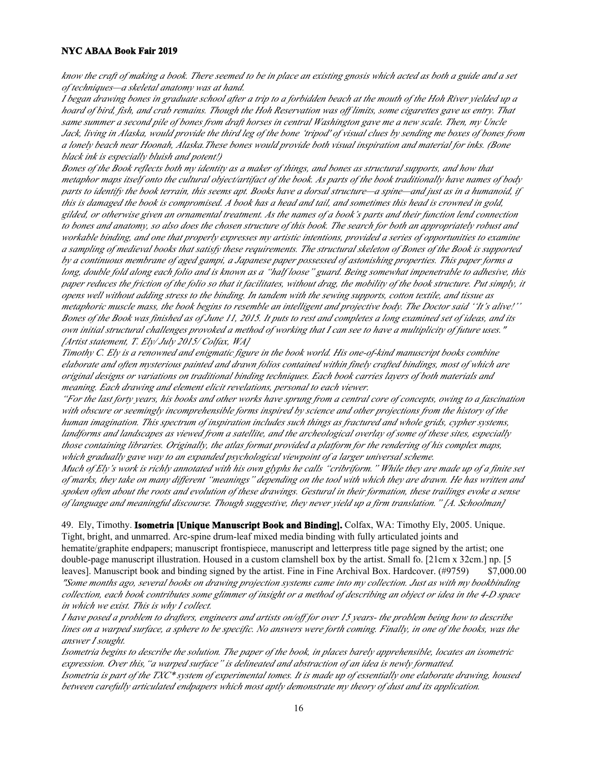*know the craft of making a book. There seemed to be in place an existing gnosis which acted as both a guide and a set of techniques—a skeletal anatomy was at hand.*

*I began drawing bones in graduate school after a trip to a forbidden beach at the mouth of the Hoh River yielded up a hoard of bird, fish, and crab remains. Though the Hoh Reservation was off limits, some cigarettes gave us entry. That same summer a second pile of bones from draft horses in central Washington gave me a new scale. Then, my Uncle Jack, living in Alaska, would provide the third leg of the bone 'tripod' of visual clues by sending me boxes of bones from a lonely beach near Hoonah, Alaska.These bones would provide both visual inspiration and material for inks. (Bone black ink is especially bluish and potent!)*

*Bones of the Book reflects both my identity as a maker of things, and bones as structural supports, and how that metaphor maps itself onto the cultural object/artifact of the book. As parts of the book traditionally have names of body parts to identify the book terrain, this seems apt. Books have a dorsal structure—a spine—and just as in a humanoid, if this is damaged the book is compromised. A book has a head and tail, and sometimes this head is crowned in gold, gilded, or otherwise given an ornamental treatment. As the names of a book's parts and their function lend connection to bones and anatomy, so also does the chosen structure of this book. The search for both an appropriately robust and workable binding, and one that properly expresses my artistic intentions, provided a series of opportunities to examine a sampling of medieval books that satisfy these requirements. The structural skeleton of Bones of the Book is supported by a continuous membrane of aged gampi, a Japanese paper possessed of astonishing properties. This paper forms a long, double fold along each folio and is known as a "half loose" guard. Being somewhat impenetrable to adhesive, this paper reduces the friction of the folio so that it facilitates, without drag, the mobility of the book structure. Put simply, it opens well without adding stress to the binding. In tandem with the sewing supports, cotton textile, and tissue as metaphoric muscle mass, the book begins to resemble an intelligent and projective body. The Doctor said ''It's alive!'' Bones of the Book was finished as of June 11, 2015. It puts to rest and completes a long examined set of ideas, and its own initial structural challenges provoked a method of working that I can see to have a multiplicity of future uses." [Artist statement, T. Ely/ July 2015/ Colfax, WA]*

*Timothy C. Ely is a renowned and enigmatic figure in the book world. His one-of-kind manuscript books combine elaborate and often mysterious painted and drawn folios contained within finely crafted bindings, most of which are original designs or variations on traditional binding techniques. Each book carries layers of both materials and meaning. Each drawing and element elicit revelations, personal to each viewer.*

*"For the last forty years, his books and other works have sprung from a central core of concepts, owing to a fascination with obscure or seemingly incomprehensible forms inspired by science and other projections from the history of the human imagination. This spectrum of inspiration includes such things as fractured and whole grids, cypher systems, landforms and landscapes as viewed from a satellite, and the archeological overlay of some of these sites, especially those containing libraries. Originally, the atlas format provided a platform for the rendering of his complex maps, which gradually gave way to an expanded psychological viewpoint of a larger universal scheme.*

*Much of Ely's work is richly annotated with his own glyphs he calls "cribriform." While they are made up of a finite set of marks, they take on many different "meanings" depending on the tool with which they are drawn. He has written and spoken often about the roots and evolution of these drawings. Gestural in their formation, these trailings evoke a sense of language and meaningful discourse. Though suggestive, they never yield up a firm translation." [A. Schoolman]*

49. Ely, Timothy. **Isometria [Unique Manuscript Book and Binding].** Colfax, WA: Timothy Ely, 2005. Unique. Tight, bright, and unmarred. Arc-spine drum-leaf mixed media binding with fully articulated joints and hematite/graphite endpapers; manuscript frontispiece, manuscript and letterpress title page signed by the artist; one double-page manuscript illustration. Housed in a custom clamshell box by the artist. Small fo. [21cm x 32cm.] np. [5 leaves]. Manuscript book and binding signed by the artist. Fine in Fine Archival Box. Hardcover. (#9759) \$7,000.00 *"Some months ago, several books on drawing projection systems came into my collection. Just as with my bookbinding collection, each book contributes some glimmer of insight or a method of describing an object or idea in the 4-D space in which we exist. This is why I collect.*

*I have posed a problem to drafters, engineers and artists on/off for over 15 years- the problem being how to describe lines on a warped surface, a sphere to be specific. No answers were forth coming. Finally, in one of the books, was the answer I sought.*

*Isometria begins to describe the solution. The paper of the book, in places barely apprehensible, locates an isometric expression. Over this,"a warped surface" is delineated and abstraction of an idea is newly formatted. Isometria is part of the TXC\* system of experimental tomes. It is made up of essentially one elaborate drawing, housed between carefully articulated endpapers which most aptly demonstrate my theory of dust and its application.*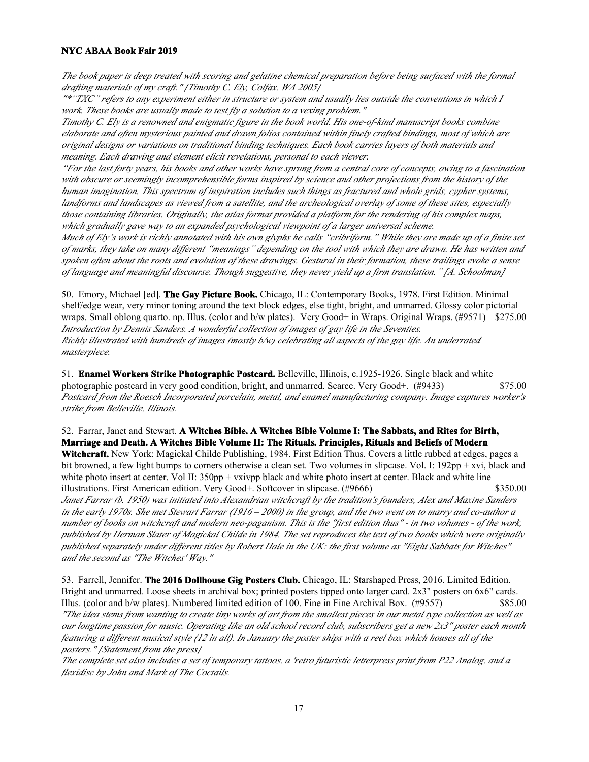*The book paper is deep treated with scoring and gelatine chemical preparation before being surfaced with the formal drafting materials of my craft." [Timothy C. Ely, Colfax, WA 2005]*

*"\*"TXC" refers to any experiment either in structure or system and usually lies outside the conventions in which I work. These books are usually made to test fly a solution to a vexing problem."*

*Timothy C. Ely is a renowned and enigmatic figure in the book world. His one-of-kind manuscript books combine elaborate and often mysterious painted and drawn folios contained within finely crafted bindings, most of which are original designs or variations on traditional binding techniques. Each book carries layers of both materials and meaning. Each drawing and element elicit revelations, personal to each viewer.*

*"For the last forty years, his books and other works have sprung from a central core of concepts, owing to a fascination with obscure or seemingly incomprehensible forms inspired by science and other projections from the history of the human imagination. This spectrum of inspiration includes such things as fractured and whole grids, cypher systems, landforms and landscapes as viewed from a satellite, and the archeological overlay of some of these sites, especially those containing libraries. Originally, the atlas format provided a platform for the rendering of his complex maps, which gradually gave way to an expanded psychological viewpoint of a larger universal scheme.*

*Much of Ely's work is richly annotated with his own glyphs he calls "cribriform." While they are made up of a finite set of marks, they take on many different "meanings" depending on the tool with which they are drawn. He has written and spoken often about the roots and evolution of these drawings. Gestural in their formation, these trailings evoke a sense of language and meaningful discourse. Though suggestive, they never yield up a firm translation." [A. Schoolman]*

50. Emory, Michael [ed]. **The Gay Picture Book.** Chicago, IL: Contemporary Books, 1978. First Edition. Minimal shelf/edge wear, very minor toning around the text block edges, else tight, bright, and unmarred. Glossy color pictorial wraps. Small oblong quarto. np. Illus. (color and b/w plates). Very Good+ in Wraps. Original Wraps. (#9571) \$275.00 *Introduction by Dennis Sanders. A wonderful collection of images of gay life in the Seventies. Richly illustrated with hundreds of images (mostly b/w) celebrating all aspects of the gay life. An underrated masterpiece.*

51. **Enamel Workers Strike Photographic Postcard.** Belleville, Illinois, c.1925-1926. Single black and white photographic postcard in very good condition, bright, and unmarred. Scarce. Very Good+. (#9433) \$75.00 *Postcard from the Roesch Incorporated porcelain, metal, and enamel manufacturing company. Image captures worker's strike from Belleville, Illinois.*

# 52. Farrar, Janet and Stewart. **A Witches Bible. A Witches Bible Volume I: The Sabbats, and Rites for Birth, Marriage and Death. A Witches Bible Volume II: The Rituals. Principles, Rituals and Beliefs of Modern**

Witchcraft. New York: Magickal Childe Publishing, 1984. First Edition Thus. Covers a little rubbed at edges, pages a bit browned, a few light bumps to corners otherwise a clean set. Two volumes in slipcase. Vol. I: 192pp + xvi, black and white photo insert at center. Vol II: 350pp + vxivpp black and white photo insert at center. Black and white line illustrations. First American edition. Very Good+. Softcover in slipcase. (#9666) \$350.00 *Janet Farrar (b. 1950) was initiated into Alexandrian witchcraft by the tradition's founders, Alex and Maxine Sanders in the early 1970s. She met Stewart Farrar (1916 – 2000) in the group, and the two went on to marry and co-author a number of books on witchcraft and modern neo-paganism. This is the "first edition thus" - in two volumes - of the work, published by Herman Slater of Magickal Childe in 1984. The set reproduces the text of two books which were originally published separately under different titles by Robert Hale in the UK: the first volume as "Eight Sabbats for Witches"*

*and the second as "The Witches' Way."*

53. Farrell, Jennifer. **The 2016 Dollhouse Gig Posters Club.** Chicago, IL: Starshaped Press, 2016. Limited Edition. Bright and unmarred. Loose sheets in archival box; printed posters tipped onto larger card. 2x3" posters on 6x6" cards. Illus. (color and b/w plates). Numbered limited edition of 100. Fine in Fine Archival Box. (#9557) \$85.00 *"The idea stems from wanting to create tiny works of art from the smallest pieces in our metal type collection as well as our longtime passion for music. Operating like an old school record club, subscribers get a new 2x3" poster each month featuring a different musical style (12 in all). In January the poster ships with a reel box which houses all of the posters." [Statement from the press]*

*The complete set also includes a set of temporary tattoos, a 'retro futuristic letterpress print from P22 Analog, and a flexidisc by John and Mark of The Coctails.*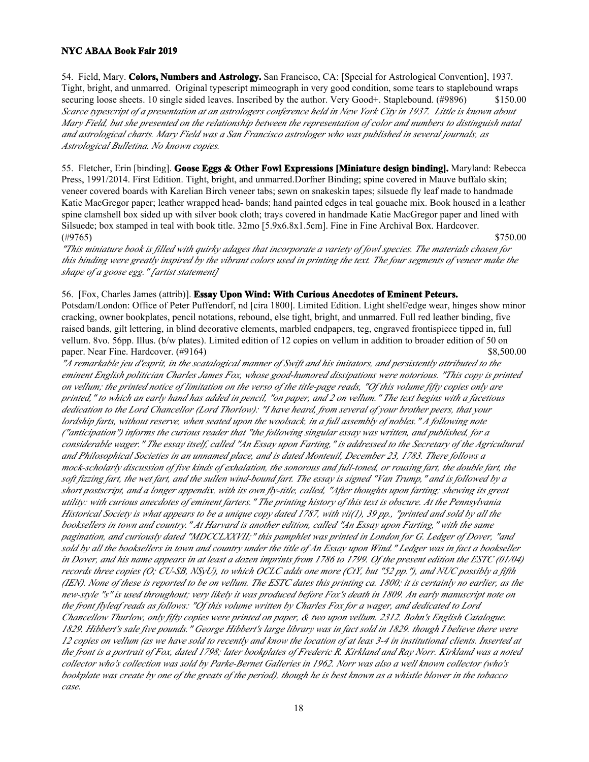54. Field, Mary. **Colors, Numbers and Astrology.** San Francisco, CA: [Special for Astrological Convention], 1937. Tight, bright, and unmarred. Original typescript mimeograph in very good condition, some tears to staplebound wraps securing loose sheets. 10 single sided leaves. Inscribed by the author. Very Good+. Staplebound. (#9896) \$150.00 *Scarce typescript of a presentation at an astrologers conference held in New York City in 1937. Little is known about Mary Field, but she presented on the relationship between the representation of color and numbers to distinguish natal and astrological charts. Mary Field was a San Francisco astrologer who was published in several journals, as Astrological Bulletina. No known copies.*

55. Fletcher, Erin [binding]. **Goose Eggs & Other Fowl Expressions [Miniature design binding].** Maryland: Rebecca Press, 1991/2014. First Edition. Tight, bright, and unmarred.Dorfner Binding; spine covered in Mauve buffalo skin; veneer covered boards with Karelian Birch veneer tabs; sewn on snakeskin tapes; silsuede fly leaf made to handmade Katie MacGregor paper; leather wrapped head- bands; hand painted edges in teal gouache mix. Book housed in a leather spine clamshell box sided up with silver book cloth; trays covered in handmade Katie MacGregor paper and lined with Silsuede; box stamped in teal with book title. 32mo [5.9x6.8x1.5cm]. Fine in Fine Archival Box. Hardcover. (#9765) \$750.00

*"This miniature book is filled with quirky adages that incorporate a variety of fowl species. The materials chosen for this binding were greatly inspired by the vibrant colors used in printing the text. The four segments of veneer make the shape of a goose egg." [artist statement]*

56. [Fox, Charles James (attrib)]. **Essay Upon Wind: With Curious Anecdotes of Eminent Peteurs.**

Potsdam/London: Office of Peter Puffendorf, nd [cira 1800]. Limited Edition. Light shelf/edge wear, hinges show minor cracking, owner bookplates, pencil notations, rebound, else tight, bright, and unmarred. Full red leather binding, five raised bands, gilt lettering, in blind decorative elements, marbled endpapers, teg, engraved frontispiece tipped in, full vellum. 8vo. 56pp. Illus. (b/w plates). Limited edition of 12 copies on vellum in addition to broader edition of 50 on paper. Near Fine. Hardcover.  $(\#9164)$  \$8,500.00

*"A remarkable jeu d'esprit, in the scatalogical manner of Swift and his imitators, and persistently attributed to the eminent English politician Charles James Fox, whose good-humored dissipations were notorious. "This copy is printed on vellum; the printed notice of limitation on the verso of the title-page reads, "Of this volume fifty copies only are printed," to which an early hand has added in pencil, "on paper, and 2 on vellum." The text begins with a facetious dedication to the Lord Chancellor (Lord Thorlow): "I have heard, from several of your brother peers, that your lordship farts, without reserve, when seated upon the woolsack, in a full assembly of nobles." A following note ("anticipation") informs the curious reader that "the following singular essay was written, and published, for a considerable wager." The essay itself, called "An Essay upon Farting," is addressed to the Secretary of the Agricultural and Philosophical Societies in an unnamed place, and is dated Monteuil, December 23, 1783. There follows a mock-scholarly discussion of five kinds of exhalation, the sonorous and full-toned, or rousing fart, the double fart, the soft fizzing fart, the wet fart, and the sullen wind-bound fart. The essay is signed "Van Trump," and is followed by a short postscript, and a longer appendix, with its own fly-title, called, "After thoughts upon farting; shewing its great utility: with curious anecdotes of eminent farters." The printing history of this text is obscure. At the Pennsylvania Historical Society is what appears to be a unique copy dated 1787, with vii(1), 39 pp., "printed and sold by all the booksellers in town and country." At Harvard is another edition, called "An Essay upon Farting," with the same pagination, and curiously dated "MDCCLXXVII;" this pamphlet was printed in London for G. Ledger of Dover, "and sold by all the booksellers in town and country under the title of An Essay upon Wind." Ledger was in fact a bookseller in Dover, and his name appears in at least a dozen imprints from 1786 to 1799. Of the present edition the ESTC (01/04) records three copies (O; CU-SB, NSyU), to which OCLC adds one more (CtY, but "52 pp."), and NUC possibly a fifth (IEN). None of these is reported to be on vellum. The ESTC dates this printing ca. 1800; it is certainly no earlier, as the new-style "s" is used throughout; very likely it was produced before Fox's death in 1809. An early manuscript note on the front flyleaf reads as follows: "Of this volume written by Charles Fox for a wager, and dedicated to Lord Chancellow Thurlow, only fifty copies were printed on paper, & two upon vellum. 2312. Bohn's English Catalogue. 1829. Hibbert's sale five pounds." George Hibbert's large library was in fact sold in 1829. though I believe there were 12 copies on vellum (as we have sold to recently and know the location of at leas 3-4 in institutional clients. Inserted at the front is a portrait of Fox, dated 1798; later bookplates of Frederic R. Kirkland and Ray Norr. Kirkland was a noted collector who's collection was sold by Parke-Bernet Galleries in 1962. Norr was also a well known collector (who's bookplate was create by one of the greats of the period), though he is best known as a whistle blower in the tobacco case.*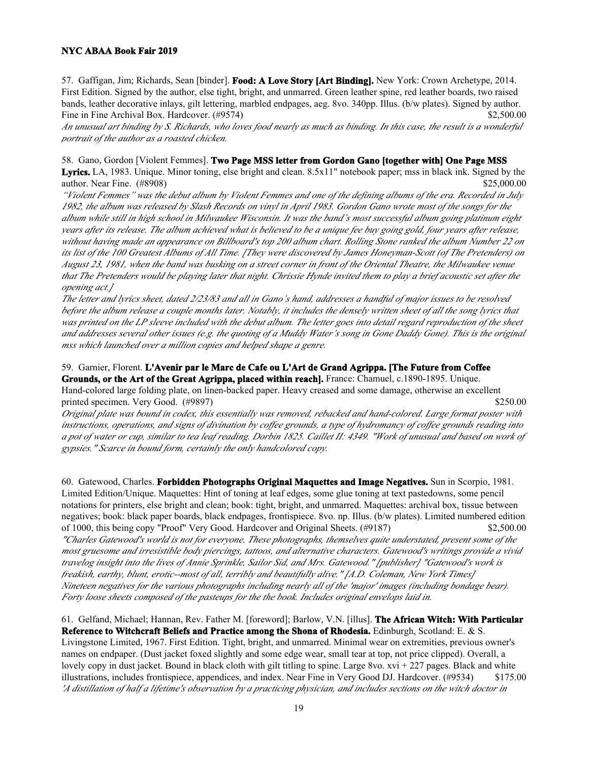57. Gaffigan, Jim; Richards, Sean [binder]. **Food: A Love Story [Art Binding].** New York: Crown Archetype, 2014. First Edition. Signed by the author, else tight, bright, and unmarred. Green leather spine, red leather boards, two raised bands, leather decorative inlays, gilt lettering, marbled endpages, aeg. 8vo. 340pp. Illus. (b/w plates). Signed by author. Fine in Fine Archival Box. Hardcover. (#9574) \$2,500.00

*An unusual art binding by S. Richards, who loves food nearly as much as binding. In this case, the result is a wonderful portrait of the author as a roasted chicken.*

58. Gano, Gordon [Violent Femmes]. **Two Page MSS letter from Gordon Gano [together with] One Page MSS Lyrics.** LA, 1983. Unique. Minor toning, else bright and clean. 8.5x11" notebook paper; mss in black ink. Signed by the author. Near Fine. (#8908) \$25,000.00

*"Violent Femmes" was the debut album by Violent Femmes and one of the defining albums of the era. Recorded in July 1982, the album was released by Slash Records on vinyl in April 1983. Gordon Gano wrote most of the songs for the album while still in high school in Milwaukee Wisconsin. It was the band's most successful album going platinum eight years after its release. The album achieved what is believed to be a unique fee buy going gold, four years after release, without having made an appearance on Billboard's top 200 album chart. Rolling Stone ranked the album Number 22 on its list of the 100 Greatest Albums of All Time. [They were discovered by James Honeyman-Scott (of The Pretenders) on August 23, 1981, when the band was busking on a street corner in front of the Oriental Theatre, the Milwaukee venue that The Pretenders would be playing later that night. Chrissie Hynde invited them to play a brief acoustic set after the opening act.]*

*The letter and lyrics sheet, dated 2/23/83 and all in Gano's hand, addresses a handful of major issues to be resolved before the album release a couple months later. Notably, it includes the densely written sheet of all the song lyrics that was printed on the LP sleeve included with the debut album. The letter goes into detail regard reproduction of the sheet and addresses several other issues (e.g. the quoting of a Muddy Water's song in Gone Daddy Gone). This is the original mss which launched over a million copies and helped shape a genre.*

#### 59. Garnier, Florent. **L'Avenir par le Marc de Cafe ou L'Art de Grand Agrippa. [The Future from Coffee Grounds, or the Art of the Great Agrippa, placed within reach].** France: Chamuel, c.1890-1895. Unique.

Hand-colored large folding plate, on linen-backed paper. Heavy creased and some damage, otherwise an excellent printed specimen. Very Good. (#9897) \$250.00

*Original plate was bound in codex, this essentially was removed, rebacked and hand-colored. Large format poster with instructions, operations, and signs of divination by coffee grounds, a type of hydromancy of coffee grounds reading into a pot of water or cup, similar to tea leaf reading. Dorbin 1825. Caillet II: 4349. "Work of unusual and based on work of gypsies." Scarce in bound form, certainly the only handcolored copy.*

60. Gatewood, Charles. **Forbidden Photographs Original Maquettes and Image Negatives.** Sun in Scorpio, 1981. Limited Edition/Unique. Maquettes: Hint of toning at leaf edges, some glue toning at text pastedowns, some pencil notations for printers, else bright and clean; book: tight, bright, and unmarred. Maquettes: archival box, tissue between negatives; book: black paper boards, black endpages, frontispiece. 8vo. np. Illus. (b/w plates). Limited numbered edition of 1000, this being copy "Proof" Very Good. Hardcover and Original Sheets. (#9187) \$2,500.00

*"Charles Gatewood's world is not for everyone. These photographs, themselves quite understated, present some of the most gruesome and irresistible body piercings, tattoos, and alternative characters. Gatewood's writings provide a vivid travelog insight into the lives of Annie Sprinkle, Sailor Sid, and Mrs. Gatewood." [publisher] "Gatewood's work is freakish, earthy, blunt, erotic--most of all, terribly and beautifully alive." [A.D. Coleman, New York Times] Nineteen negatives for the various photographs including nearly all of the 'major' images (including bondage bear). Forty loose sheets composed of the pasteups for the the book. Includes original envelops laid in.*

61. Gelfand, Michael; Hannan, Rev. Father M. [foreword]; Barlow, V.N. [illus]. **The African Witch: With Particular Reference to Witchcraft Beliefs and Practice among the Shona of Rhodesia.** Edinburgh, Scotland: E. & S. Livingstone Limited, 1967. First Edition. Tight, bright, and unmarred. Minimal wear on extremities, previous owner's names on endpaper. (Dust jacket foxed slightly and some edge wear, small tear at top, not price clipped). Overall, a lovely copy in dust jacket. Bound in black cloth with gilt titling to spine. Large 8vo. xvi + 227 pages. Black and white illustrations, includes frontispiece, appendices, and index. Near Fine in Very Good DJ. Hardcover. (#9534) \$175.00 *'A distillation of half a lifetime's observation by a practicing physician, and includes sections on the witch doctor in*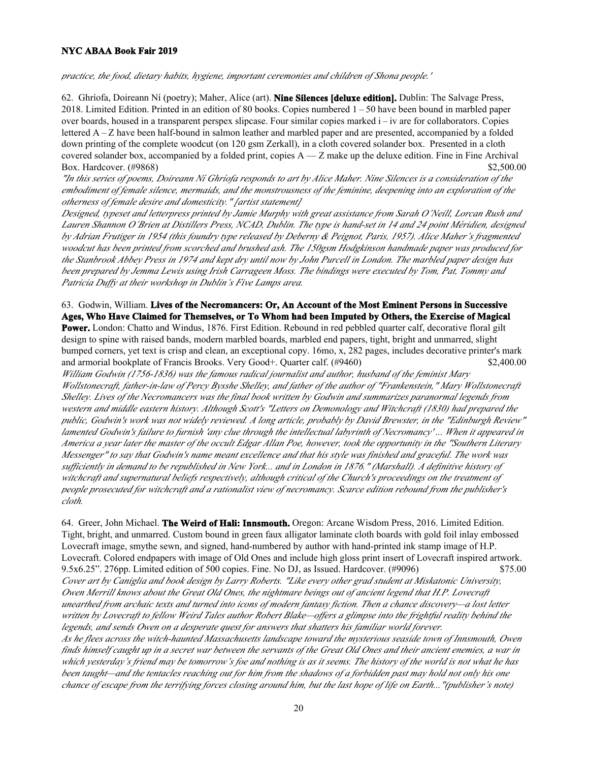*practice, the food, dietary habits, hygiene, important ceremonies and children of Shona people.'*

62. Ghríofa, Doireann Ní (poetry); Maher, Alice (art). **Nine Silences [deluxe edition].** Dublin: The Salvage Press, 2018. Limited Edition. Printed in an edition of 80 books. Copies numbered 1 – 50 have been bound in marbled paper over boards, housed in a transparent perspex slipcase. Four similar copies marked i – iv are for collaborators. Copies lettered A – Z have been half-bound in salmon leather and marbled paper and are presented, accompanied by a folded down printing of the complete woodcut (on 120 gsm Zerkall), in a cloth covered solander box. Presented in a cloth covered solander box, accompanied by a folded print, copies A — Z make up the deluxe edition. Fine in Fine Archival Box. Hardcover. (#9868) \$2,500.00

*"In this series of poems, Doireann Ní Ghríofa responds to art by Alice Maher. Nine Silences is a consideration of the embodiment of female silence, mermaids, and the monstrousness of the feminine, deepening into an exploration of the otherness of female desire and domesticity." [artist statement]*

*Designed, typeset and letterpress printed by Jamie Murphy with great assistance from Sarah O'Neill, Lorcan Rush and Lauren Shannon O'Brien at Distillers Press, NCAD, Dublin. The type is hand-set in 14 and 24 point Méridien, designed by Adrian Frutiger in 1954 (this foundry type released by Deberny & Peignot, Paris, 1957). Alice Maher's fragmented woodcut has been printed from scorched and brushed ash. The 150gsm Hodgkinson handmade paper was produced for the Stanbrook Abbey Press in 1974 and kept dry until now by John Purcell in London. The marbled paper design has been prepared by Jemma Lewis using Irish Carrageen Moss. The bindings were executed by Tom, Pat, Tommy and Patricia Duffy at their workshop in Dublin's Five Lamps area.*

# 63. Godwin, William. **Lives of the Necromancers: Or, An Account of the Most Eminent Persons in Successive Ages, Who Have Claimed for Themselves, or To Whom had been Imputed by Others, the Exercise of Magical**

**Power.** London: Chatto and Windus, 1876. First Edition. Rebound in red pebbled quarter calf, decorative floral gilt design to spine with raised bands, modern marbled boards, marbled end papers, tight, bright and unmarred, slight bumped corners, yet text is crisp and clean, an exceptional copy. 16mo, x, 282 pages, includes decorative printer's mark and armorial bookplate of Francis Brooks. Very Good+. Quarter calf. (#9460) \$2,400.00

*William Godwin (1756-1836) was the famous radical journalist and author, husband of the feminist Mary Wollstonecraft, father-in-law of Percy Bysshe Shelley, and father of the author of "Frankenstein," Mary Wollstonecraft Shelley. Lives of the Necromancers was the final book written by Godwin and summarizes paranormal legends from western and middle eastern history. Although Scott's "Letters on Demonology and Witchcraft (1830) had prepared the public, Godwin's work was not widely reviewed. A long article, probably by David Brewster, in the "Edinburgh Review" lamented Godwin's failure to furnish 'any clue through the intellectual labyrinth of Necromancy' ... When it appeared in America a year later the master of the occult Edgar Allan Poe, however, took the opportunity in the "Southern Literary Messenger" to say that Godwin's name meant excellence and that his style was finished and graceful. The work was sufficiently in demand to be republished in New York... and in London in 1876." (Marshall). A definitive history of witchcraft and supernatural beliefs respectively, although critical of the Church's proceedings on the treatment of people prosecuted for witchcraft and a rationalist view of necromancy. Scarce edition rebound from the publisher's cloth.*

64. Greer, John Michael. **The Weird of Hali: Innsmouth.** Oregon: Arcane Wisdom Press, 2016. Limited Edition. Tight, bright, and unmarred. Custom bound in green faux alligator laminate cloth boards with gold foil inlay embossed Lovecraft image, smythe sewn, and signed, hand-numbered by author with hand-printed ink stamp image of H.P. Lovecraft. Colored endpapers with image of Old Ones and include high gloss print insert of Lovecraft inspired artwork. 9.5x6.25". 276pp. Limited edition of 500 copies. Fine. No DJ, as Issued. Hardcover. (#9096) \$75.00 *Cover art by Caniglia and book design by Larry Roberts. "Like every other grad student at Miskatonic University, Owen Merrill knows about the Great Old Ones, the nightmare beings out of ancient legend that H.P. Lovecraft unearthed from archaic texts and turned into icons of modern fantasy fiction. Then a chance discovery—a lost letter written by Lovecraft to fellow Weird Tales author Robert Blake—offers a glimpse into the frightful reality behind the legends, and sends Owen on a desperate quest for answers that shatters his familiar world forever. As he flees across the witch-haunted Massachusetts landscape toward the mysterious seaside town of Innsmouth, Owen finds himself caught up in a secret war between the servants of the Great Old Ones and their ancient enemies, a war in which yesterday's friend may be tomorrow's foe and nothing is as it seems. The history of the world is not what he has been taught—and the tentacles reaching out for him from the shadows of a forbidden past may hold not only his one*

*chance of escape from the terrifying forces closing around him, but the last hope of life on Earth..."(publisher's note)*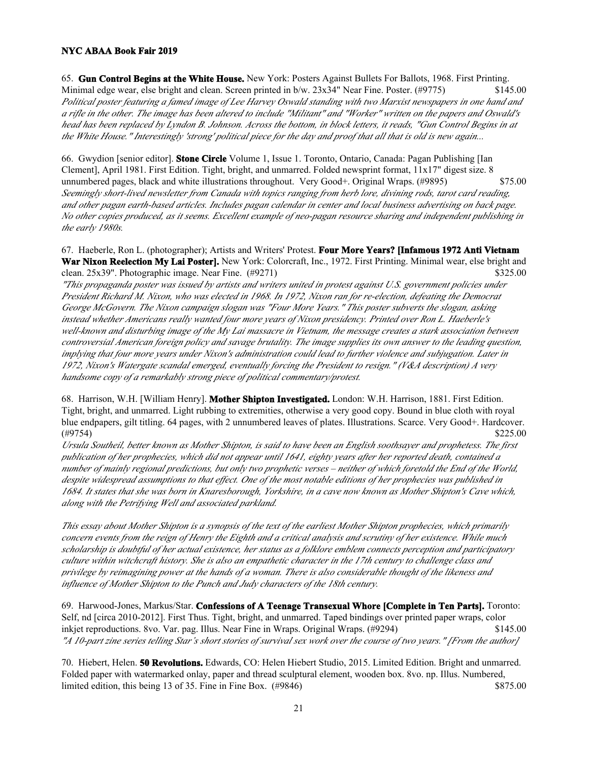65. **Gun Control Begins at the White House.** New York: Posters Against Bullets For Ballots, 1968. First Printing. Minimal edge wear, else bright and clean. Screen printed in  $b/w$ . 23x34" Near Fine. Poster. (#9775) \$145.00 *Political poster featuring a famed image of Lee Harvey Oswald standing with two Marxist newspapers in one hand and a rifle in the other. The image has been altered to include "Militant" and "Worker" written on the papers and Oswald's head has been replaced by Lyndon B. Johnson. Across the bottom, in block letters, it reads, "Gun Control Begins in at the White House." Interestingly 'strong' political piece for the day and proof that all that is old is new again...*

66. Gwydion [senior editor]. **Stone Circle** Volume 1, Issue 1. Toronto, Ontario, Canada: Pagan Publishing [Ian Clement], April 1981. First Edition. Tight, bright, and unmarred. Folded newsprint format, 11x17" digest size. 8 unnumbered pages, black and white illustrations throughout. Very Good+. Original Wraps. (#9895) \$75.00 *Seemingly short-lived newsletter from Canada with topics ranging from herb lore, divining rods, tarot card reading, and other pagan earth-based articles. Includes pagan calendar in center and local business advertising on back page. No other copies produced, as it seems. Excellent example of neo-pagan resource sharing and independent publishing in the early 1980s.*

67. Haeberle, Ron L. (photographer); Artists and Writers' Protest. **Four More Years? [Infamous 1972 Anti Vietnam War Nixon Reelection My Lai Poster].** New York: Colorcraft, Inc., 1972. First Printing. Minimal wear, else bright and clean. 25x39". Photographic image. Near Fine. (#9271) \$325.00

*"This propaganda poster was issued by artists and writers united in protest against U.S. government policies under President Richard M. Nixon, who was elected in 1968. In 1972, Nixon ran for re-election, defeating the Democrat George McGovern. The Nixon campaign slogan was "Four More Years." This poster subverts the slogan, asking instead whether Americans really wanted four more years of Nixon presidency. Printed over Ron L. Haeberle's well-known and disturbing image of the My Lai massacre in Vietnam, the message creates a stark association between controversial American foreign policy and savage brutality. The image supplies its own answer to the leading question, implying that four more years under Nixon's administration could lead to further violence and subjugation. Later in 1972, Nixon's Watergate scandal emerged, eventually forcing the President to resign." (V&A description) A very handsome copy of a remarkably strong piece of political commentary/protest.*

68. Harrison, W.H. [William Henry]. **Mother Shipton Investigated.** London: W.H. Harrison, 1881. First Edition. Tight, bright, and unmarred. Light rubbing to extremities, otherwise a very good copy. Bound in blue cloth with royal blue endpapers, gilt titling. 64 pages, with 2 unnumbered leaves of plates. Illustrations. Scarce. Very Good+. Hardcover. (#9754) \$225.00

*Ursula Southeil, better known as Mother Shipton, is said to have been an English soothsayer and prophetess. The first publication of her prophecies, which did not appear until 1641, eighty years after her reported death, contained a number of mainly regional predictions, but only two prophetic verses – neither of which foretold the End of the World, despite widespread assumptions to that effect. One of the most notable editions of her prophecies was published in 1684. It states that she was born in Knaresborough, Yorkshire, in a cave now known as Mother Shipton's Cave which, along with the Petrifying Well and associated parkland.*

*This essay about Mother Shipton is a synopsis of the text of the earliest Mother Shipton prophecies, which primarily concern events from the reign of Henry the Eighth and a critical analysis and scrutiny of her existence. While much scholarship is doubtful of her actual existence, her status as a folklore emblem connects perception and participatory culture within witchcraft history. She is also an empathetic character in the 17th century to challenge class and privilege by reimagining power at the hands of a woman. There is also considerable thought of the likeness and influence of Mother Shipton to the Punch and Judy characters of the 18th century.*

69. Harwood-Jones, Markus/Star. **Confessions of A Teenage Transexual Whore [Complete in Ten Parts].** Toronto: Self, nd [circa 2010-2012]. First Thus. Tight, bright, and unmarred. Taped bindings over printed paper wraps, color inkjet reproductions. 8vo. Var. pag. Illus. Near Fine in Wraps. Original Wraps. (#9294) \$145.00 *"A 10-part zine series telling Star's short stories of survival sex work over the course of two years." [From the author]*

70. Hiebert, Helen. **50 Revolutions.** Edwards, CO: Helen Hiebert Studio, 2015. Limited Edition. Bright and unmarred. Folded paper with watermarked onlay, paper and thread sculptural element, wooden box. 8vo. np. Illus. Numbered, limited edition, this being 13 of 35. Fine in Fine Box.  $(\text{\#9846})$  \$875.00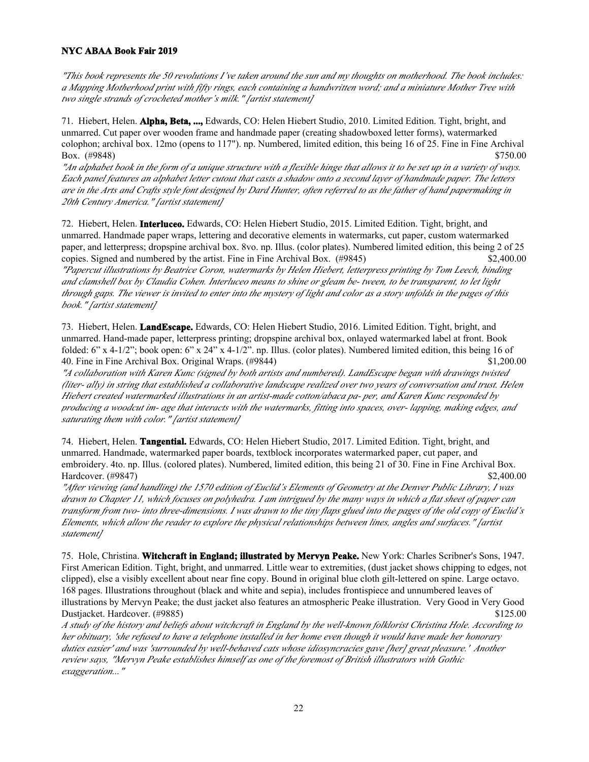*"This book represents the 50 revolutions I've taken around the sun and my thoughts on motherhood. The book includes: a Mapping Motherhood print with fifty rings, each containing a handwritten word; and a miniature Mother Tree with two single strands of crocheted mother's milk." [artist statement]*

71. Hiebert, Helen. **Alpha, Beta, ...,** Edwards, CO: Helen Hiebert Studio, 2010. Limited Edition. Tight, bright, and unmarred. Cut paper over wooden frame and handmade paper (creating shadowboxed letter forms), watermarked colophon; archival box. 12mo (opens to 117"). np. Numbered, limited edition, this being 16 of 25. Fine in Fine Archival Box. (#9848) \$750.00

*"An alphabet book in the form of a unique structure with a flexible hinge that allows it to be set up in a variety of ways. Each panel features an alphabet letter cutout that casts a shadow onto a second layer of handmade paper. The letters are in the Arts and Crafts style font designed by Dard Hunter, often referred to as the father of hand papermaking in 20th Century America." [artist statement]*

72. Hiebert, Helen. **Interluceo.** Edwards, CO: Helen Hiebert Studio, 2015. Limited Edition. Tight, bright, and unmarred. Handmade paper wraps, lettering and decorative elements in watermarks, cut paper, custom watermarked paper, and letterpress; dropspine archival box. 8vo. np. Illus. (color plates). Numbered limited edition, this being 2 of 25 copies. Signed and numbered by the artist. Fine in Fine Archival Box. (#9845) \$2,400.00

*"Papercut illustrations by Beatrice Coron, watermarks by Helen Hiebert, letterpress printing by Tom Leech, binding and clamshell box by Claudia Cohen. Interluceo means to shine or gleam be- tween, to be transparent, to let light through gaps. The viewer is invited to enter into the mystery of light and color as a story unfolds in the pages of this book." [artist statement]*

73. Hiebert, Helen. **LandEscape.** Edwards, CO: Helen Hiebert Studio, 2016. Limited Edition. Tight, bright, and unmarred. Hand-made paper, letterpress printing; dropspine archival box, onlayed watermarked label at front. Book folded: 6" x 4-1/2"; book open: 6" x 24" x 4-1/2". np. Illus. (color plates). Numbered limited edition, this being 16 of 40. Fine in Fine Archival Box. Original Wraps. (#9844) \$1,200.00

*"A collaboration with Karen Kunc (signed by both artists and numbered). LandEscape began with drawings twisted (liter- ally) in string that established a collaborative landscape realized over two years of conversation and trust. Helen Hiebert created watermarked illustrations in an artist-made cotton/abaca pa- per, and Karen Kunc responded by producing a woodcut im- age that interacts with the watermarks, fitting into spaces, over- lapping, making edges, and saturating them with color." [artist statement]*

74. Hiebert, Helen. **Tangential.** Edwards, CO: Helen Hiebert Studio, 2017. Limited Edition. Tight, bright, and unmarred. Handmade, watermarked paper boards, textblock incorporates watermarked paper, cut paper, and embroidery. 4to. np. Illus. (colored plates). Numbered, limited edition, this being 21 of 30. Fine in Fine Archival Box. Hardcover. (#9847) \$2,400.00

*"After viewing (and handling) the 1570 edition of Euclid's Elements of Geometry at the Denver Public Library, I was drawn to Chapter 11, which focuses on polyhedra. I am intrigued by the many ways in which a flat sheet of paper can transform from two- into three-dimensions. I was drawn to the tiny flaps glued into the pages of the old copy of Euclid's Elements, which allow the reader to explore the physical relationships between lines, angles and surfaces." [artist statement]*

75. Hole, Christina. **Witchcraft in England; illustrated by Mervyn Peake.** New York: Charles Scribner's Sons, 1947. First American Edition. Tight, bright, and unmarred. Little wear to extremities, (dust jacket shows chipping to edges, not clipped), else a visibly excellent about near fine copy. Bound in original blue cloth gilt-lettered on spine. Large octavo. 168 pages. Illustrations throughout (black and white and sepia), includes frontispiece and unnumbered leaves of illustrations by Mervyn Peake; the dust jacket also features an atmospheric Peake illustration. Very Good in Very Good Dustjacket. Hardcover. (#9885) \$125.00

*A study of the history and beliefs about witchcraft in England by the well-known folklorist Christina Hole. According to her obituary, 'she refused to have a telephone installed in her home even though it would have made her honorary duties easier' and was 'surrounded by well-behaved cats whose idiosyncracies gave [her] great pleasure.' Another review says, "Mervyn Peake establishes himself as one of the foremost of British illustrators with Gothic exaggeration..."*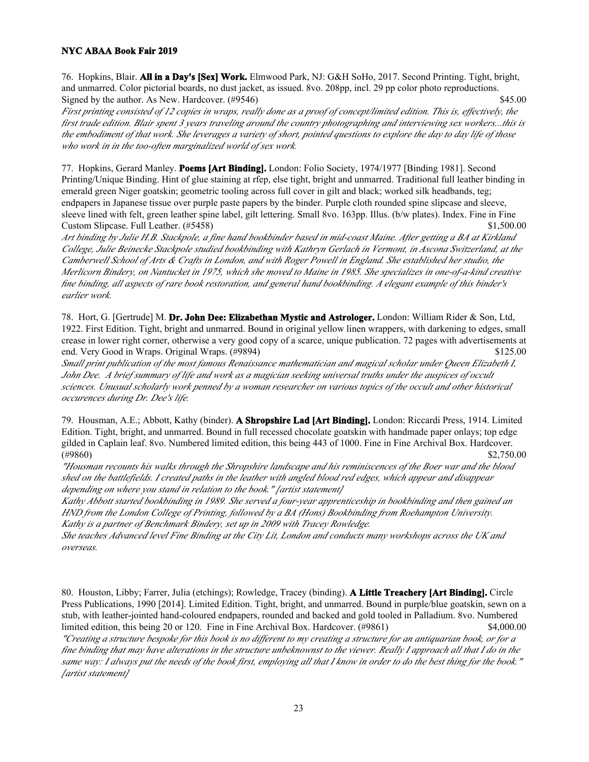76. Hopkins, Blair. **All in a Day's [Sex] Work.** Elmwood Park, NJ: G&H SoHo, 2017. Second Printing. Tight, bright, and unmarred. Color pictorial boards, no dust jacket, as issued. 8vo. 208pp, incl. 29 pp color photo reproductions. Signed by the author. As New. Hardcover. (#9546) \$45.00 \$45.00

*First printing consisted of 12 copies in wraps, really done as a proof of concept/limited edition. This is, effectively, the first trade edition. Blair spent 3 years traveling around the country photographing and interviewing sex workers...this is the embodiment of that work. She leverages a variety of short, pointed questions to explore the day to day life of those who work in in the too-often marginalized world of sex work.*

77. Hopkins, Gerard Manley. **Poems [Art Binding].** London: Folio Society, 1974/1977 [Binding 1981]. Second Printing/Unique Binding. Hint of glue staining at rfep, else tight, bright and unmarred. Traditional full leather binding in emerald green Niger goatskin; geometric tooling across full cover in gilt and black; worked silk headbands, teg; endpapers in Japanese tissue over purple paste papers by the binder. Purple cloth rounded spine slipcase and sleeve, sleeve lined with felt, green leather spine label, gilt lettering. Small 8vo. 163pp. Illus. (b/w plates). Index. Fine in Fine Custom Slipcase. Full Leather. (#5458)  $\qquad \qquad$  \$1,500.00

*Art binding by Julie H.B. Stackpole, a fine hand bookbinder based in mid-coast Maine. After getting a BA at Kirkland College, Julie Beinecke Stackpole studied bookbinding with Kathryn Gerlach in Vermont, in Ascona Switzerland, at the Camberwell School of Arts & Crafts in London, and with Roger Powell in England. She established her studio, the Merlicorn Bindery, on Nantucket in 1975, which she moved to Maine in 1985. She specializes in one-of-a-kind creative fine binding, all aspects of rare book restoration, and general hand bookbinding. A elegant example of this binder's earlier work.*

78. Hort, G. [Gertrude] M. **Dr. John Dee: Elizabethan Mystic and Astrologer.** London: William Rider & Son, Ltd, 1922. First Edition. Tight, bright and unmarred. Bound in original yellow linen wrappers, with darkening to edges, small crease in lower right corner, otherwise a very good copy of a scarce, unique publication. 72 pages with advertisements at end. Very Good in Wraps. Original Wraps. (#9894)  $$125.00$ 

*Small print publication of the most famous Renaissance mathematician and magical scholar under Queen Elizabeth I, John Dee. A brief summary of life and work as a magician seeking universal truths under the auspices of occult sciences. Unusual scholarly work penned by a woman researcher on various topics of the occult and other historical occurences during Dr. Dee's life.*

79. Housman, A.E.; Abbott, Kathy (binder). **A Shropshire Lad [Art Binding].** London: Riccardi Press, 1914. Limited Edition. Tight, bright, and unmarred. Bound in full recessed chocolate goatskin with handmade paper onlays; top edge gilded in Caplain leaf. 8vo. Numbered limited edition, this being 443 of 1000. Fine in Fine Archival Box. Hardcover.  $(#9860)$  \$2,750.00

*"Housman recounts his walks through the Shropshire landscape and his reminiscences of the Boer war and the blood shed on the battlefields. I created paths in the leather with angled blood red edges, which appear and disappear depending on where you stand in relation to the book." [artist statement]*

*Kathy Abbott started bookbinding in 1989. She served a four-year apprenticeship in bookbinding and then gained an HND from the London College of Printing, followed by a BA (Hons) Bookbinding from Roehampton University. Kathy is a partner of Benchmark Bindery, set up in 2009 with Tracey Rowledge.*

*She teaches Advanced level Fine Binding at the City Lit, London and conducts many workshops across the UK and overseas.*

80. Houston, Libby; Farrer, Julia (etchings); Rowledge, Tracey (binding). **A Little Treachery [Art Binding].** Circle Press Publications, 1990 [2014]. Limited Edition. Tight, bright, and unmarred. Bound in purple/blue goatskin, sewn on a stub, with leather-jointed hand-coloured endpapers, rounded and backed and gold tooled in Palladium. 8vo. Numbered limited edition, this being 20 or 120. Fine in Fine Archival Box. Hardcover. (#9861) \$4,000.00

*"Creating a structure bespoke for this book is no different to my creating a structure for an antiquarian book, or for a fine binding that may have alterations in the structure unbeknownst to the viewer. Really I approach all that I do in the same way: I always put the needs of the book first, employing all that I know in order to do the best thing for the book." [artist statement]*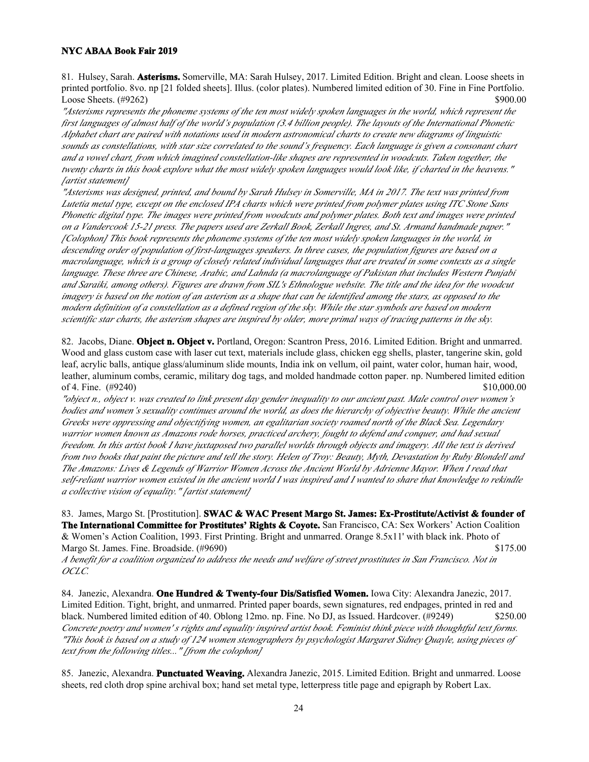81. Hulsey, Sarah. **Asterisms.** Somerville, MA: Sarah Hulsey, 2017. Limited Edition. Bright and clean. Loose sheets in printed portfolio. 8vo. np [21 folded sheets]. Illus. (color plates). Numbered limited edition of 30. Fine in Fine Portfolio.  $\angle$  Loose Sheets. (#9262)  $\angle$  \$900.00

*"Asterisms represents the phoneme systems of the ten most widely spoken languages in the world, which represent the first languages of almost half of the world's population (3.4 billion people). The layouts of the International Phonetic Alphabet chart are paired with notations used in modern astronomical charts to create new diagrams of linguistic sounds as constellations, with star size correlated to the sound's frequency. Each language is given a consonant chart and a vowel chart, from which imagined constellation-like shapes are represented in woodcuts. Taken together, the twenty charts in this book explore what the most widely spoken languages would look like, if charted in the heavens." [artist statement]*

*"Asterisms was designed, printed, and bound by Sarah Hulsey in Somerville, MA in 2017. The text was printed from Lutetia metal type, except on the enclosed IPA charts which were printed from polymer plates using ITC Stone Sans Phonetic digital type. The images were printed from woodcuts and polymer plates. Both text and images were printed on a Vandercook 15-21 press. The papers used are Zerkall Book, Zerkall Ingres, and St. Armand handmade paper." [Colophon] This book represents the phoneme systems of the ten most widely spoken languages in the world, in descending order of population of first-languages speakers. In three cases, the population figures are based on a macrolanguage, which is a group of closely related individual languages that are treated in some contexts as a single language. These three are Chinese, Arabic, and Lahnda (a macrolanguage of Pakistan that includes Western Punjabi and Saraiki, among others). Figures are drawn from SIL's Ethnologue website. The title and the idea for the woodcut imagery is based on the notion of an asterism as a shape that can be identified among the stars, as opposed to the modern definition of a constellation as a defined region of the sky. While the star symbols are based on modern scientific star charts, the asterism shapes are inspired by older, more primal ways of tracing patterns in the sky.*

82. Jacobs, Diane. **Object n. Object v.** Portland, Oregon: Scantron Press, 2016. Limited Edition. Bright and unmarred. Wood and glass custom case with laser cut text, materials include glass, chicken egg shells, plaster, tangerine skin, gold leaf, acrylic balls, antique glass/aluminum slide mounts, India ink on vellum, oil paint, water color, human hair, wood, leather, aluminum combs, ceramic, military dog tags, and molded handmade cotton paper. np. Numbered limited edition of 4. Fine.  $(\#9240)$  \$10,000.00

*"object n., object v. was created to link present day gender inequality to our ancient past. Male control over women's bodies and women's sexuality continues around the world, as does the hierarchy of objective beauty. While the ancient Greeks were oppressing and objectifying women, an egalitarian society roamed north of the Black Sea. Legendary warrior women known as Amazons rode horses, practiced archery, fought to defend and conquer, and had sexual freedom. In this artist book I have juxtaposed two parallel worlds through objects and imagery. All the text is derived from two books that paint the picture and tell the story. Helen of Troy: Beauty, Myth, Devastation by Ruby Blondell and The Amazons: Lives & Legends of Warrior Women Across the Ancient World by Adrienne Mayor. When I read that self-reliant warrior women existed in the ancient world I was inspired and I wanted to share that knowledge to rekindle a collective vision of equality." [artist statement]*

83. James, Margo St. [Prostitution]. **SWAC & WAC Present Margo St. James: Ex-Prostitute/Activist & founder of The International Committee for Prostitutes' Rights & Coyote.** San Francisco, CA: Sex Workers' Action Coalition & Women's Action Coalition, 1993. First Printing. Bright and unmarred. Orange 8.5x11' with black ink. Photo of Margo St. James. Fine. Broadside. (#9690)  $$175.00$ 

*A benefit for a coalition organized to address the needs and welfare of street prostitutes in San Francisco. Not in OCLC.*

84. Janezic, Alexandra. **One Hundred & Twenty-four Dis/Satisfied Women.** Iowa City: Alexandra Janezic, 2017. Limited Edition. Tight, bright, and unmarred. Printed paper boards, sewn signatures, red endpages, printed in red and black. Numbered limited edition of 40. Oblong 12mo. np. Fine. No DJ, as Issued. Hardcover. (#9249) \$250.00 *Concrete poetry and women' s rights and equality inspired artist book. Feminist think piece with thoughtful text forms. "This book is based on a study of 124 women stenographers by psychologist Margaret Sidney Quayle, using pieces of text from the following titles..." [from the colophon]*

85. Janezic, Alexandra. **Punctuated Weaving.** Alexandra Janezic, 2015. Limited Edition. Bright and unmarred. Loose sheets, red cloth drop spine archival box; hand set metal type, letterpress title page and epigraph by Robert Lax.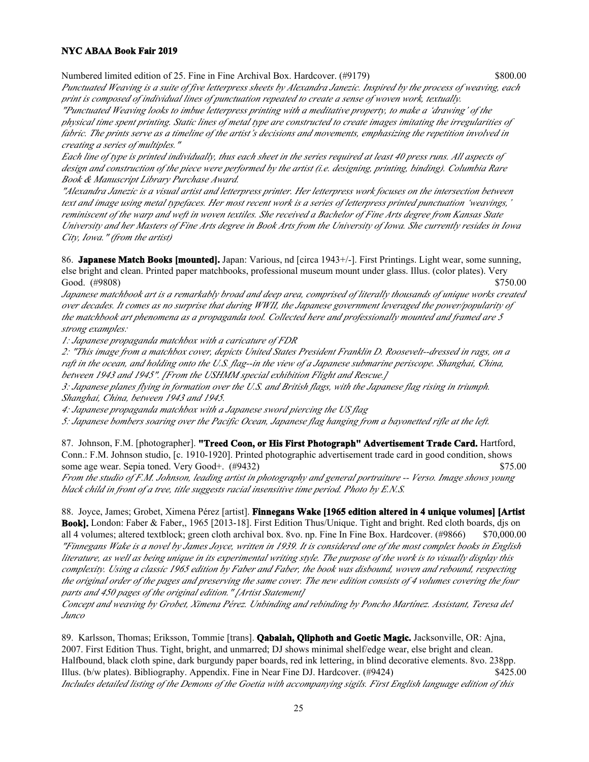Numbered limited edition of 25. Fine in Fine Archival Box. Hardcover. (#9179) \$800.00 *Punctuated Weaving is a suite of five letterpress sheets by Alexandra Janezic. Inspired by the process of weaving, each print is composed of individual lines of punctuation repeated to create a sense of woven work, textually. "Punctuated Weaving looks to imbue letterpress printing with a meditative property, to make a 'drawing' of the physical time spent printing. Static lines of metal type are constructed to create images imitating the irregularities of fabric. The prints serve as a timeline of the artist's decisions and movements, emphasizing the repetition involved in*

*creating a series of multiples."*

*Each line of type is printed individually, thus each sheet in the series required at least 40 press runs. All aspects of design and construction of the piece were performed by the artist (i.e. designing, printing, binding). Columbia Rare Book & Manuscript Library Purchase Award.*

*"Alexandra Janezic is a visual artist and letterpress printer. Her letterpress work focuses on the intersection between text and image using metal typefaces. Her most recent work is a series of letterpress printed punctuation 'weavings,' reminiscent of the warp and weft in woven textiles. She received a Bachelor of Fine Arts degree from Kansas State University and her Masters of Fine Arts degree in Book Arts from the University of Iowa. She currently resides in Iowa City, Iowa." (from the artist)*

86. **Japanese Match Books [mounted].** Japan: Various, nd [circa 1943+/-]. First Printings. Light wear, some sunning, else bright and clean. Printed paper matchbooks, professional museum mount under glass. Illus. (color plates). Very Good. (#9808) \$750.00

*Japanese matchbook art is a remarkably broad and deep area, comprised of literally thousands of unique works created over decades. It comes as no surprise that during WWII, the Japanese government leveraged the power/popularity of the matchbook art phenomena as a propaganda tool. Collected here and professionally mounted and framed are 5 strong examples:*

*1: Japanese propaganda matchbox with a caricature of FDR*

*2: "This image from a matchbox cover, depicts United States President Franklin D. Roosevelt--dressed in rags, on a raft in the ocean, and holding onto the U.S. flag--in the view of a Japanese submarine periscope. Shanghai, China, between 1943 and 1945". [From the USHMM special exhibition Flight and Rescue.]*

*3: Japanese planes flying in formation over the U.S. and British flags, with the Japanese flag rising in triumph. Shanghai, China, between 1943 and 1945.*

*4: Japanese propaganda matchbox with a Japanese sword piercing the US flag*

*5: Japanese bombers soaring over the Pacific Ocean, Japanese flag hanging from a bayonetted rifle at the left.*

87. Johnson, F.M. [photographer]. **"Treed Coon, or His First Photograph" Advertisement Trade Card.** Hartford, Conn.: F.M. Johnson studio, [c. 1910-1920]. Printed photographic advertisement trade card in good condition, shows some age wear. Sepia toned. Very Good+. (#9432) \$75.00

*From the studio of F.M. Johnson, leading artist in photography and general portraiture -- Verso. Image shows young black child in front of a tree, title suggests racial insensitive time period. Photo by E.N.S.*

88. Joyce, James; Grobet, Ximena Pérez [artist]. **Finnegans Wake [1965 edition altered in 4 unique volumes] [Artist Book].** London: Faber & Faber,, 1965 [2013-18]. First Edition Thus/Unique. Tight and bright. Red cloth boards, djs on all 4 volumes; altered textblock; green cloth archival box. 8vo. np. Fine In Fine Box. Hardcover. (#9866) \$70,000.00 *"Finnegans Wake is a novel by James Joyce, written in 1939. It is considered one of the most complex books in English literature, as well as being unique in its experimental writing style. The purpose of the work is to visually display this complexity. Using a classic 1965 edition by Faber and Faber, the book was disbound, woven and rebound, respecting the original order of the pages and preserving the same cover. The new edition consists of 4 volumes covering the four parts and 450 pages of the original edition." [Artist Statement]*

*Concept and weaving by Grobet, Ximena Pérez. Unbinding and rebinding by Poncho Martínez. Assistant, Teresa del Junco*

89. Karlsson, Thomas; Eriksson, Tommie [trans]. **Qabalah, Qliphoth and Goetic Magic.** Jacksonville, OR: Ajna, 2007. First Edition Thus. Tight, bright, and unmarred; DJ shows minimal shelf/edge wear, else bright and clean. Halfbound, black cloth spine, dark burgundy paper boards, red ink lettering, in blind decorative elements. 8vo. 238pp. Illus. (b/w plates). Bibliography. Appendix. Fine in Near Fine DJ. Hardcover. (#9424) \$425.00 *Includes detailed listing of the Demons of the Goetia with accompanying sigils. First English language edition of this*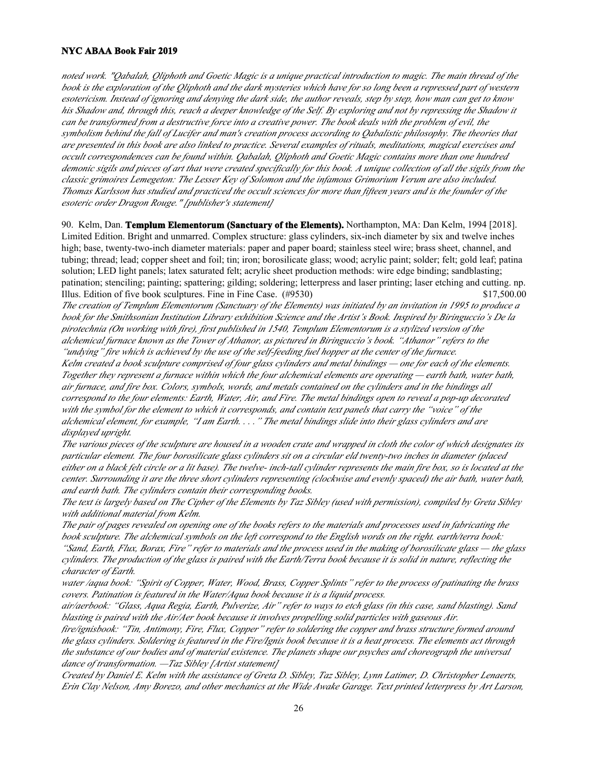*noted work. "Qabalah, Qliphoth and Goetic Magic is a unique practical introduction to magic. The main thread of the book is the exploration of the Qliphoth and the dark mysteries which have for so long been a repressed part of western esotericism. Instead of ignoring and denying the dark side, the author reveals, step by step, how man can get to know his Shadow and, through this, reach a deeper knowledge of the Self. By exploring and not by repressing the Shadow it can be transformed from a destructive force into a creative power. The book deals with the problem of evil, the symbolism behind the fall of Lucifer and man's creation process according to Qabalistic philosophy. The theories that are presented in this book are also linked to practice. Several examples of rituals, meditations, magical exercises and occult correspondences can be found within. Qabalah, Qliphoth and Goetic Magic contains more than one hundred demonic sigils and pieces of art that were created specifically for this book. A unique collection of all the sigils from the classic grimoires Lemegeton: The Lesser Key of Solomon and the infamous Grimorium Verum are also included. Thomas Karlsson has studied and practiced the occult sciences for more than fifteen years and is the founder of the esoteric order Dragon Rouge." [publisher's statement]*

90. Kelm, Dan. **Templum Elementorum (Sanctuary of the Elements).** Northampton, MA: Dan Kelm, 1994 [2018]. Limited Edition. Bright and unmarred. Complex structure: glass cylinders, six-inch diameter by six and twelve inches high; base, twenty-two-inch diameter materials: paper and paper board; stainless steel wire; brass sheet, channel, and tubing; thread; lead; copper sheet and foil; tin; iron; borosilicate glass; wood; acrylic paint; solder; felt; gold leaf; patina solution; LED light panels; latex saturated felt; acrylic sheet production methods: wire edge binding; sandblasting; patination; stenciling; painting; spattering; gilding; soldering; letterpress and laser printing; laser etching and cutting. np. Illus. Edition of five book sculptures. Fine in Fine Case. (#9530) \$17,500.00

*The creation of Templum Elementorum (Sanctuary of the Elements) was initiated by an invitation in 1995 to produce a book for the Smithsonian Institution Library exhibition Science and the Artist's Book. Inspired by Biringuccio's De la pirotechnia (On working with fire), first published in 1540, Templum Elementorum is a stylized version of the alchemical furnace known as the Tower of Athanor, as pictured in Biringuccio's book. "Athanor" refers to the "undying" fire which is achieved by the use of the self-feeding fuel hopper at the center of the furnace.*

*Kelm created a book sculpture comprised of four glass cylinders and metal bindings — one for each of the elements. Together they represent a furnace within which the four alchemical elements are operating — earth bath, water bath, air furnace, and fire box. Colors, symbols, words, and metals contained on the cylinders and in the bindings all correspond to the four elements: Earth, Water, Air, and Fire. The metal bindings open to reveal a pop-up decorated with the symbol for the element to which it corresponds, and contain text panels that carry the "voice" of the alchemical element, for example, "I am Earth. . . ." The metal bindings slide into their glass cylinders and are displayed upright.*

*The various pieces of the sculpture are housed in a wooden crate and wrapped in cloth the color of which designates its particular element. The four borosilicate glass cylinders sit on a circular eld twenty-two inches in diameter (placed either on a black felt circle or a lit base). The twelve- inch-tall cylinder represents the main fire box, so is located at the center. Surrounding it are the three short cylinders representing (clockwise and evenly spaced) the air bath, water bath, and earth bath. The cylinders contain their corresponding books.*

*The text is largely based on The Cipher of the Elements by Taz Sibley (used with permission), compiled by Greta Sibley with additional material from Kelm.*

*The pair of pages revealed on opening one of the books refers to the materials and processes used in fabricating the book sculpture. The alchemical symbols on the left correspond to the English words on the right. earth/terra book: "Sand, Earth, Flux, Borax, Fire" refer to materials and the process used in the making of borosilicate glass — the glass cylinders. The production of the glass is paired with the Earth/Terra book because it is solid in nature, reflecting the character of Earth.*

*water /aqua book: "Spirit of Copper, Water, Wood, Brass, Copper Splints" refer to the process of patinating the brass covers. Patination is featured in the Water/Aqua book because it is a liquid process.*

*air/aerbook: "Glass, Aqua Regia, Earth, Pulverize, Air" refer to ways to etch glass (in this case, sand blasting). Sand blasting is paired with the Air/Aer book because it involves propelling solid particles with gaseous Air.*

*fire/ignisbook: "Tin, Antimony, Fire, Flux, Copper" refer to soldering the copper and brass structure formed around the glass cylinders. Soldering is featured in the Fire/Ignis book because it is a heat process. The elements act through the substance of our bodies and of material existence. The planets shape our psyches and choreograph the universal dance of transformation. —Taz Sibley [Artist statement]*

*Created by Daniel E. Kelm with the assistance of Greta D. Sibley, Taz Sibley, Lynn Latimer, D. Christopher Lenaerts, Erin Clay Nelson, Amy Borezo, and other mechanics at the Wide Awake Garage. Text printed letterpress by Art Larson,*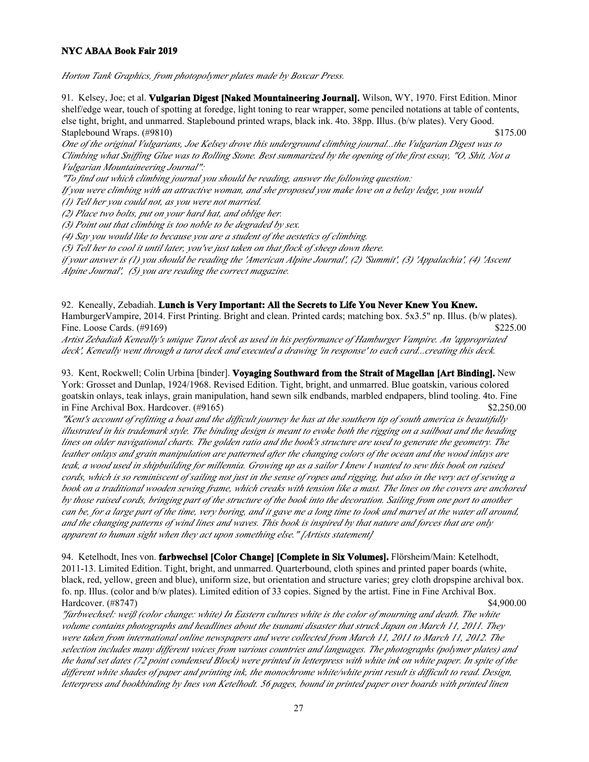*Horton Tank Graphics, from photopolymer plates made by Boxcar Press.*

91. Kelsey, Joe; et al. **Vulgarian Digest [Naked Mountaineering Journal].** Wilson, WY, 1970. First Edition. Minor shelf/edge wear, touch of spotting at foredge, light toning to rear wrapper, some penciled notations at table of contents, else tight, bright, and unmarred. Staplebound printed wraps, black ink. 4to. 38pp. Illus. (b/w plates). Very Good. Staplebound Wraps. (#9810) \$175.00

*One of the original Vulgarians, Joe Kelsey drove this underground climbing journal...the Vulgarian Digest was to Climbing what Sniffing Glue was to Rolling Stone. Best summarized by the opening of the first essay, "O, Shit, Not a Vulgarian Mountaineering Journal":*

*"To find out which climbing journal you should be reading, answer the following question:*

*If you were climbing with an attractive woman, and she proposed you make love on a belay ledge, you would*

*(1) Tell her you could not, as you were not married.*

*(2) Place two bolts, put on your hard hat, and oblige her.*

*(3) Point out that climbing is too noble to be degraded by sex.*

*(4) Say you would like to because you are a student of the aestetics of climbing.*

*(5) Tell her to cool it until later, you've just taken on that flock of sheep down there.*

*if your answer is (1) you should be reading the 'American Alpine Journal', (2) 'Summit', (3) 'Appalachia', (4) 'Ascent Alpine Journal', (5) you are reading the correct magazine.*

92. Keneally, Zebadiah. **Lunch is Very Important: All the Secrets to Life You Never Knew You Knew.**

HamburgerVampire, 2014. First Printing. Bright and clean. Printed cards; matching box. 5x3.5" np. Illus. (b/w plates). Fine. Loose Cards. (#9169) \$225.00

*Artist Zebadiah Keneally's unique Tarot deck as used in his performance of Hamburger Vampire. An 'appropriated deck', Keneally went through a tarot deck and executed a drawing 'in response' to each card...creating this deck.*

93. Kent, Rockwell; Colin Urbina [binder]. **Voyaging Southward from the Strait of Magellan [Art Binding].** New York: Grosset and Dunlap, 1924/1968. Revised Edition. Tight, bright, and unmarred. Blue goatskin, various colored goatskin onlays, teak inlays, grain manipulation, hand sewn silk endbands, marbled endpapers, blind tooling. 4to. Fine in Fine Archival Box. Hardcover. (#9165) \$2,250.00

*"Kent's account of refitting a boat and the difficult journey he has at the southern tip of south america is beautifully illustrated in his trademark style. The binding design is meant to evoke both the rigging on a sailboat and the heading lines on older navigational charts. The golden ratio and the book's structure are used to generate the geometry. The leather onlays and grain manipulation are patterned after the changing colors of the ocean and the wood inlays are teak, a wood used in shipbuilding for millennia. Growing up as a sailor I knew I wanted to sew this book on raised cords, which is so reminiscent of sailing not just in the sense of ropes and rigging, but also in the very act of sewing a book on a traditional wooden sewing frame, which creaks with tension like a mast. The lines on the covers are anchored by those raised cords, bringing part of the structure of the book into the decoration. Sailing from one port to another can be, for a large part of the time, very boring, and it gave me a long time to look and marvel at the water all around, and the changing patterns of wind lines and waves. This book is inspired by that nature and forces that are only apparent to human sight when they act upon something else." [Artists statement]*

94. Ketelhodt, Ines von. **farbwechsel [Color Change] [Complete in Six Volumes].** Flörsheim/Main: Ketelhodt, 2011-13. Limited Edition. Tight, bright, and unmarred. Quarterbound, cloth spines and printed paper boards (white, black, red, yellow, green and blue), uniform size, but orientation and structure varies; grey cloth dropspine archival box. fo. np. Illus. (color and b/w plates). Limited edition of 33 copies. Signed by the artist. Fine in Fine Archival Box. Hardcover. (#8747) \$4,900.00

*"farbwechsel: weiß (color change: white) In Eastern cultures white is the color of mourning and death. The white volume contains photographs and headlines about the tsunami disaster that struck Japan on March 11, 2011. They were taken from international online newspapers and were collected from March 11, 2011 to March 11, 2012. The selection includes many different voices from various countries and languages. The photographs (polymer plates) and the hand set dates (72 point condensed Block) were printed in letterpress with white ink on white paper. In spite of the different white shades of paper and printing ink, the monochrome white/white print result is difficult to read. Design, letterpress and bookbinding by Ines von Ketelhodt. 56 pages, bound in printed paper over boards with printed linen*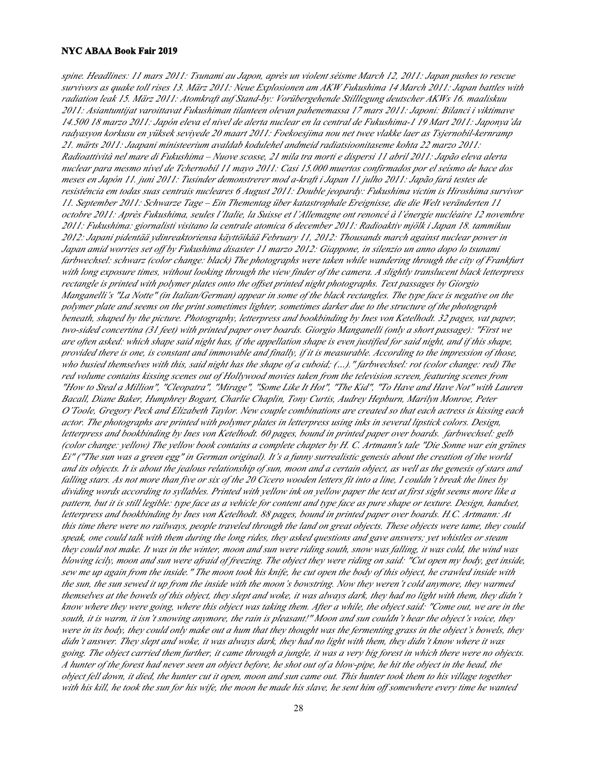*spine. Headlines: 11 mars 2011: Tsunami au Japon, après un violent séisme March 12, 2011: Japan pushes to rescue survivors as quake toll rises 13. März 2011: Neue Explosionen am AKW Fukushima 14 March 2011: Japan battles with radiation leak 15. März 2011: Atomkraft auf Stand-by: Vorübergehende Stilllegung deutscher AKWs 16. maaliskuu 2011: Asiantuntijat varoittavat Fukushiman tilanteen olevan pahenemassa 17 mars 2011: Japoni: Bilanci i viktimave 14.500 18 marzo 2011: Japón eleva el nivel de alerta nuclear en la central de Fukushima-1 19 Mart 2011: Japonya'da radyasyon korkusu en yüksek seviyede 20 maart 2011: Foekoesjima nou net twee vlakke laer as Tsjernobil-kernramp 21. märts 2011: Jaapani ministeerium avaldab kodulehel andmeid radiatsioonitaseme kohta 22 marzo 2011: Radioattività nel mare di Fukushima – Nuove scosse, 21 mila tra morti e dispersi 11 abril 2011: Japão eleva alerta nuclear para mesmo nível de Tchernobil 11 mayo 2011: Casi 15.000 muertos confirmados por el seísmo de hace dos meses en Japón 11. juni 2011: Tusinder demonstrerer mod a-kraft i Japan 11 julho 2011: Japão fará testes de resistência em todas suas centrais nucleares 6 August 2011: Double jeopardy: Fukushima victim is Hiroshima survivor 11. September 2011: Schwarze Tage – Ein Thementag über katastrophale Ereignisse, die die Welt veränderten 11 octobre 2011: Après Fukushima, seules l'Italie, la Suisse et l'Allemagne ont renoncé à l'énergie nucléaire 12 novembre 2011: Fukushima: giornalisti visitano la centrale atomica 6 december 2011: Radioaktiv mjölk i Japan 18. tammikuu 2012: Japani pidentää ydinreaktoriensa käyttöikää February 11, 2012: Thousands march against nuclear power in Japan amid worries set off by Fukushima disaster 11 marzo 2012: Giappone, in silenzio un anno dopo lo tsunami farbwechsel: schwarz (color change: black) The photographs were taken while wandering through the city of Frankfurt with long exposure times, without looking through the view finder of the camera. A slightly translucent black letterpress rectangle is printed with polymer plates onto the offset printed night photographs. Text passages by Giorgio Manganelli's "La Notte" (in Italian/German) appear in some of the black rectangles. The type face is negative on the polymer plate and seems on the print sometimes lighter, sometimes darker due to the structure of the photograph beneath, shaped by the picture. Photography, letterpress and bookbinding by Ines von Ketelhodt. 32 pages, vat paper, two-sided concertina (31 feet) with printed paper over boards. Giorgio Manganelli (only a short passage): "First we are often asked: which shape said night has, if the appellation shape is even justified for said night, and if this shape, provided there is one, is constant and immovable and finally, if it is measurable. According to the impression of those, who busied themselves with this, said night has the shape of a cuboid; (…)." farbwechsel: rot (color change: red) The red volume contains kissing scenes out of Hollywood movies taken from the television screen, featuring scenes from "How to Steal a Million", "Cleopatra", "Mirage", "Some Like It Hot", "The Kid", "To Have and Have Not" with Lauren Bacall, Diane Baker, Humphrey Bogart, Charlie Chaplin, Tony Curtis, Audrey Hepburn, Marilyn Monroe, Peter O'Toole, Gregory Peck and Elizabeth Taylor. New couple combinations are created so that each actress is kissing each actor. The photographs are printed with polymer plates in letterpress using inks in several lipstick colors. Design, letterpress and bookbinding by Ines von Ketelhodt. 60 pages, bound in printed paper over boards. farbwechsel: gelb (color change: yellow) The yellow book contains a complete chapter by H. C. Artmann's tale "Die Sonne war ein grünes Ei" ("The sun was a green egg" in German original). It's a funny surrealistic genesis about the creation of the world and its objects. It is about the jealous relationship of sun, moon and a certain object, as well as the genesis of stars and falling stars. As not more than five or six of the 20 Cicero wooden letters fit into a line, I couldn't break the lines by dividing words according to syllables. Printed with yellow ink on yellow paper the text at first sight seems more like a pattern, but it is still legible: type face as a vehicle for content and type face as pure shape or texture. Design, handset, letterpress and bookbinding by Ines von Ketelhodt. 88 pages, bound in printed paper over boards. H.C. Artmann: At this time there were no railways, people traveled through the land on great objects. These objects were tame, they could speak, one could talk with them during the long rides, they asked questions and gave answers; yet whistles or steam they could not make. It was in the winter, moon and sun were riding south, snow was falling, it was cold, the wind was blowing icily, moon and sun were afraid of freezing. The object they were riding on said: "Cut open my body, get inside, sew me up again from the inside." The moon took his knife, he cut open the body of this object, he crawled inside with the sun, the sun sewed it up from the inside with the moon's bowstring. Now they weren't cold anymore, they warmed themselves at the bowels of this object, they slept and woke, it was always dark, they had no light with them, they didn't know where they were going, where this object was taking them. After a while, the object said: "Come out, we are in the south, it is warm, it isn't snowing anymore, the rain is pleasant!" Moon and sun couldn't hear the object's voice, they were in its body, they could only make out a hum that they thought was the fermenting grass in the object's bowels, they didn't answer. They slept and woke, it was always dark, they had no light with them, they didn't know where it was going. The object carried them further, it came through a jungle, it was a very big forest in which there were no objects. A hunter of the forest had never seen an object before, he shot out of a blow-pipe, he hit the object in the head, the object fell down, it died, the hunter cut it open, moon and sun came out. This hunter took them to his village together with his kill, he took the sun for his wife, the moon he made his slave, he sent him off somewhere every time he wanted*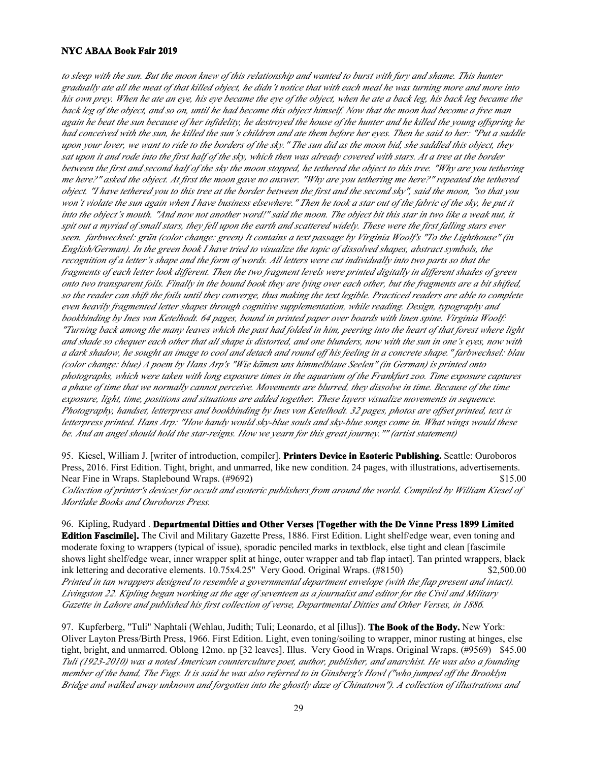*to sleep with the sun. But the moon knew of this relationship and wanted to burst with fury and shame. This hunter gradually ate all the meat of that killed object, he didn't notice that with each meal he was turning more and more into his own prey. When he ate an eye, his eye became the eye of the object, when he ate a back leg, his back leg became the back leg of the object, and so on, until he had become this object himself. Now that the moon had become a free man again he beat the sun because of her infidelity, he destroyed the house of the hunter and he killed the young offspring he had conceived with the sun, he killed the sun's children and ate them before her eyes. Then he said to her: "Put a saddle upon your lover, we want to ride to the borders of the sky." The sun did as the moon bid, she saddled this object, they sat upon it and rode into the first half of the sky, which then was already covered with stars. At a tree at the border between the first and second half of the sky the moon stopped, he tethered the object to this tree. "Why are you tethering me here?" asked the object. At first the moon gave no answer. "Why are you tethering me here?" repeated the tethered object. "I have tethered you to this tree at the border between the first and the second sky", said the moon, "so that you won't violate the sun again when I have business elsewhere." Then he took a star out of the fabric of the sky, he put it into the object's mouth. "And now not another word!" said the moon. The object bit this star in two like a weak nut, it spit out a myriad of small stars, they fell upon the earth and scattered widely. These were the first falling stars ever seen. farbwechsel: grün (color change: green) It contains a text passage by Virginia Woolf's "To the Lighthouse" (in English/German). In the green book I have tried to visualize the topic of dissolved shapes, abstract symbols, the recognition of a letter's shape and the form of words. All letters were cut individually into two parts so that the fragments of each letter look different. Then the two fragment levels were printed digitally in different shades of green onto two transparent foils. Finally in the bound book they are lying over each other, but the fragments are a bit shifted, so the reader can shift the foils until they converge, thus making the text legible. Practiced readers are able to complete even heavily fragmented letter shapes through cognitive supplementation, while reading. Design, typography and bookbinding by Ines von Ketelhodt. 64 pages, bound in printed paper over boards with linen spine. Virginia Woolf: "Turning back among the many leaves which the past had folded in him, peering into the heart of that forest where light and shade so chequer each other that all shape is distorted, and one blunders, now with the sun in one's eyes, now with a dark shadow, he sought an image to cool and detach and round off his feeling in a concrete shape." farbwechsel: blau (color change: blue) A poem by Hans Arp's "Wie kämen uns himmelblaue Seelen" (in German) is printed onto photographs, which were taken with long exposure times in the aquarium of the Frankfurt zoo. Time exposure captures a phase of time that we normally cannot perceive. Movements are blurred, they dissolve in time. Because of the time exposure, light, time, positions and situations are added together. These layers visualize movements in sequence. Photography, handset, letterpress and bookbinding by Ines von Ketelhodt. 32 pages, photos are offset printed, text is letterpress printed. Hans Arp: "How handy would sky-blue souls and sky-blue songs come in. What wings would these be. And an angel should hold the star-reigns. How we yearn for this great journey."" (artist statement)*

95. Kiesel, William J. [writer of introduction, compiler]. **Printers Device in Esoteric Publishing.** Seattle: Ouroboros Press, 2016. First Edition. Tight, bright, and unmarred, like new condition. 24 pages, with illustrations, advertisements. Near Fine in Wraps. Staplebound Wraps. (#9692) \$15.00 *Collection of printer's devices for occult and esoteric publishers from around the world. Compiled by William Kiesel of Mortlake Books and Ouroboros Press.*

96. Kipling, Rudyard . **Departmental Ditties and Other Verses [Together with the De Vinne Press 1899 Limited Edition Fascimile].** The Civil and Military Gazette Press, 1886. First Edition. Light shelf/edge wear, even toning and moderate foxing to wrappers (typical of issue), sporadic penciled marks in textblock, else tight and clean [fascimile shows light shelf/edge wear, inner wrapper split at hinge, outer wrapper and tab flap intact]. Tan printed wrappers, black ink lettering and decorative elements. 10.75x4.25" Very Good. Original Wraps. (#8150) \$2,500.00 *Printed in tan wrappers designed to resemble a governmental department envelope (with the flap present and intact). Livingston 22. Kipling began working at the age of seventeen as a journalist and editor for the Civil and Military Gazette in Lahore and published his first collection of verse, Departmental Ditties and Other Verses, in 1886.*

97. Kupferberg, "Tuli" Naphtali (Wehlau, Judith; Tuli; Leonardo, et al [illus]). **The Book of the Body.** New York: Oliver Layton Press/Birth Press, 1966. First Edition. Light, even toning/soiling to wrapper, minor rusting at hinges, else tight, bright, and unmarred. Oblong 12mo. np [32 leaves]. Illus. Very Good in Wraps. Original Wraps. (#9569) \$45.00 *Tuli (1923-2010) was a noted American counterculture poet, author, publisher, and anarchist. He was also a founding member of the band, The Fugs. It is said he was also referred to in Ginsberg's Howl ("who jumped off the Brooklyn Bridge and walked away unknown and forgotten into the ghostly daze of Chinatown"). A collection of illustrations and*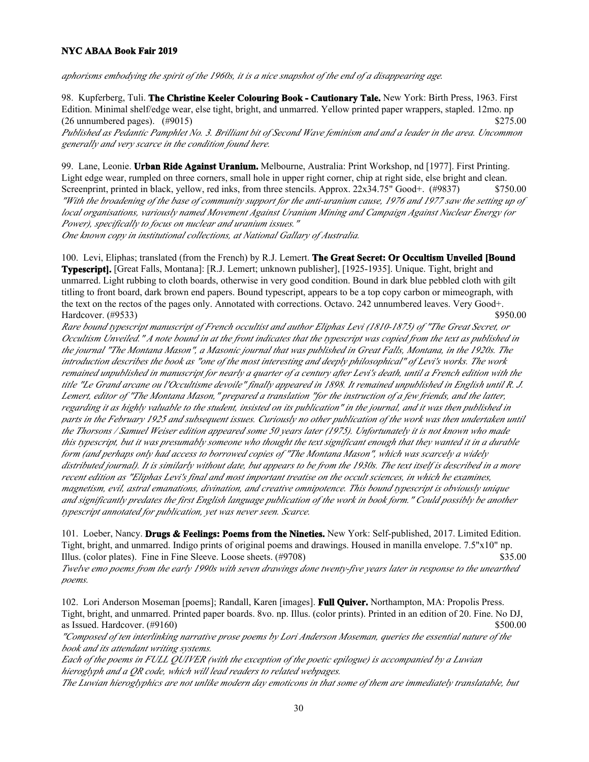*aphorisms embodying the spirit of the 1960s, it is a nice snapshot of the end of a disappearing age.*

98. Kupferberg, Tuli. **The Christine Keeler Colouring Book - Cautionary Tale.** New York: Birth Press, 1963. First Edition. Minimal shelf/edge wear, else tight, bright, and unmarred. Yellow printed paper wrappers, stapled. 12mo. np (26 unnumbered pages). (#9015) \$275.00 *Published as Pedantic Pamphlet No. 3. Brilliant bit of Second Wave feminism and and a leader in the area. Uncommon generally and very scarce in the condition found here.*

99. Lane, Leonie. **Urban Ride Against Uranium.** Melbourne, Australia: Print Workshop, nd [1977]. First Printing. Light edge wear, rumpled on three corners, small hole in upper right corner, chip at right side, else bright and clean. Screenprint, printed in black, yellow, red inks, from three stencils. Approx. 22x34.75" Good+. (#9837) \$750.00 *"With the broadening of the base of community support for the anti-uranium cause, 1976 and 1977 saw the setting up of local organisations, variously named Movement Against Uranium Mining and Campaign Against Nuclear Energy (or Power), specifically to focus on nuclear and uranium issues." One known copy in institutional collections, at National Gallary of Australia.*

100. Levi, Eliphas; translated (from the French) by R.J. Lemert. **The Great Secret: Or Occultism Unveiled [Bound Typescript].** [Great Falls, Montana]: [R.J. Lemert; unknown publisher], [1925-1935]. Unique. Tight, bright and unmarred. Light rubbing to cloth boards, otherwise in very good condition. Bound in dark blue pebbled cloth with gilt titling to front board, dark brown end papers. Bound typescript, appears to be a top copy carbon or mimeograph, with the text on the rectos of the pages only. Annotated with corrections. Octavo. 242 unnumbered leaves. Very Good+. Hardcover. (#9533) \$950.00

*Rare bound typescript manuscript of French occultist and author Eliphas Levi (1810-1875) of "The Great Secret, or Occultism Unveiled." A note bound in at the front indicates that the typescript was copied from the text as published in the journal "The Montana Mason", a Masonic journal that was published in Great Falls, Montana, in the 1920s. The introduction describes the book as "one of the most interesting and deeply philosophical" of Levi's works. The work remained unpublished in manuscript for nearly a quarter of a century after Levi's death, until a French edition with the title "Le Grand arcane ou l'Occultisme devoile" finally appeared in 1898. It remained unpublished in English until R. J. Lemert, editor of "The Montana Mason," prepared a translation "for the instruction of a few friends, and the latter, regarding it as highly valuable to the student, insisted on its publication" in the journal, and it was then published in parts in the February 1925 and subsequent issues. Curiously no other publication of the work was then undertaken until the Thorsons / Samuel Weiser edition appeared some 50 years later (1975). Unfortunately it is not known who made this typescript, but it was presumably someone who thought the text significant enough that they wanted it in a durable form (and perhaps only had access to borrowed copies of "The Montana Mason", which was scarcely a widely distributed journal). It is similarly without date, but appears to be from the 1930s. The text itself is described in a more recent edition as "Eliphas Levi's final and most important treatise on the occult sciences, in which he examines, magnetism, evil, astral emanations, divination, and creative omnipotence. This bound typescript is obviously unique and significantly predates the first English language publication of the work in book form." Could possibly be another typescript annotated for publication, yet was never seen. Scarce.*

101. Loeber, Nancy. **Drugs & Feelings: Poems from the Nineties.** New York: Self-published, 2017. Limited Edition. Tight, bright, and unmarred. Indigo prints of original poems and drawings. Housed in manilla envelope. 7.5"x10" np. Illus. (color plates). Fine in Fine Sleeve. Loose sheets. (#9708) \$35.00 \$35.00 *Twelve emo poems from the early 1990s with seven drawings done twenty-five years later in response to the unearthed poems.*

102. Lori Anderson Moseman [poems]; Randall, Karen [images]. **Full Quiver.** Northampton, MA: Propolis Press. Tight, bright, and unmarred. Printed paper boards. 8vo. np. Illus. (color prints). Printed in an edition of 20. Fine. No DJ, as Issued. Hardcover.  $(\text{\#}9160)$  \$500.00 \$500.00

*"Composed of ten interlinking narrative prose poems by Lori Anderson Moseman, queries the essential nature of the book and its attendant writing systems.*

*Each of the poems in FULL QUIVER (with the exception of the poetic epilogue) is accompanied by a Luwian hieroglyph and a QR code, which will lead readers to related webpages.*

*The Luwian hieroglyphics are not unlike modern day emoticons in that some of them are immediately translatable, but*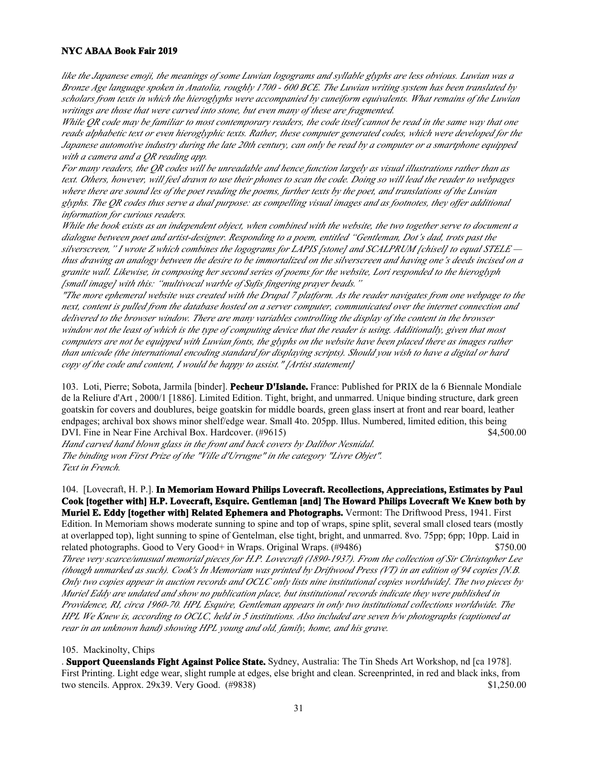*like the Japanese emoji, the meanings of some Luwian logograms and syllable glyphs are less obvious. Luwian was a Bronze Age language spoken in Anatolia, roughly 1700 - 600 BCE. The Luwian writing system has been translated by scholars from texts in which the hieroglyphs were accompanied by cuneiform equivalents. What remains of the Luwian writings are those that were carved into stone, but even many of these are fragmented.*

*While QR code may be familiar to most contemporary readers, the code itself cannot be read in the same way that one reads alphabetic text or even hieroglyphic texts. Rather, these computer generated codes, which were developed for the Japanese automotive industry during the late 20th century, can only be read by a computer or a smartphone equipped with a camera and a QR reading app.*

*For many readers, the QR codes will be unreadable and hence function largely as visual illustrations rather than as text. Others, however, will feel drawn to use their phones to scan the code. Doing so will lead the reader to webpages where there are sound les of the poet reading the poems, further texts by the poet, and translations of the Luwian glyphs. The QR codes thus serve a dual purpose: as compelling visual images and as footnotes, they offer additional information for curious readers.*

*While the book exists as an independent object, when combined with the website, the two together serve to document a dialogue between poet and artist-designer. Responding to a poem, entitled "Gentleman, Dot's dad, trots past the silverscreen," I wrote Z which combines the logograms for LAPIS [stone] and SCALPRUM [chisel] to equal STELE thus drawing an analogy between the desire to be immortalized on the silverscreen and having one's deeds incised on a granite wall. Likewise, in composing her second series of poems for the website, Lori responded to the hieroglyph [small image] with this: "multivocal warble of Sufis fingering prayer beads."*

*"The more ephemeral website was created with the Drupal 7 platform. As the reader navigates from one webpage to the next, content is pulled from the database hosted on a server computer, communicated over the internet connection and delivered to the browser window. There are many variables controlling the display of the content in the browser window not the least of which is the type of computing device that the reader is using. Additionally, given that most computers are not be equipped with Luwian fonts, the glyphs on the website have been placed there as images rather than unicode (the international encoding standard for displaying scripts). Should you wish to have a digital or hard copy of the code and content, I would be happy to assist." [Artist statement]*

103. Loti, Pierre; Sobota, Jarmila [binder]. **Pecheur D'Islande.** France: Published for PRIX de la 6 Biennale Mondiale de la Reliure d'Art , 2000/1 [1886]. Limited Edition. Tight, bright, and unmarred. Unique binding structure, dark green goatskin for covers and doublures, beige goatskin for middle boards, green glass insert at front and rear board, leather endpages; archival box shows minor shelf/edge wear. Small 4to. 205pp. Illus. Numbered, limited edition, this being DVI. Fine in Near Fine Archival Box. Hardcover. (#9615) \$4,500.00

*Hand carved hand blown glass in the front and back covers by Dalibor Nesnidal. The binding won First Prize of the "Ville d'Urrugne" in the category "Livre Objet". Text in French.*

104. [Lovecraft, H. P.]. **In Memoriam Howard Philips Lovecraft. Recollections, Appreciations, Estimates by Paul Cook [together with] H.P. Lovecraft, Esquire. Gentleman [and] The Howard Philips Lovecraft We Knew both by Muriel E. Eddy [together with] Related Ephemera and Photographs.** Vermont: The Driftwood Press, 1941. First Edition. In Memoriam shows moderate sunning to spine and top of wraps, spine split, several small closed tears (mostly at overlapped top), light sunning to spine of Gentelman, else tight, bright, and unmarred. 8vo. 75pp; 6pp; 10pp. Laid in related photographs. Good to Very Good+ in Wraps. Original Wraps. (#9486) \$750.00

*Three very scarce/unusual memorial pieces for H.P. Lovecraft (1890-1937). From the collection of Sir Christopher Lee (though unmarked as such). Cook's In Memoriam was printed by Driftwood Press (VT) in an edition of 94 copies [N.B. Only two copies appear in auction records and OCLC only lists nine institutional copies worldwide]. The two pieces by Muriel Eddy are undated and show no publication place, but institutional records indicate they were published in Providence, RI, circa 1960-70. HPL Esquire, Gentleman appears in only two institutional collections worldwide. The HPL We Knew is, according to OCLC, held in 5 institutions. Also included are seven b/w photographs (captioned at rear in an unknown hand) showing HPL young and old, family, home, and his grave.*

#### 105. Mackinolty, Chips

. **Support Queenslands Fight Against Police State.** Sydney, Australia: The Tin Sheds Art Workshop, nd [ca 1978]. First Printing. Light edge wear, slight rumple at edges, else bright and clean. Screenprinted, in red and black inks, from two stencils. Approx. 29x39. Very Good. (#9838) \$1,250.00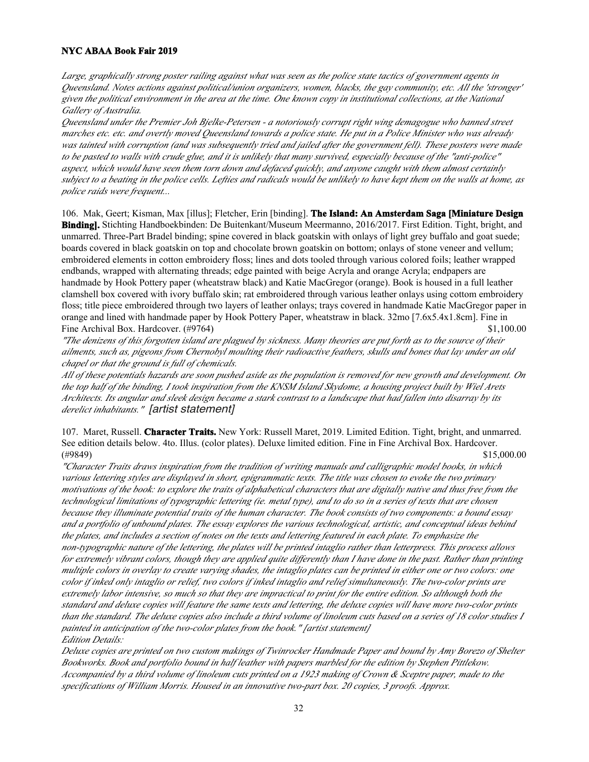*Large, graphically strong poster railing against what was seen as the police state tactics of government agents in Queensland. Notes actions against political/union organizers, women, blacks, the gay community, etc. All the 'stronger' given the political environment in the area at the time. One known copy in institutional collections, at the National Gallery of Australia.*

*Queensland under the Premier Joh Bjelke-Petersen - a notoriously corrupt right wing demagogue who banned street marches etc. etc. and overtly moved Queensland towards a police state. He put in a Police Minister who was already was tainted with corruption (and was subsequently tried and jailed after the government fell). These posters were made to be pasted to walls with crude glue, and it is unlikely that many survived, especially because of the "anti-police" aspect, which would have seen them torn down and defaced quickly, and anyone caught with them almost certainly subject to a beating in the police cells. Lefties and radicals would be unlikely to have kept them on the walls at home, as police raids were frequent...*

106. Mak, Geert; Kisman, Max [illus]; Fletcher, Erin [binding]. **The Island: An Amsterdam Saga [Miniature Design Binding].** Stichting Handboekbinden: De Buitenkant/Museum Meermanno, 2016/2017. First Edition. Tight, bright, and unmarred. Three-Part Bradel binding; spine covered in black goatskin with onlays of light grey buffalo and goat suede; boards covered in black goatskin on top and chocolate brown goatskin on bottom; onlays of stone veneer and vellum; embroidered elements in cotton embroidery floss; lines and dots tooled through various colored foils; leather wrapped endbands, wrapped with alternating threads; edge painted with beige Acryla and orange Acryla; endpapers are handmade by Hook Pottery paper (wheatstraw black) and Katie MacGregor (orange). Book is housed in a full leather clamshell box covered with ivory buffalo skin; rat embroidered through various leather onlays using cottom embroidery floss; title piece embroidered through two layers of leather onlays; trays covered in handmade Katie MacGregor paper in orange and lined with handmade paper by Hook Pottery Paper, wheatstraw in black. 32mo [7.6x5.4x1.8cm]. Fine in Fine Archival Box. Hardcover. (#9764) \$1,100.00

*"The denizens of this forgotten island are plagued by sickness. Many theories are put forth as to the source of their ailments, such as, pigeons from Chernobyl moulting their radioactive feathers, skulls and bones that lay under an old chapel or that the ground is full of chemicals.*

*All of these potentials hazards are soon pushed aside as the population is removed for new growth and development. On the top half of the binding, I took inspiration from the KNSM Island Skydome, a housing project built by Wiel Arets Architects. Its angular and sleek design became a stark contrast to a landscape that had fallen into disarray by its derelict inhabitants."* [artist statement]

107. Maret, Russell. **Character Traits.** New York: Russell Maret, 2019. Limited Edition. Tight, bright, and unmarred. See edition details below. 4to. Illus. (color plates). Deluxe limited edition. Fine in Fine Archival Box. Hardcover. (#9849) \$15,000.00

*"Character Traits draws inspiration from the tradition of writing manuals and calligraphic model books, in which various lettering styles are displayed in short, epigrammatic texts. The title was chosen to evoke the two primary motivations of the book: to explore the traits of alphabetical characters that are digitally native and thus free from the technological limitations of typographic lettering (ie. metal type), and to do so in a series of texts that are chosen because they illuminate potential traits of the human character. The book consists of two components: a bound essay and a portfolio of unbound plates. The essay explores the various technological, artistic, and conceptual ideas behind the plates, and includes a section of notes on the texts and lettering featured in each plate. To emphasize the non-typographic nature of the lettering, the plates will be printed intaglio rather than letterpress. This process allows for extremely vibrant colors, though they are applied quite differently than I have done in the past. Rather than printing multiple colors in overlay to create varying shades, the intaglio plates can be printed in either one or two colors: one color if inked only intaglio or relief, two colors if inked intaglio and relief simultaneously. The two-color prints are extremely labor intensive, so much so that they are impractical to print for the entire edition. So although both the standard and deluxe copies will feature the same texts and lettering, the deluxe copies will have more two-color prints than the standard. The deluxe copies also include a third volume of linoleum cuts based on a series of 18 color studies I painted in anticipation of the two-color plates from the book." [artist statement] Edition Details:*

*Deluxe copies are printed on two custom makings of Twinrocker Handmade Paper and bound by Amy Borezo of Shelter Bookworks. Book and portfolio bound in half leather with papers marbled for the edition by Stephen Pittlekow. Accompanied by a third volume of linoleum cuts printed on a 1923 making of Crown & Sceptre paper, made to the specifications of William Morris. Housed in an innovative two-part box. 20 copies, 3 proofs. Approx.*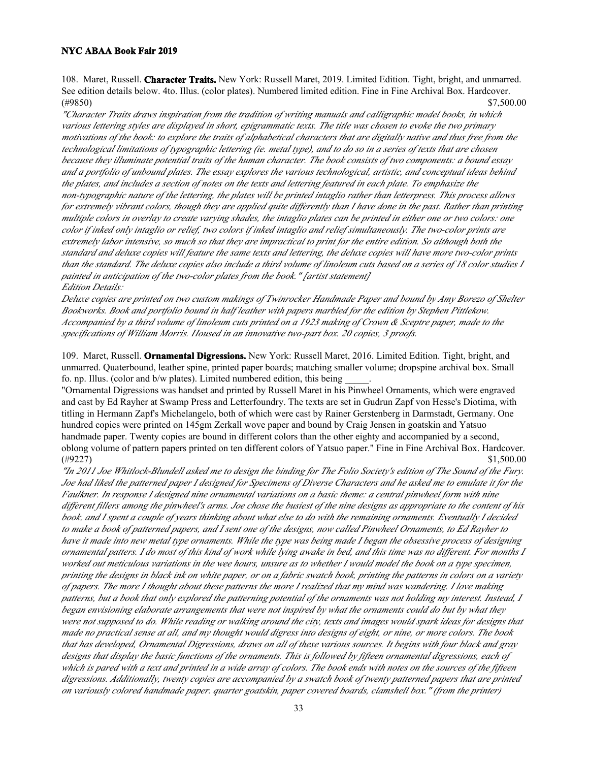108. Maret, Russell. **Character Traits.** New York: Russell Maret, 2019. Limited Edition. Tight, bright, and unmarred. See edition details below. 4to. Illus. (color plates). Numbered limited edition. Fine in Fine Archival Box. Hardcover. (#9850) \$7,500.00

*"Character Traits draws inspiration from the tradition of writing manuals and calligraphic model books, in which various lettering styles are displayed in short, epigrammatic texts. The title was chosen to evoke the two primary motivations of the book: to explore the traits of alphabetical characters that are digitally native and thus free from the technological limitations of typographic lettering (ie. metal type), and to do so in a series of texts that are chosen because they illuminate potential traits of the human character. The book consists of two components: a bound essay and a portfolio of unbound plates. The essay explores the various technological, artistic, and conceptual ideas behind the plates, and includes a section of notes on the texts and lettering featured in each plate. To emphasize the non-typographic nature of the lettering, the plates will be printed intaglio rather than letterpress. This process allows for extremely vibrant colors, though they are applied quite differently than I have done in the past. Rather than printing multiple colors in overlay to create varying shades, the intaglio plates can be printed in either one or two colors: one color if inked only intaglio or relief, two colors if inked intaglio and relief simultaneously. The two-color prints are extremely labor intensive, so much so that they are impractical to print for the entire edition. So although both the standard and deluxe copies will feature the same texts and lettering, the deluxe copies will have more two-color prints than the standard. The deluxe copies also include a third volume of linoleum cuts based on a series of 18 color studies I painted in anticipation of the two-color plates from the book." [artist statement] Edition Details:*

*Deluxe copies are printed on two custom makings of Twinrocker Handmade Paper and bound by Amy Borezo of Shelter Bookworks. Book and portfolio bound in half leather with papers marbled for the edition by Stephen Pittlekow. Accompanied by a third volume of linoleum cuts printed on a 1923 making of Crown & Sceptre paper, made to the specifications of William Morris. Housed in an innovative two-part box. 20 copies, 3 proofs.*

109. Maret, Russell. **Ornamental Digressions.** New York: Russell Maret, 2016. Limited Edition. Tight, bright, and unmarred. Quaterbound, leather spine, printed paper boards; matching smaller volume; dropspine archival box. Small fo. np. Illus. (color and b/w plates). Limited numbered edition, this being \_\_\_\_\_.

"Ornamental Digressions was handset and printed by Russell Maret in his Pinwheel Ornaments, which were engraved and cast by Ed Rayher at Swamp Press and Letterfoundry. The texts are set in Gudrun Zapf von Hesse's Diotima, with titling in Hermann Zapf's Michelangelo, both of which were cast by Rainer Gerstenberg in Darmstadt, Germany. One hundred copies were printed on 145gm Zerkall wove paper and bound by Craig Jensen in goatskin and Yatsuo handmade paper. Twenty copies are bound in different colors than the other eighty and accompanied by a second, oblong volume of pattern papers printed on ten different colors of Yatsuo paper." Fine in Fine Archival Box. Hardcover.  $(49227)$  \$1,500.00

*"In 2011 Joe Whitlock-Blundell asked me to design the binding for The Folio Society's edition of The Sound of the Fury. Joe had liked the patterned paper I designed for Specimens of Diverse Characters and he asked me to emulate it for the Faulkner. In response I designed nine ornamental variations on a basic theme: a central pinwheel form with nine different fillers among the pinwheel's arms. Joe chose the busiest of the nine designs as appropriate to the content of his book, and I spent a couple of years thinking about what else to do with the remaining ornaments. Eventually I decided to make a book of patterned papers, and I sent one of the designs, now called Pinwheel Ornaments, to Ed Rayher to have it made into new metal type ornaments. While the type was being made I began the obsessive process of designing ornamental patters. I do most of this kind of work while lying awake in bed, and this time was no different. For months I worked out meticulous variations in the wee hours, unsure as to whether I would model the book on a type specimen, printing the designs in black ink on white paper, or on a fabric swatch book, printing the patterns in colors on a variety of papers. The more I thought about these patterns the more I realized that my mind was wandering. I love making patterns, but a book that only explored the patterning potential of the ornaments was not holding my interest. Instead, I began envisioning elaborate arrangements that were not inspired by what the ornaments could do but by what they were not supposed to do. While reading or walking around the city, texts and images would spark ideas for designs that made no practical sense at all, and my thought would digress into designs of eight, or nine, or more colors. The book that has developed, Ornamental Digressions, draws on all of these various sources. It begins with four black and gray designs that display the basic functions of the ornaments. This is followed by fifteen ornamental digressions, each of which is pared with a text and printed in a wide array of colors. The book ends with notes on the sources of the fifteen digressions. Additionally, twenty copies are accompanied by a swatch book of twenty patterned papers that are printed on variously colored handmade paper. quarter goatskin, paper covered boards, clamshell box." (from the printer)*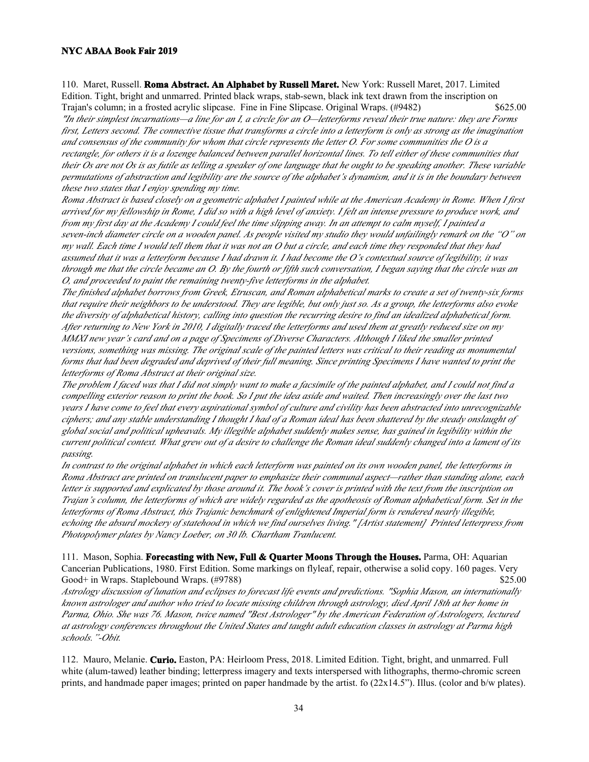110. Maret, Russell. **Roma Abstract. An Alphabet by Russell Maret.** New York: Russell Maret, 2017. Limited Edition. Tight, bright and unmarred. Printed black wraps, stab-sewn, black ink text drawn from the inscription on Trajan's column; in a frosted acrylic slipcase. Fine in Fine Slipcase. Original Wraps. (#9482) \$625.00 *"In their simplest incarnations—a line for an I, a circle for an O—letterforms reveal their true nature: they are Forms first, Letters second. The connective tissue that transforms a circle into a letterform is only as strong as the imagination and consensus of the community for whom that circle represents the letter O. For some communities the O is a rectangle, for others it is a lozenge balanced between parallel horizontal lines. To tell either of these communities that their Os are not Os is as futile as telling a speaker of one language that he ought to be speaking another. These variable permutations of abstraction and legibility are the source of the alphabet's dynamism, and it is in the boundary between these two states that I enjoy spending my time.*

*Roma Abstract is based closely on a geometric alphabet I painted while at the American Academy in Rome. When I first arrived for my fellowship in Rome, I did so with a high level of anxiety. I felt an intense pressure to produce work, and from my first day at the Academy I could feel the time slipping away. In an attempt to calm myself, I painted a seven-inch diameter circle on a wooden panel. As people visited my studio they would unfailingly remark on the "O" on my wall. Each time I would tell them that it was not an O but a circle, and each time they responded that they had assumed that it was a letterform because I had drawn it. I had become the O's contextual source of legibility, it was through me that the circle became an O. By the fourth or fifth such conversation, I began saying that the circle was an O, and proceeded to paint the remaining twenty-five letterforms in the alphabet.*

*The finished alphabet borrows from Greek, Etruscan, and Roman alphabetical marks to create a set of twenty-six forms that require their neighbors to be understood. They are legible, but only just so. As a group, the letterforms also evoke the diversity of alphabetical history, calling into question the recurring desire to find an idealized alphabetical form. After returning to New York in 2010, I digitally traced the letterforms and used them at greatly reduced size on my MMXI new year's card and on a page of Specimens of Diverse Characters. Although I liked the smaller printed versions, something was missing. The original scale of the painted letters was critical to their reading as monumental forms that had been degraded and deprived of their full meaning. Since printing Specimens I have wanted to print the letterforms of Roma Abstract at their original size.*

*The problem I faced was that I did not simply want to make a facsimile of the painted alphabet, and I could not find a compelling exterior reason to print the book. So I put the idea aside and waited. Then increasingly over the last two years I have come to feel that every aspirational symbol of culture and civility has been abstracted into unrecognizable ciphers; and any stable understanding I thought I had of a Roman ideal has been shattered by the steady onslaught of global social and political upheavals. My illegible alphabet suddenly makes sense, has gained in legibility within the current political context. What grew out of a desire to challenge the Roman ideal suddenly changed into a lament of its passing.*

*In contrast to the original alphabet in which each letterform was painted on its own wooden panel, the letterforms in Roma Abstract are printed on translucent paper to emphasize their communal aspect—rather than standing alone, each letter is supported and explicated by those around it. The book's cover is printed with the text from the inscription on Trajan's column, the letterforms of which are widely regarded as the apotheosis of Roman alphabetical form. Set in the letterforms of Roma Abstract, this Trajanic benchmark of enlightened Imperial form is rendered nearly illegible, echoing the absurd mockery of statehood in which we find ourselves living." [Artist statement] Printed letterpress from Photopolymer plates by Nancy Loeber, on 30 lb. Chartham Tranlucent.*

111. Mason, Sophia. **Forecasting with New, Full & Quarter Moons Through the Houses.** Parma, OH: Aquarian Cancerian Publications, 1980. First Edition. Some markings on flyleaf, repair, otherwise a solid copy. 160 pages. Very Good+ in Wraps. Staplebound Wraps. (#9788) \$25.00

*Astrology discussion of lunation and eclipses to forecast life events and predictions. "Sophia Mason, an internationally known astrologer and author who tried to locate missing children through astrology, died April 18th at her home in Parma, Ohio. She was 76. Mason, twice named "Best Astrologer" by the American Federation of Astrologers, lectured at astrology conferences throughout the United States and taught adult education classes in astrology at Parma high schools."-Obit.*

112. Mauro, Melanie. **Curio.** Easton, PA: Heirloom Press, 2018. Limited Edition. Tight, bright, and unmarred. Full white (alum-tawed) leather binding; letterpress imagery and texts interspersed with lithographs, thermo-chromic screen prints, and handmade paper images; printed on paper handmade by the artist. fo (22x14.5"). Illus. (color and b/w plates).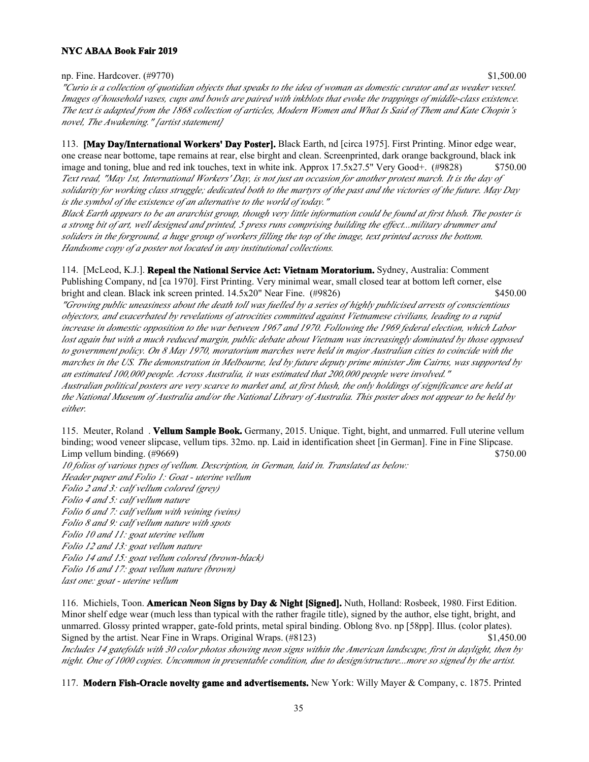np. Fine. Hardcover. (#9770)  $$1,500.00$ 

*"Curio is a collection of quotidian objects that speaks to the idea of woman as domestic curator and as weaker vessel. Images of household vases, cups and bowls are paired with inkblots that evoke the trappings of middle-class existence. The text is adapted from the 1868 collection of articles, Modern Women and What Is Said of Them and Kate Chopin's novel, The Awakening." [artist statement]*

113. **[May Day/International Workers' Day Poster].** Black Earth, nd [circa 1975]. First Printing. Minor edge wear, one crease near bottome, tape remains at rear, else birght and clean. Screenprinted, dark orange background, black ink image and toning, blue and red ink touches, text in white ink. Approx  $17.5x27.5$ " Very Good+. (#9828) \$750.00 *Text read, "May 1st, International Workers' Day, is not just an occasion for another protest march. It is the day of solidarity for working class struggle; dedicated both to the martyrs of the past and the victories of the future. May Day is the symbol of the existence of an alternative to the world of today."*

*Black Earth appears to be an ararchist group, though very little information could be found at first blush. The poster is a strong bit of art, well designed and printed, 5 press runs comprising building the effect...military drummer and soliders in the forground, a huge group of workers filling the top of the image, text printed across the bottom. Handsome copy of a poster not located in any institutional collections.*

114. [McLeod, K.J.]. **Repeal the National Service Act: Vietnam Moratorium.** Sydney, Australia: Comment Publishing Company, nd [ca 1970]. First Printing. Very minimal wear, small closed tear at bottom left corner, else bright and clean. Black ink screen printed. 14.5x20" Near Fine. (#9826) \$450.00 *"Growing public uneasiness about the death toll was fuelled by a series of highly publicised arrests of conscientious*

*objectors, and exacerbated by revelations of atrocities committed against Vietnamese civilians, leading to a rapid increase in domestic opposition to the war between 1967 and 1970. Following the 1969 federal election, which Labor lost again but with a much reduced margin, public debate about Vietnam was increasingly dominated by those opposed to government policy. On 8 May 1970, moratorium marches were held in major Australian cities to coincide with the marches in the US. The demonstration in Melbourne, led by future deputy prime minister Jim Cairns, was supported by an estimated 100,000 people. Across Australia, it was estimated that 200,000 people were involved." Australian political posters are very scarce to market and, at first blush, the only holdings of significance are held at the National Museum of Australia and/or the National Library of Australia. This poster does not appear to be held by either.*

115. Meuter, Roland . **Vellum Sample Book.** Germany, 2015. Unique. Tight, bight, and unmarred. Full uterine vellum binding; wood veneer slipcase, vellum tips. 32mo. np. Laid in identification sheet [in German]. Fine in Fine Slipcase. Limp vellum binding.  $(\#9669)$  \$750.00

*10 folios of various types of vellum. Description, in German, laid in. Translated as below: Header paper and Folio 1: Goat - uterine vellum Folio 2 and 3: calf vellum colored (grey) Folio 4 and 5: calf vellum nature Folio 6 and 7: calf vellum with veining (veins) Folio 8 and 9: calf vellum nature with spots Folio 10 and 11: goat uterine vellum Folio 12 and 13: goat vellum nature Folio 14 and 15: goat vellum colored (brown-black) Folio 16 and 17: goat vellum nature (brown) last one: goat - uterine vellum*

116. Michiels, Toon. **American Neon Signs by Day & Night [Signed].** Nuth, Holland: Rosbeek, 1980. First Edition. Minor shelf edge wear (much less than typical with the rather fragile title), signed by the author, else tight, bright, and unmarred. Glossy printed wrapper, gate-fold prints, metal spiral binding. Oblong 8vo. np [58pp]. Illus. (color plates). Signed by the artist. Near Fine in Wraps. Original Wraps. (#8123) \$1,450.00 *Includes 14 gatefolds with 30 color photos showing neon signs within the American landscape, first in daylight, then by night. One of 1000 copies. Uncommon in presentable condition, due to design/structure...more so signed by the artist.*

117. **Modern Fish-Oracle novelty game and advertisements.** New York: Willy Mayer & Company, c. 1875. Printed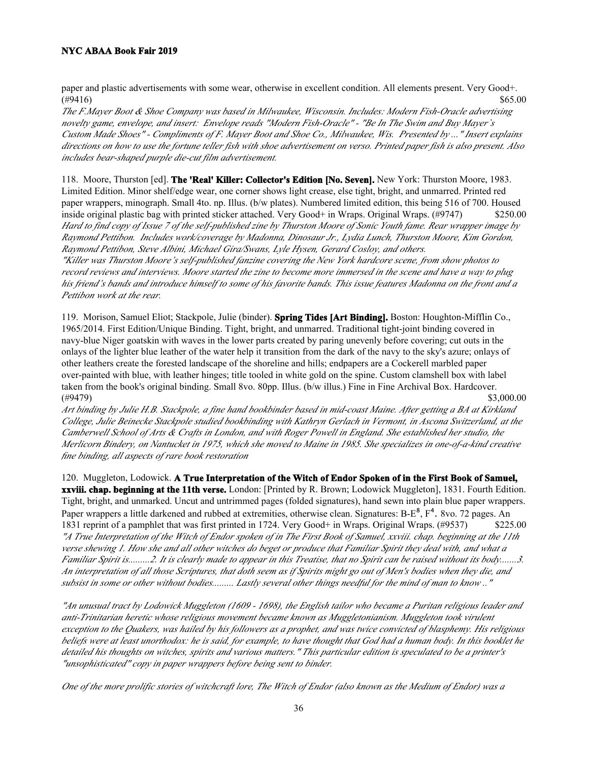paper and plastic advertisements with some wear, otherwise in excellent condition. All elements present. Very Good+. (#9416) \$65.00

*The F.Mayer Boot & Shoe Company was based in Milwaukee, Wisconsin. Includes: Modern Fish-Oracle advertising novelty game, envelope, and insert: Envelope reads "Modern Fish-Oracle" - "Be In The Swim and Buy Mayer`s Custom Made Shoes" - Compliments of F. Mayer Boot and Shoe Co., Milwaukee, Wis. Presented by ..." Insert explains directions on how to use the fortune teller fish with shoe advertisement on verso. Printed paper fish is also present. Also includes bear-shaped purple die-cut film advertisement.*

118. Moore, Thurston [ed]. **The 'Real' Killer: Collector's Edition [No. Seven].** New York: Thurston Moore, 1983. Limited Edition. Minor shelf/edge wear, one corner shows light crease, else tight, bright, and unmarred. Printed red paper wrappers, minograph. Small 4to. np. Illus. (b/w plates). Numbered limited edition, this being 516 of 700. Housed inside original plastic bag with printed sticker attached. Very Good+ in Wraps. Original Wraps. (#9747) \$250.00 *Hard to find copy of Issue 7 of the self-published zine by Thurston Moore of Sonic Youth fame. Rear wrapper image by Raymond Pettibon. Includes work/coverage by Madonna, Dinosaur Jr., Lydia Lunch, Thurston Moore, Kim Gordon, Raymond Pettibon, Steve Albini, Michael Gira/Swans, Lyle Hysen, Gerard Cosloy, and others.*

*"Killer was Thurston Moore's self-published fanzine covering the New York hardcore scene, from show photos to record reviews and interviews. Moore started the zine to become more immersed in the scene and have a way to plug his friend's bands and introduce himself to some of his favorite bands. This issue features Madonna on the front and a Pettibon work at the rear.*

119. Morison, Samuel Eliot; Stackpole, Julie (binder). **Spring Tides [Art Binding].** Boston: Houghton-Mifflin Co., 1965/2014. First Edition/Unique Binding. Tight, bright, and unmarred. Traditional tight-joint binding covered in navy-blue Niger goatskin with waves in the lower parts created by paring unevenly before covering; cut outs in the onlays of the lighter blue leather of the water help it transition from the dark of the navy to the sky's azure; onlays of other leathers create the forested landscape of the shoreline and hills; endpapers are a Cockerell marbled paper over-painted with blue, with leather hinges; title tooled in white gold on the spine. Custom clamshell box with label taken from the book's original binding. Small 8vo. 80pp. Illus. (b/w illus.) Fine in Fine Archival Box. Hardcover. (#9479) \$3,000.00

*Art binding by Julie H.B. Stackpole, a fine hand bookbinder based in mid-coast Maine. After getting a BA at Kirkland College, Julie Beinecke Stackpole studied bookbinding with Kathryn Gerlach in Vermont, in Ascona Switzerland, at the Camberwell School of Arts & Crafts in London, and with Roger Powell in England. She established her studio, the Merlicorn Bindery, on Nantucket in 1975, which she moved to Maine in 1985. She specializes in one-of-a-kind creative fine binding, all aspects of rare book restoration*

120. Muggleton, Lodowick. **A True Interpretation of the Witch of Endor Spoken of in the First Book of Samuel, xxviii. chap. beginning at the 11th verse.** London: [Printed by R. Brown; Lodowick Muggleton], 1831. Fourth Edition. Tight, bright, and unmarked. Uncut and untrimmed pages (folded signatures), hand sewn into plain blue paper wrappers. Paper wrappers a little darkened and rubbed at extremities, otherwise clean. Signatures: B-E<sup>8</sup>, F<sup>4</sup>. 8vo. 72 pages. An 1831 reprint of a pamphlet that was first printed in 1724. Very Good+ in Wraps. Original Wraps. (#9537) \$225.00 *"A True Interpretation of the Witch of Endor spoken of in The First Book of Samuel, xxviii. chap. beginning at the 11th verse shewing 1. How she and all other witches do beget or produce that Familiar Spirit they deal with, and what a Familiar Spirit is.........2. It is clearly made to appear in this Treatise, that no Spirit can be raised without its body.......3. An interpretation of all those Scriptures, that doth seem as if Spirits might go out of Men's bodies when they die, and subsist in some or other without bodies......... Lastly several other things needful for the mind of man to know .."*

*"An unusual tract by Lodowick Muggleton (1609 - 1698), the English tailor who became a Puritan religious leader and anti-Trinitarian heretic whose religious movement became known as Muggletonianism. Muggleton took virulent exception to the Quakers, was hailed by his followers as a prophet, and was twice convicted of blasphemy. His religious beliefs were at least unorthodox: he is said, for example, to have thought that God had a human body. In this booklet he detailed his thoughts on witches, spirits and various matters." This particular edition is speculated to be a printer's "unsophisticated" copy in paper wrappers before being sent to binder.*

*One of the more prolific stories of witchcraft lore, The Witch of Endor (also known as the Medium of Endor) was a*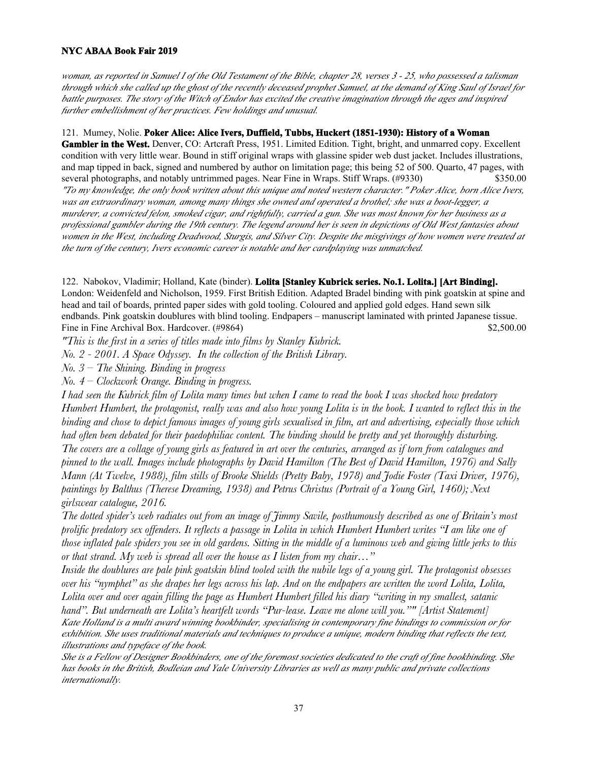*woman, as reported in Samuel I of the Old Testament of the Bible, chapter 28, verses 3 - 25, who possessed a talisman through which she called up the ghost of the recently deceased prophet Samuel, at the demand of King Saul of Israel for battle purposes. The story of the Witch of Endor has excited the creative imagination through the ages and inspired further embellishment of her practices. Few holdings and unusual.*

# 121. Mumey, Nolie. **Poker Alice: Alice Ivers, Duffield, Tubbs, Huckert (1851-1930): History of a Woman**

**Gambler in the West.** Denver, CO: Artcraft Press, 1951. Limited Edition. Tight, bright, and unmarred copy. Excellent condition with very little wear. Bound in stiff original wraps with glassine spider web dust jacket. Includes illustrations, and map tipped in back, signed and numbered by author on limitation page; this being 52 of 500. Quarto, 47 pages, with several photographs, and notably untrimmed pages. Near Fine in Wraps. Stiff Wraps. (#9330) \$350.00 *"To my knowledge, the only book written about this unique and noted western character." Poker Alice, born Alice Ivers, was an extraordinary woman, among many things she owned and operated a brothel; she was a boot-legger, a murderer, a convicted felon, smoked cigar, and rightfully, carried a gun. She was most known for her business as a professional gambler during the 19th century. The legend around her is seen in depictions of Old West fantasies about women in the West, including Deadwood, Sturgis, and Silver City. Despite the misgivings of how women were treated at the turn of the century, Ivers economic career is notable and her cardplaying was unmatched.*

122. Nabokov, Vladimir; Holland, Kate (binder). **Lolita [Stanley Kubrick series. No.1. Lolita.] [Art Binding].** London: Weidenfeld and Nicholson, 1959. First British Edition. Adapted Bradel binding with pink goatskin at spine and head and tail of boards, printed paper sides with gold tooling. Coloured and applied gold edges. Hand sewn silk endbands. Pink goatskin doublures with blind tooling. Endpapers – manuscript laminated with printed Japanese tissue. Fine in Fine Archival Box. Hardcover. (#9864) \$2,500.00

*"This is the first in a series of titles made into films by Stanley Kubrick.*

*No. 2 - 2001. A Space Odyssey. In the collection of the British Library.*

*No. 3 – The Shining. Binding in progress*

*No. 4 – Clockwork Orange. Binding in progress.*

*I had seen the Kubrick film of Lolita many times but when I came to read the book I was shocked how predatory Humbert Humbert, the protagonist, really was and also how young Lolita is in the book. I wanted to reflect this in the binding and chose to depict famous images of young girls sexualised in film, art and advertising, especially those which had often been debated for their paedophiliac content. The binding should be pretty and yet thoroughly disturbing. The covers are a collage of young girls as featured in art over the centuries, arranged as if torn from catalogues and pinned to the wall. Images include photographs by David Hamilton (The Best of David Hamilton, 1976) and Sally Mann (At Twelve, 1988), film stills of Brooke Shields (Pretty Baby, 1978) and Jodie Foster (Taxi Driver, 1976), paintings by Balthus (Therese Dreaming, 1938) and Petrus Christus (Portrait of a Young Girl, 1460); Next girlswear catalogue, 2016.*

*The dotted spider's web radiates out from an image of Jimmy Savile, posthumously described as one of Britain's most prolific predatory sex offenders. It reflects a passage in Lolita in which Humbert Humbert writes "I am like one of those inflated pale spiders you see in old gardens. Sitting in the middle of a luminous web and giving little jerks to this or that strand. My web is spread all over the house as I listen from my chair…"*

*Inside the doublures are pale pink goatskin blind tooled with the nubile legs of a young girl. The protagonist obsesses over his "nymphet" as she drapes her legs across his lap. And on the endpapers are written the word Lolita, Lolita,*

*Lolita over and over again filling the page as Humbert Humbert filled his diary "writing in my smallest, satanic hand". But underneath are Lolita's heartfelt words "Pur-lease. Leave me alone will you."" [Artist Statement] Kate Holland is a multi award winning bookbinder, specialising in contemporary fine bindings to commission or for exhibition. She uses traditional materials and techniques to produce a unique, modern binding that reflects the text, illustrations and typeface of the book.*

*She is a Fellow of Designer Bookbinders, one of the foremost societies dedicated to the craft of fine bookbinding. She has books in the British, Bodleian and Yale University Libraries as well as many public and private collections internationally.*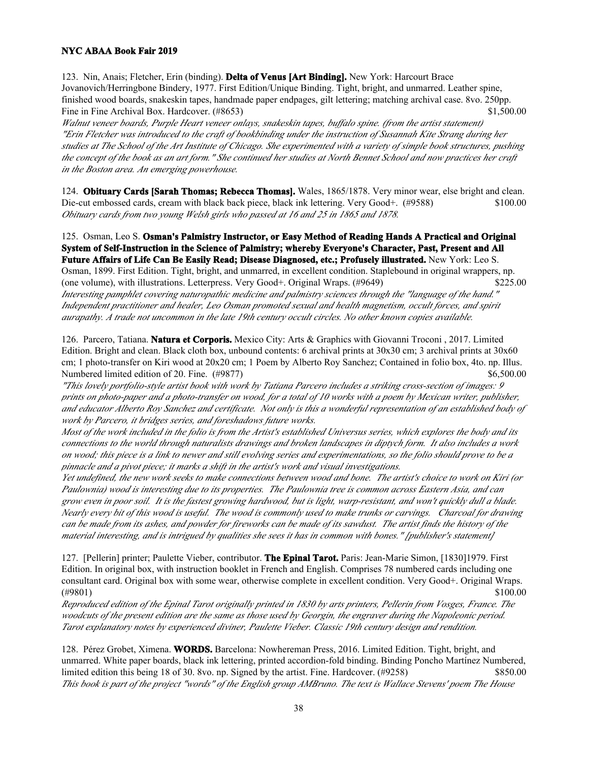123. Nin, Anais; Fletcher, Erin (binding). **Delta of Venus [Art Binding].** New York: Harcourt Brace Jovanovich/Herringbone Bindery, 1977. First Edition/Unique Binding. Tight, bright, and unmarred. Leather spine, finished wood boards, snakeskin tapes, handmade paper endpages, gilt lettering; matching archival case. 8vo. 250pp. Fine in Fine Archival Box. Hardcover. (#8653) \$1,500.00

*Walnut veneer boards, Purple Heart veneer onlays, snakeskin tapes, buffalo spine. (from the artist statement) "Erin Fletcher was introduced to the craft of bookbinding under the instruction of Susannah Kite Strang during her studies at The School of the Art Institute of Chicago. She experimented with a variety of simple book structures, pushing the concept of the book as an art form." She continued her studies at North Bennet School and now practices her craft in the Boston area. An emerging powerhouse.*

124. **Obituary Cards [Sarah Thomas; Rebecca Thomas].** Wales, 1865/1878. Very minor wear, else bright and clean. Die-cut embossed cards, cream with black back piece, black ink lettering. Very Good+. (#9588) \$100.00 *Obituary cards from two young Welsh girls who passed at 16 and 25 in 1865 and 1878.*

## 125. Osman, Leo S. **Osman's Palmistry Instructor, or Easy Method of Reading Hands A Practical and Original System of Self-Instruction in the Science of Palmistry; whereby Everyone's Character, Past, Present and All Future Affairs of Life Can Be Easily Read; Disease Diagnosed, etc.; Profusely illustrated.** New York: Leo S.

Osman, 1899. First Edition. Tight, bright, and unmarred, in excellent condition. Staplebound in original wrappers, np. (one volume), with illustrations. Letterpress. Very Good+. Original Wraps. (#9649) \$225.00 *Interesting pamphlet covering naturopathic medicine and palmistry sciences through the "language of the hand." Independent practitioner and healer, Leo Osman promoted sexual and health magnetism, occult forces, and spirit aurapathy. A trade not uncommon in the late 19th century occult circles. No other known copies available.*

126. Parcero, Tatiana. **Natura et Corporis.** Mexico City: Arts & Graphics with Giovanni Troconi , 2017. Limited Edition. Bright and clean. Black cloth box, unbound contents: 6 archival prints at 30x30 cm; 3 archival prints at 30x60 cm; 1 photo-transfer on Kiri wood at 20x20 cm; 1 Poem by Alberto Roy Sanchez; Contained in folio box, 4to. np. Illus. Numbered limited edition of 20. Fine. (#9877) \$6,500.00

*"This lovely portfolio-style artist book with work by Tatiana Parcero includes a striking cross-section of images: 9 prints on photo-paper and a photo-transfer on wood, for a total of 10 works with a poem by Mexican writer, publisher, and educator Alberto Roy Sanchez and certificate. Not only is this a wonderful representation of an established body of work by Parcero, it bridges series, and foreshadows future works.*

*Most of the work included in the folio is from the Artist's established Universus series, which explores the body and its connections to the world through naturalists drawings and broken landscapes in diptych form. It also includes a work on wood; this piece is a link to newer and still evolving series and experimentations, so the folio should prove to be a pinnacle and a pivot piece; it marks a shift in the artist's work and visual investigations.*

*Yet undefined, the new work seeks to make connections between wood and bone. The artist's choice to work on Kiri (or Paulownia) wood is interesting due to its properties. The Paulownia tree is common across Eastern Asia, and can grow even in poor soil. It is the fastest growing hardwood, but is light, warp-resistant, and won't quickly dull a blade. Nearly every bit of this wood is useful. The wood is commonly used to make trunks or carvings. Charcoal for drawing can be made from its ashes, and powder for fireworks can be made of its sawdust. The artist finds the history of the material interesting, and is intrigued by qualities she sees it has in common with bones." [publisher's statement]*

127. [Pellerin] printer; Paulette Vieber, contributor. **The Epinal Tarot.** Paris: Jean-Marie Simon, [1830]1979. First Edition. In original box, with instruction booklet in French and English. Comprises 78 numbered cards including one consultant card. Original box with some wear, otherwise complete in excellent condition. Very Good+. Original Wraps.  $(#9801)$  \$100.00

*Reproduced edition of the Epinal Tarot originally printed in 1830 by arts printers, Pellerin from Vosges, France. The woodcuts of the present edition are the same as those used by Georgin, the engraver during the Napoleonic period. Tarot explanatory notes by experienced diviner, Paulette Vieber. Classic 19th century design and rendition.*

128. Pérez Grobet, Ximena. **WORDS.** Barcelona: Nowhereman Press, 2016. Limited Edition. Tight, bright, and unmarred. White paper boards, black ink lettering, printed accordion-fold binding. Binding Poncho Martínez Numbered, limited edition this being 18 of 30. 8vo. np. Signed by the artist. Fine. Hardcover. (#9258) \$850.00 *This book is part of the project "words" of the English group AMBruno. The text is Wallace Stevens' poem The House*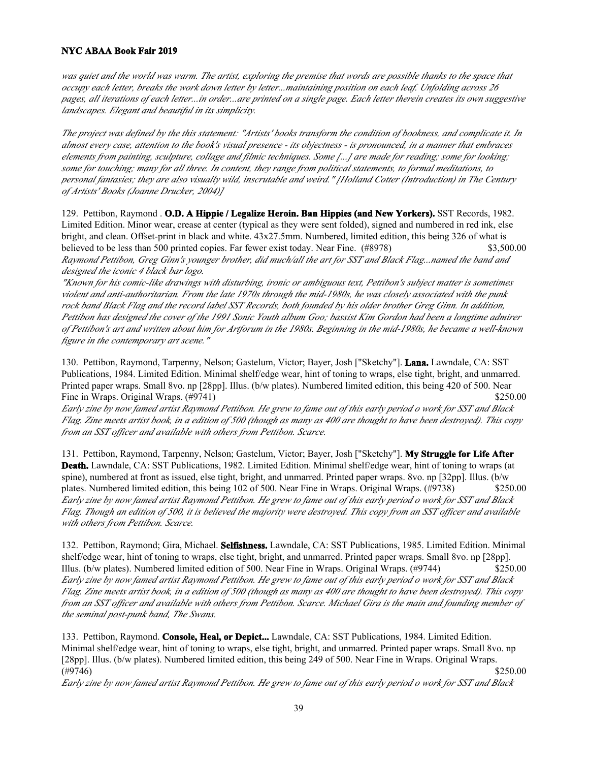*was quiet and the world was warm. The artist, exploring the premise that words are possible thanks to the space that occupy each letter, breaks the work down letter by letter...maintaining position on each leaf. Unfolding across 26 pages, all iterations of each letter...in order...are printed on a single page. Each letter therein creates its own suggestive landscapes. Elegant and beautiful in its simplicity.*

*The project was defined by the this statement: "Artists' books transform the condition of bookness, and complicate it. In almost every case, attention to the book's visual presence - its objectness - is pronounced, in a manner that embraces elements from painting, sculpture, collage and filmic techniques. Some [...] are made for reading; some for looking; some for touching; many for all three. In content, they range from political statements, to formal meditations, to personal fantasies; they are also visually wild, inscrutable and weird." [Holland Cotter (Introduction) in The Century of Artists' Books (Joanne Drucker, 2004)]*

129. Pettibon, Raymond . **O.D. A Hippie / Legalize Heroin. Ban Hippies (and New Yorkers).** SST Records, 1982. Limited Edition. Minor wear, crease at center (typical as they were sent folded), signed and numbered in red ink, else bright, and clean. Offset-print in black and white. 43x27.5mm. Numbered, limited edition, this being 326 of what is believed to be less than 500 printed copies. Far fewer exist today. Near Fine. (#8978) \$3,500.00 *Raymond Pettibon, Greg Ginn's younger brother, did much/all the art for SST and Black Flag...named the band and designed the iconic 4 black bar logo.*

*"Known for his comic-like drawings with disturbing, ironic or ambiguous text, Pettibon's subject matter is sometimes violent and anti-authoritarian. From the late 1970s through the mid-1980s, he was closely associated with the punk rock band Black Flag and the record label SST Records, both founded by his older brother Greg Ginn. In addition, Pettibon has designed the cover of the 1991 Sonic Youth album Goo; bassist Kim Gordon had been a longtime admirer of Pettibon's art and written about him for Artforum in the 1980s. Beginning in the mid-1980s, he became a well-known figure in the contemporary art scene."*

130. Pettibon, Raymond, Tarpenny, Nelson; Gastelum, Victor; Bayer, Josh ["Sketchy"]. **Lana.** Lawndale, CA: SST Publications, 1984. Limited Edition. Minimal shelf/edge wear, hint of toning to wraps, else tight, bright, and unmarred. Printed paper wraps. Small 8vo. np [28pp]. Illus. (b/w plates). Numbered limited edition, this being 420 of 500. Near Fine in Wraps. Original Wraps. (#9741) \$250.00

*Early zine by now famed artist Raymond Pettibon. He grew to fame out of this early period o work for SST and Black Flag. Zine meets artist book, in a edition of 500 (though as many as 400 are thought to have been destroyed). This copy from an SST officer and available with others from Pettibon. Scarce.*

131. Pettibon, Raymond, Tarpenny, Nelson; Gastelum, Victor; Bayer, Josh ["Sketchy"]. **My Struggle for Life After Death.** Lawndale, CA: SST Publications, 1982. Limited Edition. Minimal shelf/edge wear, hint of toning to wraps (at spine), numbered at front as issued, else tight, bright, and unmarred. Printed paper wraps. 8vo. np [32pp]. Illus. (b/w plates. Numbered limited edition, this being 102 of 500. Near Fine in Wraps. Original Wraps. (#9738) \$250.00 *Early zine by now famed artist Raymond Pettibon. He grew to fame out of this early period o work for SST and Black Flag. Though an edition of 500, it is believed the majority were destroyed. This copy from an SST officer and available with others from Pettibon. Scarce.*

132. Pettibon, Raymond; Gira, Michael. **Selfishness.** Lawndale, CA: SST Publications, 1985. Limited Edition. Minimal shelf/edge wear, hint of toning to wraps, else tight, bright, and unmarred. Printed paper wraps. Small 8vo. np [28pp]. Illus. (b/w plates). Numbered limited edition of 500. Near Fine in Wraps. Original Wraps. (#9744) \$250.00 *Early zine by now famed artist Raymond Pettibon. He grew to fame out of this early period o work for SST and Black Flag. Zine meets artist book, in a edition of 500 (though as many as 400 are thought to have been destroyed). This copy from an SST officer and available with others from Pettibon. Scarce. Michael Gira is the main and founding member of the seminal post-punk band, The Swans.*

133. Pettibon, Raymond. **Console, Heal, or Depict...** Lawndale, CA: SST Publications, 1984. Limited Edition. Minimal shelf/edge wear, hint of toning to wraps, else tight, bright, and unmarred. Printed paper wraps. Small 8vo. np [28pp]. Illus. (b/w plates). Numbered limited edition, this being 249 of 500. Near Fine in Wraps. Original Wraps. (#9746) \$250.00

*Early zine by now famed artist Raymond Pettibon. He grew to fame out of this early period o work for SST and Black*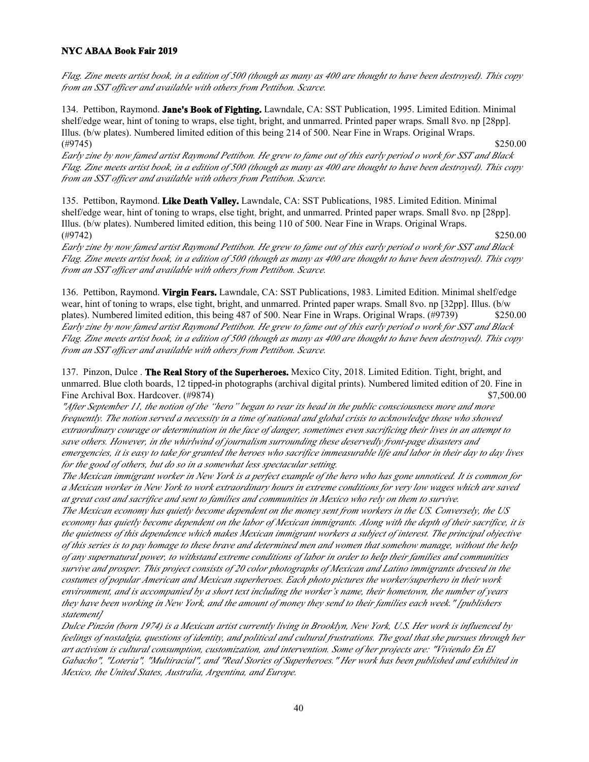*Flag. Zine meets artist book, in a edition of 500 (though as many as 400 are thought to have been destroyed). This copy from an SST officer and available with others from Pettibon. Scarce.*

134. Pettibon, Raymond. **Jane's Book of Fighting.** Lawndale, CA: SST Publication, 1995. Limited Edition. Minimal shelf/edge wear, hint of toning to wraps, else tight, bright, and unmarred. Printed paper wraps. Small 8vo. np [28pp]. Illus. (b/w plates). Numbered limited edition of this being 214 of 500. Near Fine in Wraps. Original Wraps. (#9745) \$250.00

*Early zine by now famed artist Raymond Pettibon. He grew to fame out of this early period o work for SST and Black Flag. Zine meets artist book, in a edition of 500 (though as many as 400 are thought to have been destroyed). This copy from an SST officer and available with others from Pettibon. Scarce.*

135. Pettibon, Raymond. **Like Death Valley.** Lawndale, CA: SST Publications, 1985. Limited Edition. Minimal shelf/edge wear, hint of toning to wraps, else tight, bright, and unmarred. Printed paper wraps. Small 8vo. np [28pp]. Illus. (b/w plates). Numbered limited edition, this being 110 of 500. Near Fine in Wraps. Original Wraps. (#9742) \$250.00

*Early zine by now famed artist Raymond Pettibon. He grew to fame out of this early period o work for SST and Black Flag. Zine meets artist book, in a edition of 500 (though as many as 400 are thought to have been destroyed). This copy from an SST officer and available with others from Pettibon. Scarce.*

136. Pettibon, Raymond. **Virgin Fears.** Lawndale, CA: SST Publications, 1983. Limited Edition. Minimal shelf/edge wear, hint of toning to wraps, else tight, bright, and unmarred. Printed paper wraps. Small 8vo. np [32pp]. Illus. (b/w plates). Numbered limited edition, this being 487 of 500. Near Fine in Wraps. Original Wraps. (#9739) \$250.00 *Early zine by now famed artist Raymond Pettibon. He grew to fame out of this early period o work for SST and Black Flag. Zine meets artist book, in a edition of 500 (though as many as 400 are thought to have been destroyed). This copy from an SST officer and available with others from Pettibon. Scarce.*

137. Pinzon, Dulce . **The Real Story of the Superheroes.** Mexico City, 2018. Limited Edition. Tight, bright, and unmarred. Blue cloth boards, 12 tipped-in photographs (archival digital prints). Numbered limited edition of 20. Fine in Fine Archival Box. Hardcover. (#9874)  $\text{57,500.00}$ 

*"After September 11, the notion of the "hero" began to rear its head in the public consciousness more and more frequently. The notion served a necessity in a time of national and global crisis to acknowledge those who showed extraordinary courage or determination in the face of danger, sometimes even sacrificing their lives in an attempt to save others. However, in the whirlwind of journalism surrounding these deservedly front-page disasters and emergencies, it is easy to take for granted the heroes who sacrifice immeasurable life and labor in their day to day lives for the good of others, but do so in a somewhat less spectacular setting.*

*The Mexican immigrant worker in New York is a perfect example of the hero who has gone unnoticed. It is common for a Mexican worker in New York to work extraordinary hours in extreme conditions for very low wages which are saved at great cost and sacrifice and sent to families and communities in Mexico who rely on them to survive.*

*The Mexican economy has quietly become dependent on the money sent from workers in the US. Conversely, the US economy has quietly become dependent on the labor of Mexican immigrants. Along with the depth of their sacrifice, it is the quietness of this dependence which makes Mexican immigrant workers a subject of interest. The principal objective of this series is to pay homage to these brave and determined men and women that somehow manage, without the help of any supernatural power, to withstand extreme conditions of labor in order to help their families and communities survive and prosper. This project consists of 20 color photographs of Mexican and Latino immigrants dressed in the costumes of popular American and Mexican superheroes. Each photo pictures the worker/superhero in their work environment, and is accompanied by a short text including the worker's name, their hometown, the number of years they have been working in New York, and the amount of money they send to their families each week." [publishers statement]*

*Dulce Pinzón (born 1974) is a Mexican artist currently living in Brooklyn, New York, U.S. Her work is influenced by feelings of nostalgia, questions of identity, and political and cultural frustrations. The goal that she pursues through her art activism is cultural consumption, customization, and intervention. Some of her projects are: "Viviendo En El Gabacho", "Loteria", "Multiracial", and "Real Stories of Superheroes." Her work has been published and exhibited in Mexico, the United States, Australia, Argentina, and Europe.*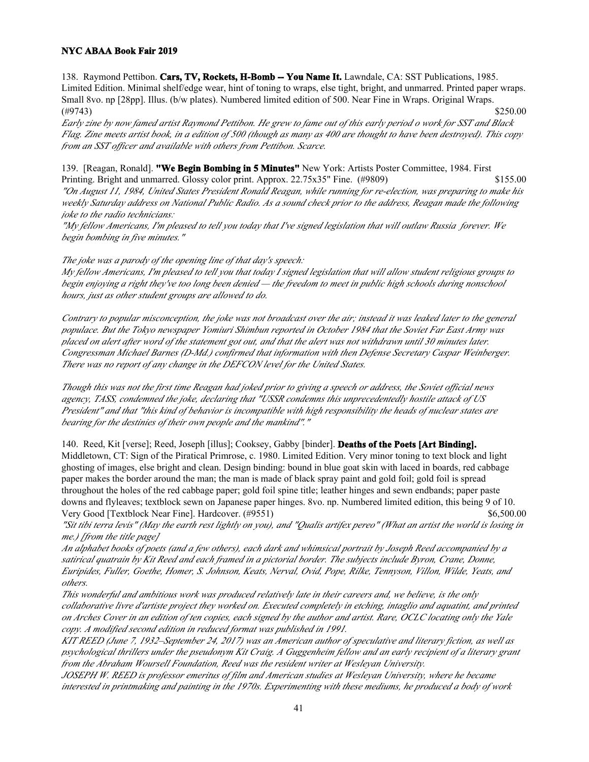138. Raymond Pettibon. **Cars, TV, Rockets, H-Bomb -- You Name It.** Lawndale, CA: SST Publications, 1985. Limited Edition. Minimal shelf/edge wear, hint of toning to wraps, else tight, bright, and unmarred. Printed paper wraps. Small 8vo. np [28pp]. Illus. (b/w plates). Numbered limited edition of 500. Near Fine in Wraps. Original Wraps. (#9743) \$250.00

*Early zine by now famed artist Raymond Pettibon. He grew to fame out of this early period o work for SST and Black Flag. Zine meets artist book, in a edition of 500 (though as many as 400 are thought to have been destroyed). This copy from an SST officer and available with others from Pettibon. Scarce.*

139. [Reagan, Ronald]. **"We Begin Bombing in 5 Minutes"** New York: Artists Poster Committee, 1984. First Printing. Bright and unmarred. Glossy color print. Approx. 22.75x35" Fine. (#9809) \$155.00

*"On August 11, 1984, United States President Ronald Reagan, while running for re-election, was preparing to make his weekly Saturday address on National Public Radio. As a sound check prior to the address, Reagan made the following joke to the radio technicians:*

*"My fellow Americans, I'm pleased to tell you today that I've signed legislation that will outlaw Russia forever. We begin bombing in five minutes."*

*The joke was a parody of the opening line of that day's speech:*

*My fellow Americans, I'm pleased to tell you that today I signed legislation that will allow student religious groups to begin enjoying a right they've too long been denied — the freedom to meet in public high schools during nonschool hours, just as other student groups are allowed to do.*

*Contrary to popular misconception, the joke was not broadcast over the air; instead it was leaked later to the general populace. But the Tokyo newspaper Yomiuri Shimbun reported in October 1984 that the Soviet Far East Army was placed on alert after word of the statement got out, and that the alert was not withdrawn until 30 minutes later. Congressman Michael Barnes (D-Md.) confirmed that information with then Defense Secretary Caspar Weinberger. There was no report of any change in the DEFCON level for the United States.*

*Though this was not the first time Reagan had joked prior to giving a speech or address, the Soviet official news agency, TASS, condemned the joke, declaring that "USSR condemns this unprecedentedly hostile attack of US President" and that "this kind of behavior is incompatible with high responsibility the heads of nuclear states are bearing for the destinies of their own people and the mankind"."*

140. Reed, Kit [verse]; Reed, Joseph [illus]; Cooksey, Gabby [binder]. **Deaths of the Poets [Art Binding].** Middletown, CT: Sign of the Piratical Primrose, c. 1980. Limited Edition. Very minor toning to text block and light ghosting of images, else bright and clean. Design binding: bound in blue goat skin with laced in boards, red cabbage paper makes the border around the man; the man is made of black spray paint and gold foil; gold foil is spread throughout the holes of the red cabbage paper; gold foil spine title; leather hinges and sewn endbands; paper paste downs and flyleaves; textblock sewn on Japanese paper hinges. 8vo. np. Numbered limited edition, this being 9 of 10. Very Good [Textblock Near Fine]. Hardcover. (#9551) \$6,500.00

*"Sit tibi terra levis" (May the earth rest lightly on you), and "Qualis artifex pereo" (What an artist the world is losing in me.) [from the title page]*

*An alphabet books of poets (and a few others), each dark and whimsical portrait by Joseph Reed accompanied by a satirical quatrain by Kit Reed and each framed in a pictorial border. The subjects include Byron, Crane, Donne, Euripides, Fuller, Goethe, Homer, S. Johnson, Keats, Nerval, Ovid, Pope, Rilke, Tennyson, Villon, Wilde, Yeats, and others.*

*This wonderful and ambitious work was produced relatively late in their careers and, we believe, is the only collaborative livre d'artiste project they worked on. Executed completely in etching, intaglio and aquatint, and printed on Arches Cover in an edition of ten copies, each signed by the author and artist. Rare, OCLC locating only the Yale copy. A modified second edition in reduced format was published in 1991.*

*KIT REED (June 7, 1932–September 24, 2017) was an American author of speculative and literary fiction, as well as psychological thrillers under the pseudonym Kit Craig. A Guggenheim fellow and an early recipient of a literary grant from the Abraham Woursell Foundation, Reed was the resident writer at Wesleyan University.*

*JOSEPH W. REED is professor emeritus of film and American studies at Wesleyan University, where he became interested in printmaking and painting in the 1970s. Experimenting with these mediums, he produced a body of work*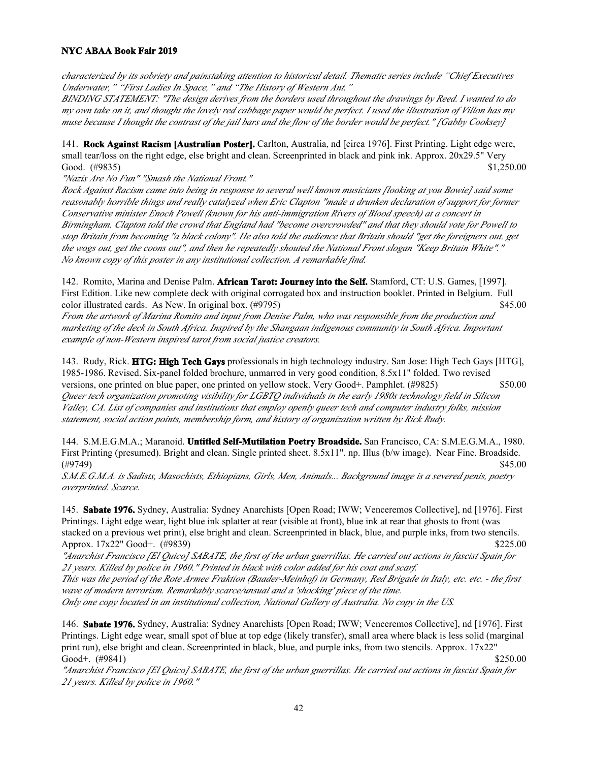*characterized by its sobriety and painstaking attention to historical detail. Thematic series include "Chief Executives Underwater," "First Ladies In Space," and "The History of Western Ant."*

*BINDING STATEMENT: "The design derives from the borders used throughout the drawings by Reed. I wanted to do my own take on it, and thought the lovely red cabbage paper would be perfect. I used the illustration of Villon has my muse because I thought the contrast of the jail bars and the flow of the border would be perfect." [Gabby Cooksey]*

141. **Rock Against Racism [Australian Poster].** Carlton, Australia, nd [circa 1976]. First Printing. Light edge were, small tear/loss on the right edge, else bright and clean. Screenprinted in black and pink ink. Approx. 20x29.5" Very Good. (#9835) \$1,250.00

*"Nazis Are No Fun" "Smash the National Front."*

*Rock Against Racism came into being in response to several well known musicians [looking at you Bowie] said some reasonably horrible things and really catalyzed when Eric Clapton "made a drunken declaration of support for former Conservative minister Enoch Powell (known for his anti-immigration Rivers of Blood speech) at a concert in Birmingham. Clapton told the crowd that England had "become overcrowded" and that they should vote for Powell to stop Britain from becoming "a black colony". He also told the audience that Britain should "get the foreigners out, get the wogs out, get the coons out", and then he repeatedly shouted the National Front slogan "Keep Britain White"." No known copy of this poster in any institutional collection. A remarkable find.*

142. Romito, Marina and Denise Palm. **African Tarot: Journey into the Self.** Stamford, CT: U.S. Games, [1997]. First Edition. Like new complete deck with original corrogated box and instruction booklet. Printed in Belgium. Full color illustrated cards. As New. In original box. (#9795) \$45.00

*From the artwork of Marina Romito and input from Denise Palm, who was responsible from the production and marketing of the deck in South Africa. Inspired by the Shangaan indigenous community in South Africa. Important example of non-Western inspired tarot from social justice creators.*

143. Rudy, Rick. **HTG: High Tech Gays** professionals in high technology industry. San Jose: High Tech Gays [HTG], 1985-1986. Revised. Six-panel folded brochure, unmarred in very good condition, 8.5x11" folded. Two revised versions, one printed on blue paper, one printed on yellow stock. Very Good+. Pamphlet. (#9825) \$50.00 *Queer tech organization promoting visibility for LGBTQ individuals in the early 1980s technology field in Silicon Valley, CA. List of companies and institutions that employ openly queer tech and computer industry folks, mission statement, social action points, membership form, and history of organization written by Rick Rudy.*

144. S.M.E.G.M.A.; Maranoid. **Untitled Self-Mutilation Poetry Broadside.** San Francisco, CA: S.M.E.G.M.A., 1980. First Printing (presumed). Bright and clean. Single printed sheet. 8.5x11". np. Illus (b/w image). Near Fine. Broadside. (#9749) \$45.00

*S.M.E.G.M.A. is Sadists, Masochists, Ethiopians, Girls, Men, Animals... Background image is a severed penis, poetry overprinted. Scarce.*

145. **Sabate 1976.** Sydney, Australia: Sydney Anarchists [Open Road; IWW; Venceremos Collective], nd [1976]. First Printings. Light edge wear, light blue ink splatter at rear (visible at front), blue ink at rear that ghosts to front (was stacked on a previous wet print), else bright and clean. Screenprinted in black, blue, and purple inks, from two stencils. Approx. 17x22" Good+. (#9839) \$225.00

*"Anarchist Francisco [El Quico] SABATE, the first of the urban guerrillas. He carried out actions in fascist Spain for 21 years. Killed by police in 1960." Printed in black with color added for his coat and scarf. This was the period of the Rote Armee Fraktion (Baader-Meinhof) in Germany, Red Brigade in Italy, etc. etc. - the first wave of modern terrorism. Remarkably scarce/unsual and a 'shocking' piece of the time. Only one copy located in an institutional collection, National Gallery of Australia. No copy in the US.*

146. **Sabate 1976.** Sydney, Australia: Sydney Anarchists [Open Road; IWW; Venceremos Collective], nd [1976]. First Printings. Light edge wear, small spot of blue at top edge (likely transfer), small area where black is less solid (marginal print run), else bright and clean. Screenprinted in black, blue, and purple inks, from two stencils. Approx. 17x22" Good+. (#9841) \$250.00

*"Anarchist Francisco [El Quico] SABATE, the first of the urban guerrillas. He carried out actions in fascist Spain for 21 years. Killed by police in 1960."*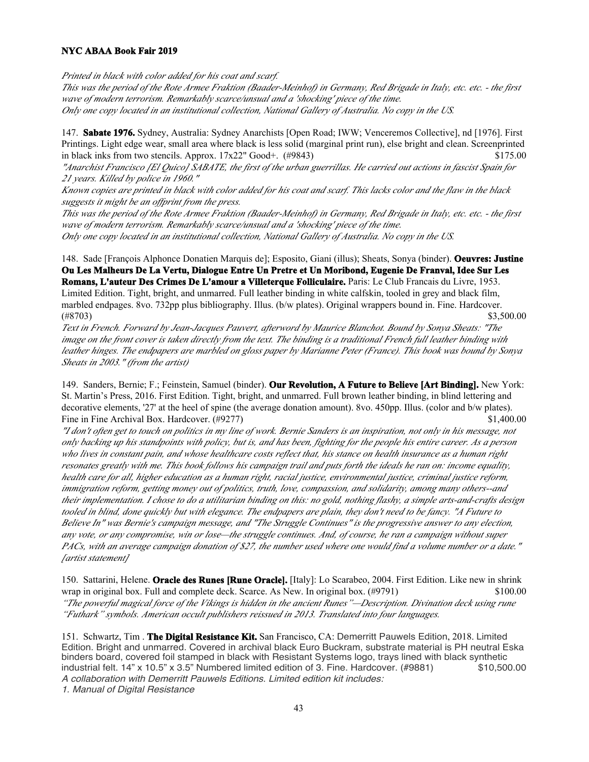*Printed in black with color added for his coat and scarf.*

*This was the period of the Rote Armee Fraktion (Baader-Meinhof) in Germany, Red Brigade in Italy, etc. etc. - the first wave of modern terrorism. Remarkably scarce/unsual and a 'shocking' piece of the time. Only one copy located in an institutional collection, National Gallery of Australia. No copy in the US.*

147. **Sabate 1976.** Sydney, Australia: Sydney Anarchists [Open Road; IWW; Venceremos Collective], nd [1976]. First Printings. Light edge wear, small area where black is less solid (marginal print run), else bright and clean. Screenprinted in black inks from two stencils. Approx.  $17x22$ " Good+.  $(\#9843)$  \$175.00

*"Anarchist Francisco [El Quico] SABATE, the first of the urban guerrillas. He carried out actions in fascist Spain for 21 years. Killed by police in 1960."*

*Known copies are printed in black with color added for his coat and scarf. This lacks color and the flaw in the black suggests it might be an offprint from the press.*

*This was the period of the Rote Armee Fraktion (Baader-Meinhof) in Germany, Red Brigade in Italy, etc. etc. - the first wave of modern terrorism. Remarkably scarce/unsual and a 'shocking' piece of the time. Only one copy located in an institutional collection, National Gallery of Australia. No copy in the US.*

148. Sade [François Alphonce Donatien Marquis de]; Esposito, Giani (illus); Sheats, Sonya (binder). **Oeuvres: Justine Ou Les Malheurs De La Vertu, Dialogue Entre Un Pretre et Un Moribond, Eugenie De Franval, Idee Sur Les Romans, L'auteur Des Crimes De L'amour a Villeterque Folliculaire.** Paris: Le Club Francais du Livre, 1953. Limited Edition. Tight, bright, and unmarred. Full leather binding in white calfskin, tooled in grey and black film,

marbled endpages. 8vo. 732pp plus bibliography. Illus. (b/w plates). Original wrappers bound in. Fine. Hardcover.  $(#8703)$  \$3,500.00 *Text in French. Forward by Jean-Jacques Pauvert, afterword by Maurice Blanchot. Bound by Sonya Sheats: "The*

*image on the front cover is taken directly from the text. The binding is a traditional French full leather binding with leather hinges. The endpapers are marbled on gloss paper by Marianne Peter (France). This book was bound by Sonya Sheats in 2003." (from the artist)*

149. Sanders, Bernie; F.; Feinstein, Samuel (binder). **Our Revolution, A Future to Believe [Art Binding].** New York: St. Martin's Press, 2016. First Edition. Tight, bright, and unmarred. Full brown leather binding, in blind lettering and decorative elements, '27' at the heel of spine (the average donation amount). 8vo. 450pp. Illus. (color and b/w plates). Fine in Fine Archival Box. Hardcover. (#9277) \$1,400.00

*"I don't often get to touch on politics in my line of work. Bernie Sanders is an inspiration, not only in his message, not only backing up his standpoints with policy, but is, and has been, fighting for the people his entire career. As a person who lives in constant pain, and whose healthcare costs reflect that, his stance on health insurance as a human right resonates greatly with me. This book follows his campaign trail and puts forth the ideals he ran on: income equality, health care for all, higher education as a human right, racial justice, environmental justice, criminal justice reform, immigration reform, getting money out of politics, truth, love, compassion, and solidarity, among many others--and their implementation. I chose to do a utilitarian binding on this: no gold, nothing flashy, a simple arts-and-crafts design tooled in blind, done quickly but with elegance. The endpapers are plain, they don't need to be fancy. "A Future to Believe In" was Bernie's campaign message, and "The Struggle Continues" is the progressive answer to any election, any vote, or any compromise, win or lose—the struggle continues. And, of course, he ran a campaign without super PACs, with an average campaign donation of \$27, the number used where one would find a volume number or a date." [artist statement]*

150. Sattarini, Helene. **Oracle des Runes [Rune Oracle].** [Italy]: Lo Scarabeo, 2004. First Edition. Like new in shrink wrap in original box. Full and complete deck. Scarce. As New. In original box. (#9791) \$100.00 *"The powerful magical force of the Vikings is hidden in the ancient Runes"—Description. Divination deck using rune "Futhark" symbols. American occult publishers reissued in 2013. Translated into four languages.*

151. Schwartz, Tim . **The Digital Resistance Kit.** San Francisco, CA: Demerritt Pauwels Edition, 2018. Limited Edition. Bright and unmarred. Covered in archival black Euro Buckram, substrate material is PH neutral Eska binders board, covered foil stamped in black with Resistant Systems logo, trays lined with black synthetic industrial felt. 14" x 10.5" x 3.5" Numbered limited edition of 3. Fine. Hardcover. (#9881) \$10,500.00 A collaboration with Demerritt Pauwels Editions. Limited edition kit includes:

1. Manual of Digital Resistance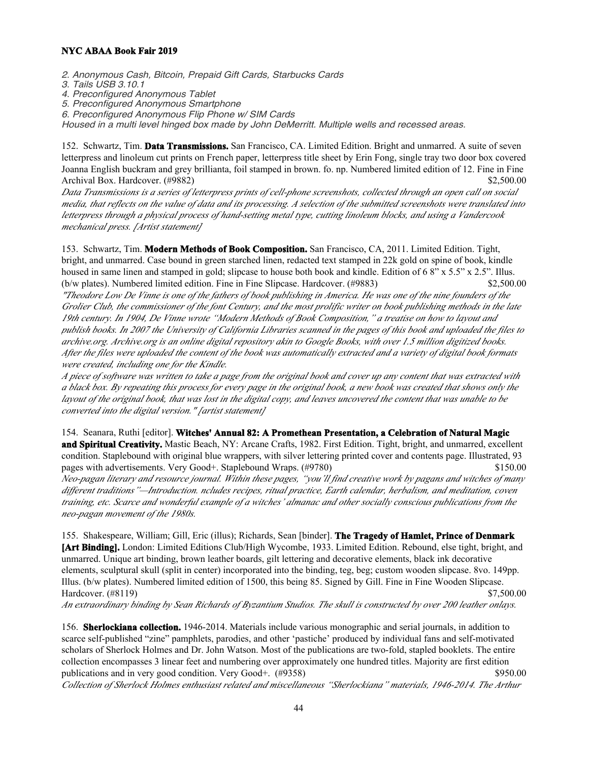2. Anonymous Cash, Bitcoin, Prepaid Gift Cards, Starbucks Cards 3. Tails USB 3.10.1 4. Preconfigured Anonymous Tablet 5. Preconfigured Anonymous Smartphone 6. Preconfigured Anonymous Flip Phone w/ SIM Cards Housed in a multi level hinged box made by John DeMerritt. Multiple wells and recessed areas.

152. Schwartz, Tim. **Data Transmissions.** San Francisco, CA. Limited Edition. Bright and unmarred. A suite of seven letterpress and linoleum cut prints on French paper, letterpress title sheet by Erin Fong, single tray two door box covered Joanna English buckram and grey brillianta, foil stamped in brown. fo. np. Numbered limited edition of 12. Fine in Fine Archival Box. Hardcover. (#9882)  $$2,500.00$ 

*Data Transmissions is a series of letterpress prints of cell-phone screenshots, collected through an open call on social media, that reflects on the value of data and its processing. A selection of the submitted screenshots were translated into letterpress through a physical process of hand-setting metal type, cutting linoleum blocks, and using a Vandercook mechanical press. [Artist statement]*

153. Schwartz, Tim. **Modern Methods of Book Composition.** San Francisco, CA, 2011. Limited Edition. Tight, bright, and unmarred. Case bound in green starched linen, redacted text stamped in 22k gold on spine of book, kindle housed in same linen and stamped in gold; slipcase to house both book and kindle. Edition of 6 8" x 5.5" x 2.5". Illus. (b/w plates). Numbered limited edition. Fine in Fine Slipcase. Hardcover. (#9883) \$2,500.00

*"Theodore Low De Vinne is one of the fathers of book publishing in America. He was one of the nine founders of the Grolier Club, the commissioner of the font Century, and the most prolific writer on book publishing methods in the late 19th century. In 1904, De Vinne wrote "Modern Methods of Book Composition," a treatise on how to layout and publish books. In 2007 the University of California Libraries scanned in the pages of this book and uploaded the files to archive.org. Archive.org is an online digital repository akin to Google Books, with over 1.5 million digitized books. After the files were uploaded the content of the book was automatically extracted and a variety of digital book formats were created, including one for the Kindle.*

*A piece of software was written to take a page from the original book and cover up any content that was extracted with a black box. By repeating this process for every page in the original book, a new book was created that shows only the layout of the original book, that was lost in the digital copy, and leaves uncovered the content that was unable to be converted into the digital version." [artist statement]*

154. Seanara, Ruthi [editor]. **Witches' Annual 82: A Promethean Presentation, a Celebration of Natural Magic and Spiritual Creativity.** Mastic Beach, NY: Arcane Crafts, 1982. First Edition. Tight, bright, and unmarred, excellent condition. Staplebound with original blue wrappers, with silver lettering printed cover and contents page. Illustrated, 93 pages with advertisements. Very Good+. Staplebound Wraps. (#9780) \$150.00 *Neo-pagan literary and resource journal. Within these pages, "you'll find creative work by pagans and witches of many different traditions"—Introduction. ncludes recipes, ritual practice, Earth calendar, herbalism, and meditation, coven training, etc. Scarce and wonderful example of a witches' almanac and other socially conscious publications from the neo-pagan movement of the 1980s.*

155. Shakespeare, William; Gill, Eric (illus); Richards, Sean [binder]. **The Tragedy of Hamlet, Prince of Denmark [Art Binding].** London: Limited Editions Club/High Wycombe, 1933. Limited Edition. Rebound, else tight, bright, and unmarred. Unique art binding, brown leather boards, gilt lettering and decorative elements, black ink decorative elements, sculptural skull (split in center) incorporated into the binding, teg, beg; custom wooden slipcase. 8vo. 149pp. Illus. (b/w plates). Numbered limited edition of 1500, this being 85. Signed by Gill. Fine in Fine Wooden Slipcase. Hardcover. (#8119) \$7,500.00

*An extraordinary binding by Sean Richards of Byzantium Studios. The skull is constructed by over 200 leather onlays.*

156. **Sherlockiana collection.** 1946-2014. Materials include various monographic and serial journals, in addition to scarce self-published "zine" pamphlets, parodies, and other 'pastiche' produced by individual fans and self-motivated scholars of Sherlock Holmes and Dr. John Watson. Most of the publications are two-fold, stapled booklets. The entire collection encompasses 3 linear feet and numbering over approximately one hundred titles. Majority are first edition publications and in very good condition. Very Good+. (#9358) \$950.00 *Collection of Sherlock Holmes enthusiast related and miscellaneous "Sherlockiana" materials, 1946-2014. The Arthur*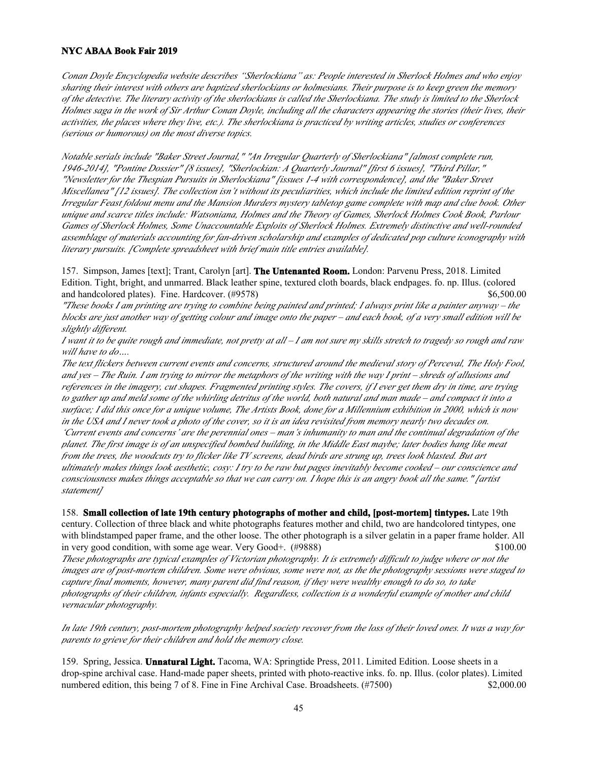*Conan Doyle Encyclopedia website describes "Sherlockiana" as: People interested in Sherlock Holmes and who enjoy sharing their interest with others are baptized sherlockians or holmesians. Their purpose is to keep green the memory of the detective. The literary activity of the sherlockians is called the Sherlockiana. The study is limited to the Sherlock Holmes saga in the work of Sir Arthur Conan Doyle, including all the characters appearing the stories (their lives, their activities, the places where they live, etc.). The sherlockiana is practiced by writing articles, studies or conferences (serious or humorous) on the most diverse topics.*

*Notable serials include "Baker Street Journal," "An Irregular Quarterly of Sherlockiana" [almost complete run, 1946-2014], "Pontine Dossier" [8 issues], "Sherlockian: A Quarterly Journal" [first 6 issues], "Third Pillar," "Newsletter for the Thespian Pursuits in Sherlockiana" [issues 1-4 with correspondence], and the "Baker Street Miscellanea" [12 issues]. The collection isn't without its peculiarities, which include the limited edition reprint of the Irregular Feast foldout menu and the Mansion Murders mystery tabletop game complete with map and clue book. Other unique and scarce titles include: Watsoniana, Holmes and the Theory of Games, Sherlock Holmes Cook Book, Parlour Games of Sherlock Holmes, Some Unaccountable Exploits of Sherlock Holmes. Extremely distinctive and well-rounded assemblage of materials accounting for fan-driven scholarship and examples of dedicated pop culture iconography with literary pursuits. [Complete spreadsheet with brief main title entries available].*

157. Simpson, James [text]; Trant, Carolyn [art]. **The Untenanted Room.** London: Parvenu Press, 2018. Limited Edition. Tight, bright, and unmarred. Black leather spine, textured cloth boards, black endpages. fo. np. Illus. (colored and handcolored plates). Fine. Hardcover. (#9578) \$6,500.00

*"These books I am printing are trying to combine being painted and printed; I always print like a painter anyway – the blocks are just another way of getting colour and image onto the paper – and each book, of a very small edition will be slightly different.*

*I want it to be quite rough and immediate, not pretty at all – I am not sure my skills stretch to tragedy so rough and raw will have to do….*

*The text flickers between current events and concerns, structured around the medieval story of Perceval, The Holy Fool, and yes – The Ruin. I am trying to mirror the metaphors of the writing with the way I print – shreds of allusions and references in the imagery, cut shapes. Fragmented printing styles. The covers, if I ever get them dry in time, are trying to gather up and meld some of the whirling detritus of the world, both natural and man made – and compact it into a surface; I did this once for a unique volume, The Artists Book, done for a Millennium exhibition in 2000, which is now in the USA and I never took a photo of the cover, so it is an idea revisited from memory nearly two decades on. 'Current events and concerns' are the perennial ones – man's inhumanity to man and the continual degradation of the planet. The first image is of an unspecified bombed building, in the Middle East maybe; later bodies hang like meat from the trees, the woodcuts try to flicker like TV screens, dead birds are strung up, trees look blasted. But art ultimately makes things look aesthetic, cosy: I try to be raw but pages inevitably become cooked – our conscience and consciousness makes things acceptable so that we can carry on. I hope this is an angry book all the same." [artist statement]*

158. **Small collection of late 19th century photographs of mother and child, [post-mortem] tintypes.** Late 19th century. Collection of three black and white photographs features mother and child, two are handcolored tintypes, one with blindstamped paper frame, and the other loose. The other photograph is a silver gelatin in a paper frame holder. All in very good condition, with some age wear. Very Good+. (#9888) \$100.00

*These photographs are typical examples of Victorian photography. It is extremely difficult to judge where or not the images are of post-mortem children. Some were obvious, some were not, as the the photography sessions were staged to capture final moments, however, many parent did find reason, if they were wealthy enough to do so, to take photographs of their children, infants especially. Regardless, collection is a wonderful example of mother and child vernacular photography.*

*In late 19th century, post-mortem photography helped society recover from the loss of their loved ones. It was a way for parents to grieve for their children and hold the memory close.*

159. Spring, Jessica. **Unnatural Light.** Tacoma, WA: Springtide Press, 2011. Limited Edition. Loose sheets in a drop-spine archival case. Hand-made paper sheets, printed with photo-reactive inks. fo. np. Illus. (color plates). Limited numbered edition, this being 7 of 8. Fine in Fine Archival Case. Broadsheets. (#7500) \$2,000.00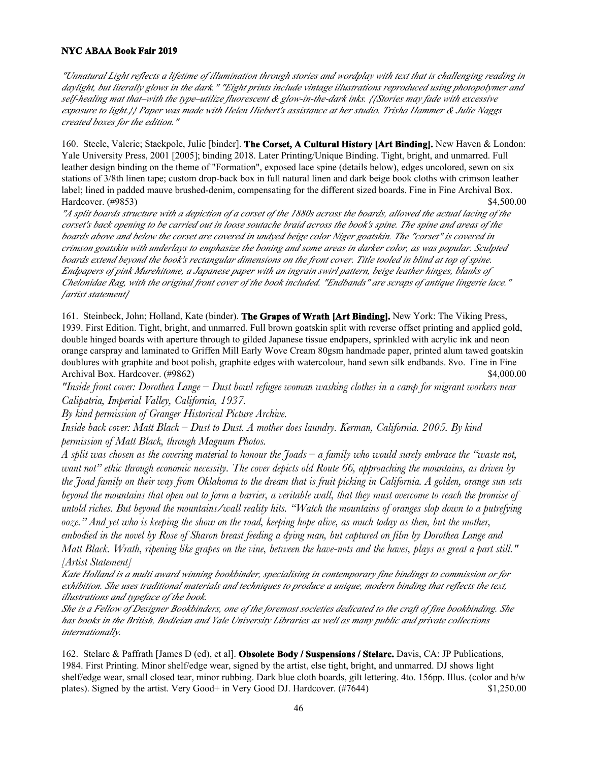*"Unnatural Light reflects a lifetime of illumination through stories and wordplay with text that is challenging reading in daylight, but literally glows in the dark." "Eight prints include vintage illustrations reproduced using photopolymer and self-healing mat that–with the type–utilize fluorescent & glow-in-the-dark inks. {{Stories may fade with excessive exposure to light.}} Paper was made with Helen Hiebert's assistance at her studio. Trisha Hammer & Julie Naggs created boxes for the edition."*

160. Steele, Valerie; Stackpole, Julie [binder]. **The Corset, A Cultural History [Art Binding].** New Haven & London: Yale University Press, 2001 [2005]; binding 2018. Later Printing/Unique Binding. Tight, bright, and unmarred. Full leather design binding on the theme of "Formation", exposed lace spine (details below), edges uncolored, sewn on six stations of 3/8th linen tape; custom drop-back box in full natural linen and dark beige book cloths with crimson leather label; lined in padded mauve brushed-denim, compensating for the different sized boards. Fine in Fine Archival Box. Hardcover. (#9853) \$4,500.00

*"A split boards structure with a depiction of a corset of the 1880s across the boards, allowed the actual lacing of the corset's back opening to be carried out in loose soutache braid across the book's spine. The spine and areas of the boards above and below the corset are covered in undyed beige color Niger goatskin. The "corset" is covered in crimson goatskin with underlays to emphasize the boning and some areas in darker color, as was popular. Sculpted boards extend beyond the book's rectangular dimensions on the front cover. Title tooled in blind at top of spine. Endpapers of pink Murehitome, a Japanese paper with an ingrain swirl pattern, beige leather hinges, blanks of Chelonidae Rag, with the original front cover of the book included. "Endbands" are scraps of antique lingerie lace." [artist statement]*

161. Steinbeck, John; Holland, Kate (binder). **The Grapes of Wrath [Art Binding].** New York: The Viking Press, 1939. First Edition. Tight, bright, and unmarred. Full brown goatskin split with reverse offset printing and applied gold, double hinged boards with aperture through to gilded Japanese tissue endpapers, sprinkled with acrylic ink and neon orange carspray and laminated to Griffen Mill Early Wove Cream 80gsm handmade paper, printed alum tawed goatskin doublures with graphite and boot polish, graphite edges with watercolour, hand sewn silk endbands. 8vo. Fine in Fine Archival Box. Hardcover. (#9862)  $$4,000.00$ 

*"Inside front cover: Dorothea Lange – Dust bowl refugee woman washing clothes in a camp for migrant workers near Calipatria, Imperial Valley, California, 1937.*

*By kind permission of Granger Historical Picture Archive.*

*Inside back cover: Matt Black – Dust to Dust. A mother does laundry. Kerman, California. 2005. By kind permission of Matt Black, through Magnum Photos.*

*A split was chosen as the covering material to honour the Joads – a family who would surely embrace the "waste not, want not" ethic through economic necessity. The cover depicts old Route 66, approaching the mountains, as driven by the Joad family on their way from Oklahoma to the dream that is fruit picking in California. A golden, orange sun sets beyond the mountains that open out to form a barrier, a veritable wall, that they must overcome to reach the promise of untold riches. But beyond the mountains/wall reality hits. "Watch the mountains of oranges slop down to a putrefying ooze." And yet who is keeping the show on the road, keeping hope alive, as much today as then, but the mother, embodied in the novel by Rose of Sharon breast feeding a dying man, but captured on film by Dorothea Lange and Matt Black. Wrath, ripening like grapes on the vine, between the have-nots and the haves, plays as great a part still." [Artist Statement]*

*Kate Holland is a multi award winning bookbinder, specialising in contemporary fine bindings to commission or for exhibition. She uses traditional materials and techniques to produce a unique, modern binding that reflects the text, illustrations and typeface of the book.*

*She is a Fellow of Designer Bookbinders, one of the foremost societies dedicated to the craft of fine bookbinding. She has books in the British, Bodleian and Yale University Libraries as well as many public and private collections internationally.*

162. Stelarc & Paffrath [James D (ed), et al]. **Obsolete Body / Suspensions / Stelarc.** Davis, CA: JP Publications, 1984. First Printing. Minor shelf/edge wear, signed by the artist, else tight, bright, and unmarred. DJ shows light shelf/edge wear, small closed tear, minor rubbing. Dark blue cloth boards, gilt lettering. 4to. 156pp. Illus. (color and b/w plates). Signed by the artist. Very Good+ in Very Good DJ. Hardcover. (#7644) \$1,250.00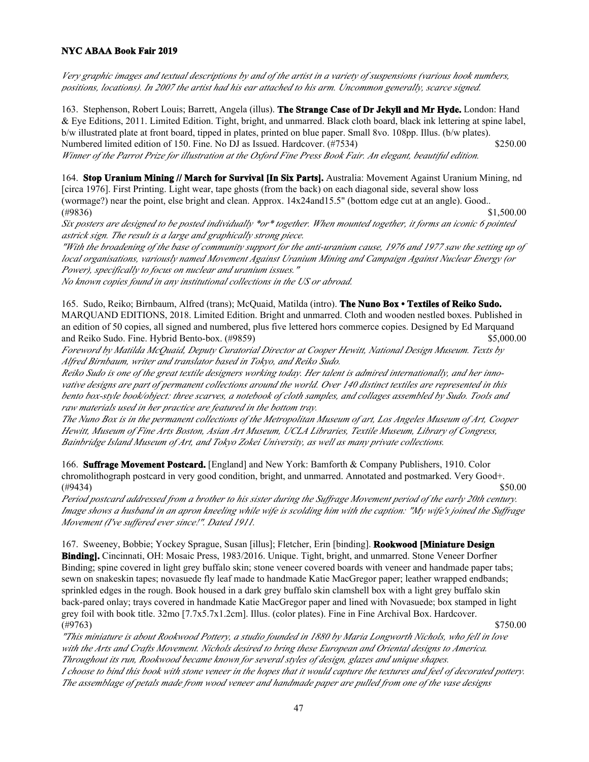*Very graphic images and textual descriptions by and of the artist in a variety of suspensions (various hook numbers, positions, locations). In 2007 the artist had his ear attached to his arm. Uncommon generally, scarce signed.*

163. Stephenson, Robert Louis; Barrett, Angela (illus). **The Strange Case of Dr Jekyll and Mr Hyde.** London: Hand & Eye Editions, 2011. Limited Edition. Tight, bright, and unmarred. Black cloth board, black ink lettering at spine label, b/w illustrated plate at front board, tipped in plates, printed on blue paper. Small 8vo. 108pp. Illus. (b/w plates). Numbered limited edition of 150. Fine. No DJ as Issued. Hardcover. (#7534) \$250.00 *Winner of the Parrot Prize for illustration at the Oxford Fine Press Book Fair. An elegant, beautiful edition.*

164. **Stop Uranium Mining // March for Survival [In Six Parts].** Australia: Movement Against Uranium Mining, nd [circa 1976]. First Printing. Light wear, tape ghosts (from the back) on each diagonal side, several show loss (wormage?) near the point, else bright and clean. Approx. 14x24and15.5" (bottom edge cut at an angle). Good.. (#9836) \$1,500.00

*Six posters are designed to be posted individually \*or\* together. When mounted together, it forms an iconic 6 pointed astrick sign. The result is a large and graphically strong piece.*

*"With the broadening of the base of community support for the anti-uranium cause, 1976 and 1977 saw the setting up of local organisations, variously named Movement Against Uranium Mining and Campaign Against Nuclear Energy (or Power), specifically to focus on nuclear and uranium issues."*

*No known copies found in any institutional collections in the US or abroad.*

165. Sudo, Reiko; Birnbaum, Alfred (trans); McQuaid, Matilda (intro). **The Nuno Box • Textiles of Reiko Sudo.** MARQUAND EDITIONS, 2018. Limited Edition. Bright and unmarred. Cloth and wooden nestled boxes. Published in an edition of 50 copies, all signed and numbered, plus five lettered hors commerce copies. Designed by Ed Marquand and Reiko Sudo. Fine. Hybrid Bento-box. (#9859) \$5,000.00

*Foreword by Matilda McQuaid, Deputy Curatorial Director at Cooper Hewitt, National Design Museum. Texts by Alfred Birnbaum, writer and translator based in Tokyo, and Reiko Sudo.*

*Reiko Sudo is one of the great textile designers working today. Her talent is admired internationally, and her innovative designs are part of permanent collections around the world. Over 140 distinct textiles are represented in this bento box-style book/object: three scarves, a notebook of cloth samples, and collages assembled by Sudo. Tools and raw materials used in her practice are featured in the bottom tray.*

*The Nuno Box is in the permanent collections of the Metropolitan Museum of art, Los Angeles Museum of Art, Cooper Hewitt, Museum of Fine Arts Boston, Asian Art Museum, UCLA Libraries, Textile Museum, Library of Congress, Bainbridge Island Museum of Art, and Tokyo Zokei University, as well as many private collections.*

166. **Suffrage Movement Postcard.** [England] and New York: Bamforth & Company Publishers, 1910. Color chromolithograph postcard in very good condition, bright, and unmarred. Annotated and postmarked. Very Good+. (#9434) \$50.00

*Period postcard addressed from a brother to his sister during the Suffrage Movement period of the early 20th century. Image shows a husband in an apron kneeling while wife is scolding him with the caption: "My wife's joined the Suffrage Movement (I've suffered ever since!". Dated 1911.*

167. Sweeney, Bobbie; Yockey Sprague, Susan [illus]; Fletcher, Erin [binding]. **Rookwood [Miniature Design Binding].** Cincinnati, OH: Mosaic Press, 1983/2016. Unique. Tight, bright, and unmarred. Stone Veneer Dorfner Binding; spine covered in light grey buffalo skin; stone veneer covered boards with veneer and handmade paper tabs; sewn on snakeskin tapes; novasuede fly leaf made to handmade Katie MacGregor paper; leather wrapped endbands; sprinkled edges in the rough. Book housed in a dark grey buffalo skin clamshell box with a light grey buffalo skin back-pared onlay; trays covered in handmade Katie MacGregor paper and lined with Novasuede; box stamped in light grey foil with book title. 32mo [7.7x5.7x1.2cm]. Illus. (color plates). Fine in Fine Archival Box. Hardcover. (#9763) \$750.00

*"This miniature is about Rookwood Pottery, a studio founded in 1880 by Maria Longworth Nichols, who fell in love with the Arts and Crafts Movement. Nichols desired to bring these European and Oriental designs to America. Throughout its run, Rookwood became known for several styles of design, glazes and unique shapes. I choose to bind this book with stone veneer in the hopes that it would capture the textures and feel of decorated pottery. The assemblage of petals made from wood veneer and handmade paper are pulled from one of the vase designs*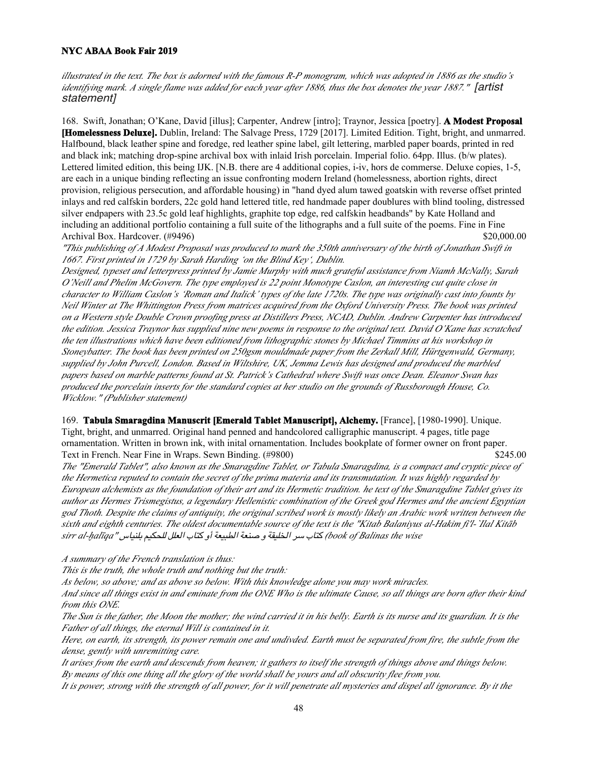*illustrated in the text. The box is adorned with the famous R-P monogram, which was adopted in 1886 as the studio's identifying mark. A single flame was added for each year after 1886, thus the box denotes the year 1887."* [artist statement]

168. Swift, Jonathan; O'Kane, David [illus]; Carpenter, Andrew [intro]; Traynor, Jessica [poetry]. **A Modest Proposal [Homelessness Deluxe].** Dublin, Ireland: The Salvage Press, 1729 [2017]. Limited Edition. Tight, bright, and unmarred. Halfbound, black leather spine and foredge, red leather spine label, gilt lettering, marbled paper boards, printed in red and black ink; matching drop-spine archival box with inlaid Irish porcelain. Imperial folio. 64pp. Illus. (b/w plates). Lettered limited edition, this being IJK. [N.B. there are 4 additional copies, i-iv, hors de commerse. Deluxe copies, 1-5, are each in a unique binding reflecting an issue confronting modern Ireland (homelessness, abortion rights, direct provision, religious persecution, and affordable housing) in "hand dyed alum tawed goatskin with reverse offset printed inlays and red calfskin borders, 22c gold hand lettered title, red handmade paper doublures with blind tooling, distressed silver endpapers with 23.5c gold leaf highlights, graphite top edge, red calfskin headbands" by Kate Holland and including an additional portfolio containing a full suite of the lithographs and a full suite of the poems. Fine in Fine Archival Box. Hardcover. (#9496)  $$20,000.00$ 

*"This publishing of A Modest Proposal was produced to mark the 350th anniversary of the birth of Jonathan Swift in 1667. First printed in 1729 by Sarah Harding 'on the Blind Key', Dublin.*

*Designed, typeset and letterpress printed by Jamie Murphy with much grateful assistance from Niamh McNally, Sarah O'Neill and Phelim McGovern. The type employed is 22 point Monotype Caslon, an interesting cut quite close in character to William Caslon's 'Roman and Italick' types of the late 1720s. The type was originally cast into founts by Neil Winter at The Whittington Press from matrices acquired from the Oxford University Press. The book was printed on a Western style Double Crown proofing press at Distillers Press, NCAD, Dublin. Andrew Carpenter has introduced the edition. Jessica Traynor has supplied nine new poems in response to the original text. David O'Kane has scratched the ten illustrations which have been editioned from lithographic stones by Michael Timmins at his workshop in Stoneybatter. The book has been printed on 250gsm mouldmade paper from the Zerkall Mill, Hürtgenwald, Germany, supplied by John Purcell, London. Based in Wiltshire, UK, Jemma Lewis has designed and produced the marbled papers based on marble patterns found at St. Patrick's Cathedral where Swift was once Dean. Eleanor Swan has produced the porcelain inserts for the standard copies at her studio on the grounds of Russborough House, Co. Wicklow." (Publisher statement)*

169. **Tabula Smaragdina Manuscrit [Emerald Tablet Manuscript], Alchemy.** [France], [1980-1990]. Unique. Tight, bright, and unmarred. Original hand penned and handcolored calligraphic manuscript. 4 pages, title page ornamentation. Written in brown ink, with inital ornamentation. Includes bookplate of former owner on front paper. Text in French. Near Fine in Wraps. Sewn Binding. (#9800) \$245.00

*The "Emerald Tablet", also known as the Smaragdine Tablet, or Tabula Smaragdina, is a compact and cryptic piece of the Hermetica reputed to contain the secret of the prima materia and its transmutation. It was highly regarded by European alchemists as the foundation of their art and its Hermetic tradition. he text of the Smaragdine Tablet gives its author as Hermes Trismegistus, a legendary Hellenistic combination of the Greek god Hermes and the ancient Egyptian god Thoth. Despite the claims of antiquity, the original scribed work is mostly likely an Arabic work written between the sixth and eighth centuries. The oldest documentable source of the text is the "Kitab Balaniyus al-Hakim fi'l-`Ilal Kitāb wise the Balinas of book (*كتاب سر الخليقة <sup>و</sup> صنعة الطبيعة أو كتاب العلل للحكيم بلنياس *"ḫalīqa-al sirr*

*A summary of the French translation is thus:*

*This is the truth, the whole truth and nothing but the truth:*

*As below, so above; and as above so below. With this knowledge alone you may work miracles.*

*And since all things exist in and eminate from the ONE Who is the ultimate Cause, so all things are born after their kind from this ONE.*

*The Sun is the father, the Moon the mother; the wind carried it in his belly. Earth is its nurse and its guardian. It is the Father of all things, the eternal Will is contained in it.*

*Here, on earth, its strength, its power remain one and undivded. Earth must be separated from fire, the subtle from the dense, gently with unremitting care.*

*It arises from the earth and descends from heaven; it gathers to itself the strength of things above and things below. By means of this one thing all the glory of the world shall be yours and all obscurity flee from you.*

*It is power, strong with the strength of all power, for it will penetrate all mysteries and dispel all ignorance. By it the*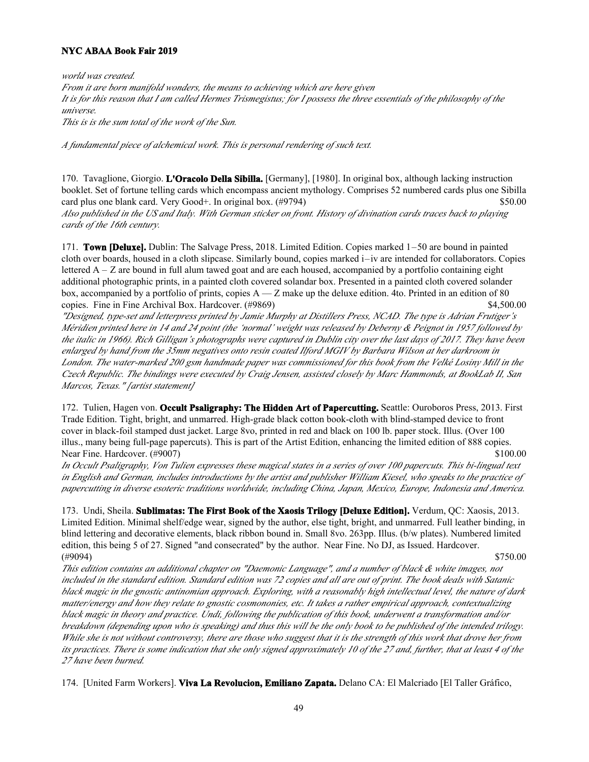*world was created. From it are born manifold wonders, the means to achieving which are here given It is for this reason that I am called Hermes Trismegistus; for I possess the three essentials of the philosophy of the universe.*

*This is is the sum total of the work of the Sun.*

*A fundamental piece of alchemical work. This is personal rendering of such text.*

170. Tavaglione, Giorgio. **L'Oracolo Della Sibilla.** [Germany], [1980]. In original box, although lacking instruction booklet. Set of fortune telling cards which encompass ancient mythology. Comprises 52 numbered cards plus one Sibilla card plus one blank card. Very Good+. In original box. (#9794) \$50.00 *Also published in the US and Italy. With German sticker on front. History of divination cards traces back to playing*

*cards of the 16th century.*

171. **Town [Deluxe].** Dublin: The Salvage Press, 2018. Limited Edition. Copies marked 1–50 are bound in painted cloth over boards, housed in a cloth slipcase. Similarly bound, copies marked i–iv are intended for collaborators. Copies lettered  $A – Z$  are bound in full alum tawed goat and are each housed, accompanied by a portfolio containing eight additional photographic prints, in a painted cloth covered solandar box. Presented in a painted cloth covered solander box, accompanied by a portfolio of prints, copies A — Z make up the deluxe edition. 4to. Printed in an edition of 80 copies. Fine in Fine Archival Box. Hardcover. (#9869) \$4,500.00

*"Designed, type-set and letterpress printed by Jamie Murphy at Distillers Press, NCAD. The type is Adrian Frutiger's Méridien printed here in 14 and 24 point (the 'normal' weight was released by Deberny & Peignot in 1957 followed by the italic in 1966). Rich Gilligan's photographs were captured in Dublin city over the last days of 2017. They have been enlarged by hand from the 35mm negatives onto resin coated Ilford MGIV by Barbara Wilson at her darkroom in London. The water-marked 200  gsm handmade paper was commissioned for this book from the Velké Losiny Mill in the Czech Republic. The bindings were executed by Craig Jensen, assisted closely by Marc Hammonds, at BookLab II, San Marcos, Texas." [artist statement]*

172. Tulien, Hagen von. **Occult Psaligraphy: The Hidden Art of Papercutting.** Seattle: Ouroboros Press, 2013. First Trade Edition. Tight, bright, and unmarred. High-grade black cotton book-cloth with blind-stamped device to front cover in black-foil stamped dust jacket. Large 8vo, printed in red and black on 100 lb. paper stock. Illus. (Over 100 illus., many being full-page papercuts). This is part of the Artist Edition, enhancing the limited edition of 888 copies. Near Fine. Hardcover. (#9007) \$100.00

*In Occult Psaligraphy, Von Tulien expresses these magical states in a series of over 100 papercuts. This bi-lingual text in English and German, includes introductions by the artist and publisher William Kiesel, who speaks to the practice of papercutting in diverse esoteric traditions worldwide, including China, Japan, Mexico, Europe, Indonesia and America.*

173. Undi, Sheila. **Sublimatas: The First Book of the Xaosis Trilogy [Deluxe Edition].** Verdum, QC: Xaosis, 2013. Limited Edition. Minimal shelf/edge wear, signed by the author, else tight, bright, and unmarred. Full leather binding, in blind lettering and decorative elements, black ribbon bound in. Small 8vo. 263pp. Illus. (b/w plates). Numbered limited edition, this being 5 of 27. Signed "and consecrated" by the author. Near Fine. No DJ, as Issued. Hardcover. (#9094) \$750.00

*This edition contains an additional chapter on "Daemonic Language", and a number of black & white images, not included in the standard edition. Standard edition was 72 copies and all are out of print. The book deals with Satanic black magic in the gnostic antinomian approach. Exploring, with a reasonably high intellectual level, the nature of dark matter/energy and how they relate to gnostic cosmononies, etc. It takes a rather empirical approach, contextualizing black magic in theory and practice. Undi, following the publication of this book, underwent a transformation and/or breakdown (depending upon who is speaking) and thus this will be the only book to be published of the intended trilogy. While she is not without controversy, there are those who suggest that it is the strength of this work that drove her from its practices. There is some indication that she only signed approximately 10 of the 27 and, further, that at least 4 of the 27 have been burned.*

174. [United Farm Workers]. **Viva La Revolucion, Emiliano Zapata.** Delano CA: El Malcriado [El Taller Gráfico,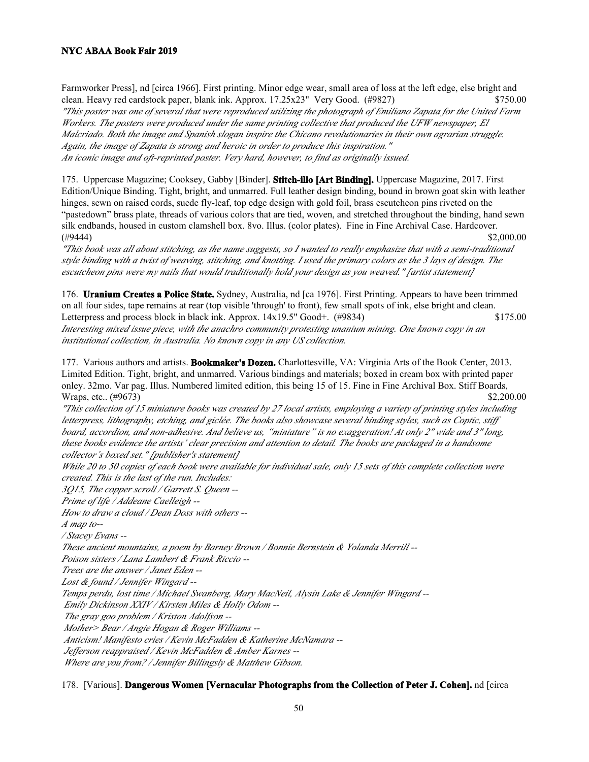Farmworker Press], nd [circa 1966]. First printing. Minor edge wear, small area of loss at the left edge, else bright and clean. Heavy red cardstock paper, blank ink. Approx. 17.25x23" Very Good. (#9827) \$750.00

*"This poster was one of several that were reproduced utilizing the photograph of Emiliano Zapata for the United Farm Workers. The posters were produced under the same printing collective that produced the UFW newspaper, El Malcriado. Both the image and Spanish slogan inspire the Chicano revolutionaries in their own agrarian struggle. Again, the image of Zapata is strong and heroic in order to produce this inspiration." An iconic image and oft-reprinted poster. Very hard, however, to find as originally issued.*

175. Uppercase Magazine; Cooksey, Gabby [Binder]. **Stitch-illo [Art Binding].** Uppercase Magazine, 2017. First Edition/Unique Binding. Tight, bright, and unmarred. Full leather design binding, bound in brown goat skin with leather hinges, sewn on raised cords, suede fly-leaf, top edge design with gold foil, brass escutcheon pins riveted on the "pastedown" brass plate, threads of various colors that are tied, woven, and stretched throughout the binding, hand sewn silk endbands, housed in custom clamshell box. 8vo. Illus. (color plates). Fine in Fine Archival Case. Hardcover. (#9444) \$2,000.00

*"This book was all about stitching, as the name suggests, so I wanted to really emphasize that with a semi-traditional style binding with a twist of weaving, stitching, and knotting. I used the primary colors as the 3 lays of design. The escutcheon pins were my nails that would traditionally hold your design as you weaved." [artist statement]*

176. **Uranium Creates a Police State.** Sydney, Australia, nd [ca 1976]. First Printing. Appears to have been trimmed on all four sides, tape remains at rear (top visible 'through' to front), few small spots of ink, else bright and clean. Letterpress and process block in black ink. Approx. 14x19.5" Good+. (#9834) \$175.00 *Interesting mixed issue piece, with the anachro community protesting unanium mining. One known copy in an institutional collection, in Australia. No known copy in any US collection.*

177. Various authors and artists. **Bookmaker's Dozen.** Charlottesville, VA: Virginia Arts of the Book Center, 2013. Limited Edition. Tight, bright, and unmarred. Various bindings and materials; boxed in cream box with printed paper onley. 32mo. Var pag. Illus. Numbered limited edition, this being 15 of 15. Fine in Fine Archival Box. Stiff Boards, Wraps, etc.. (#9673) \$2,200.00

*"This collection of 15 miniature books was created by 27 local artists, employing a variety of printing styles including letterpress, lithography, etching, and giclée. The books also showcase several binding styles, such as Coptic, stiff board, accordion, and non-adhesive. And believe us, "miniature" is no exaggeration! At only 2″ wide and 3″ long, these books evidence the artists' clear precision and attention to detail. The books are packaged in a handsome collector's boxed set." [publisher's statement]*

*While 20 to 50 copies of each book were available for individual sale, only 15 sets of this complete collection were created. This is the last of the run. Includes:*

*3Q15, The copper scroll / Garrett S. Queen --*

*Prime of life / Addeane Caelleigh --*

*How to draw a cloud / Dean Doss with others --*

*A map to--*

*/ Stacey Evans --*

*These ancient mountains, a poem by Barney Brown / Bonnie Bernstein & Yolanda Merrill --*

*Poison sisters / Lana Lambert & Frank Riccio --*

*Trees are the answer / Janet Eden --*

*Lost & found / Jennifer Wingard --*

*Temps perdu, lost time / Michael Swanberg, Mary MacNeil, Alysin Lake & Jennifer Wingard --*

 *Emily Dickinson XXIV / Kirsten Miles & Holly Odom --*

 *The gray goo problem / Kriston Adolfson --*

 *Mother> Bear / Angie Hogan & Roger Williams --*

 *Anticism! Manifesto cries / Kevin McFadden & Katherine McNamara --*

 *Jefferson reappraised / Kevin McFadden & Amber Karnes --*

 *Where are you from? / Jennifer Billingsly & Matthew Gibson.*

#### 178. [Various]. **Dangerous Women [Vernacular Photographs from the Collection of Peter J. Cohen].** nd [circa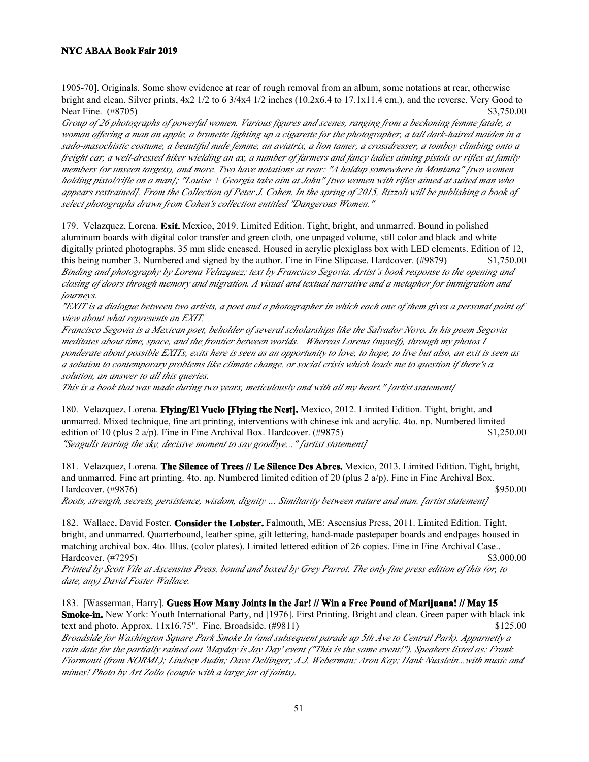1905-70]. Originals. Some show evidence at rear of rough removal from an album, some notations at rear, otherwise bright and clean. Silver prints, 4x2 1/2 to 6 3/4x4 1/2 inches (10.2x6.4 to 17.1x11.4 cm.), and the reverse. Very Good to Near Fine. (#8705) \$3,750.00

*Group of 26 photographs of powerful women. Various figures and scenes, ranging from a beckoning femme fatale, a woman offering a man an apple, a brunette lighting up a cigarette for the photographer, a tall dark-haired maiden in a sado-masochistic costume, a beautiful nude femme, an aviatrix, a lion tamer, a crossdresser, a tomboy climbing onto a freight car, a well-dressed hiker wielding an ax, a number of farmers and fancy ladies aiming pistols or rifles at family members (or unseen targets), and more. Two have notations at rear: "A holdup somewhere in Montana" [two women holding pistol/rifle on a man]; "Louise + Georgia take aim at John" [two women with rifles aimed at suited man who appears restrained]. From the Collection of Peter J. Cohen. In the spring of 2015, Rizzoli will be publishing a book of select photographs drawn from Cohen's collection entitled "Dangerous Women."*

179. Velazquez, Lorena. **Exit.** Mexico, 2019. Limited Edition. Tight, bright, and unmarred. Bound in polished aluminum boards with digital color transfer and green cloth, one unpaged volume, still color and black and white digitally printed photographs. 35 mm slide encased. Housed in acrylic plexiglass box with LED elements. Edition of 12, this being number 3. Numbered and signed by the author. Fine in Fine Slipcase. Hardcover. (#9879) \$1,750.00 *Binding and photography by Lorena Velazquez; text by Francisco Segovia. Artist's book response to the opening and closing of doors through memory and migration. A visual and textual narrative and a metaphor for immigration and journeys.*

*"EXIT is a dialogue between two artists, a poet and a photographer in which each one of them gives a personal point of view about what represents an EXIT.*

*Francisco Segovia is a Mexican poet, beholder of several scholarships like the Salvador Novo. In his poem Segovia meditates about time, space, and the frontier between worlds. Whereas Lorena (myself), through my photos I ponderate about possible EXITs, exits here is seen as an opportunity to love, to hope, to live but also, an exit is seen as a solution to contemporary problems like climate change, or social crisis which leads me to question if there's a solution, an answer to all this queries.*

*This is a book that was made during two years, meticulously and with all my heart." [artist statement]*

180. Velazquez, Lorena. **Flying/El Vuelo [Flying the Nest].** Mexico, 2012. Limited Edition. Tight, bright, and unmarred. Mixed technique, fine art printing, interventions with chinese ink and acrylic. 4to. np. Numbered limited edition of 10 (plus 2 a/p). Fine in Fine Archival Box. Hardcover.  $(\text{\#9875})$  \$1,250.00 *"Seagulls tearing the sky, decisive moment to say goodbye..." [artist statement]*

181. Velazquez, Lorena. **The Silence of Trees // Le Silence Des Abres.** Mexico, 2013. Limited Edition. Tight, bright, and unmarred. Fine art printing. 4to. np. Numbered limited edition of 20 (plus 2 a/p). Fine in Fine Archival Box. Hardcover. (#9876) \$950.00

*Roots, strength, secrets, persistence, wisdom, dignity … Similtarity between nature and man. [artist statement]*

182. Wallace, David Foster. **Consider the Lobster.** Falmouth, ME: Ascensius Press, 2011. Limited Edition. Tight, bright, and unmarred. Quarterbound, leather spine, gilt lettering, hand-made pastepaper boards and endpages housed in matching archival box. 4to. Illus. (color plates). Limited lettered edition of 26 copies. Fine in Fine Archival Case.. Hardcover. (#7295) \$3,000.00

*Printed by Scott Vile at Ascensius Press, bound and boxed by Grey Parrot. The only fine press edition of this (or, to date, any) David Foster Wallace.*

183. [Wasserman, Harry]. **Guess How Many Joints in the Jar! // Win a Free Pound of Marijuana! // May 15 Smoke-in.** New York: Youth International Party, nd [1976]. First Printing. Bright and clean. Green paper with black ink text and photo. Approx. 11x16.75". Fine. Broadside. (#9811) \$125.00 *Broadside for Washington Square Park Smoke In (and subsequent parade up 5th Ave to Central Park). Apparnetly a rain date for the partially rained out 'Mayday is Jay Day' event ("This is the same event!"). Speakers listed as: Frank Fiormonti (from NORML); Lindsey Audin; Dave Dellinger; A.J. Weberman; Aron Kay; Hank Nusslein...with music and mimes! Photo by Art Zollo (couple with a large jar of joints).*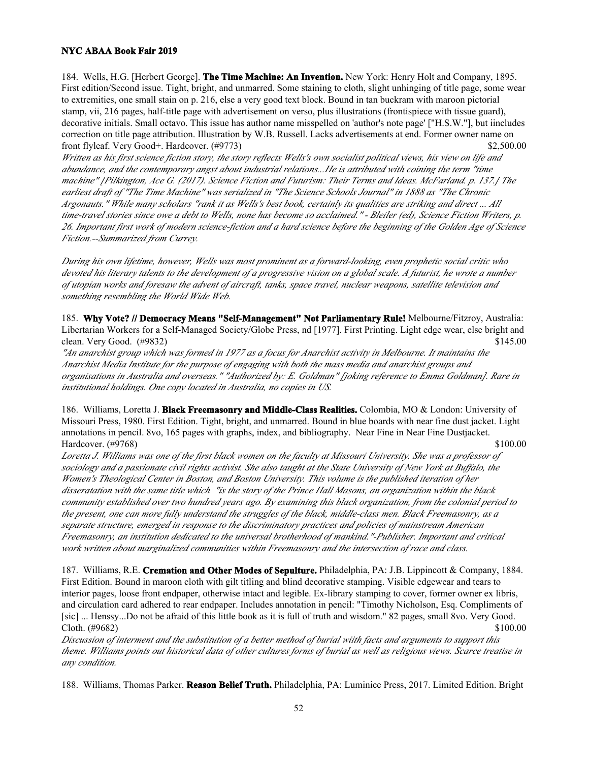184. Wells, H.G. [Herbert George]. **The Time Machine: An Invention.** New York: Henry Holt and Company, 1895. First edition/Second issue. Tight, bright, and unmarred. Some staining to cloth, slight unhinging of title page, some wear to extremities, one small stain on p. 216, else a very good text block. Bound in tan buckram with maroon pictorial stamp, vii, 216 pages, half-title page with advertisement on verso, plus illustrations (frontispiece with tissue guard), decorative initials. Small octavo. This issue has author name misspelled on 'author's note page' ["H.S.W."], but iincludes correction on title page attribution. Illustration by W.B. Russell. Lacks advertisements at end. Former owner name on front flyleaf. Very Good+. Hardcover. (#9773) \$2,500.00

*Written as his first science fiction story, the story reflects Wells's own socialist political views, his view on life and abundance, and the contemporary angst about industrial relations...He is attributed with coining the term "time machine" [Pilkington, Ace G. (2017). Science Fiction and Futurism: Their Terms and Ideas. McFarland. p. 137.] The earliest draft of "The Time Machine" was serialized in "The Science Schools Journal" in 1888 as "The Chronic Argonauts." While many scholars "rank it as Wells's best book, certainly its qualities are striking and direct ... All time-travel stories since owe a debt to Wells, none has become so acclaimed." - Bleiler (ed), Science Fiction Writers, p. 26. Important first work of modern science-fiction and a hard science before the beginning of the Golden Age of Science Fiction.--Summarized from Currey.*

*During his own lifetime, however, Wells was most prominent as a forward-looking, even prophetic social critic who devoted his literary talents to the development of a progressive vision on a global scale. A futurist, he wrote a number of utopian works and foresaw the advent of aircraft, tanks, space travel, nuclear weapons, satellite television and something resembling the World Wide Web.*

185. **Why Vote? // Democracy Means "Self-Management" Not Parliamentary Rule!** Melbourne/Fitzroy, Australia: Libertarian Workers for a Self-Managed Society/Globe Press, nd [1977]. First Printing. Light edge wear, else bright and clean. Very Good.  $(\text{\#9832})$  \$145.00

*"An anarchist group which was formed in 1977 as a focus for Anarchist activity in Melbourne. It maintains the Anarchist Media Institute for the purpose of engaging with both the mass media and anarchist groups and organisations in Australia and overseas." "Authorized by: E. Goldman" [joking reference to Emma Goldman]. Rare in institutional holdings. One copy located in Australia, no copies in US.*

186. Williams, Loretta J. **Black Freemasonry and Middle-Class Realities.** Colombia, MO & London: University of Missouri Press, 1980. First Edition. Tight, bright, and unmarred. Bound in blue boards with near fine dust jacket. Light annotations in pencil. 8vo, 165 pages with graphs, index, and bibliography. Near Fine in Near Fine Dustjacket. Hardcover. (#9768) \$100.00

*Loretta J. Williams was one of the first black women on the faculty at Missouri University. She was a professor of sociology and a passionate civil rights activist. She also taught at the State University of New York at Buffalo, the Women's Theological Center in Boston, and Boston University. This volume is the published iteration of her disseratation with the same title which "is the story of the Prince Hall Masons, an organization within the black community established over two hundred years ago. By examining this black organization, from the colonial period to the present, one can more fully understand the struggles of the black, middle-class men. Black Freemasonry, as a separate structure, emerged in response to the discriminatory practices and policies of mainstream American Freemasonry, an institution dedicated to the universal brotherhood of mankind."-Publisher. Important and critical work written about marginalized communities within Freemasonry and the intersection of race and class.*

187. Williams, R.E. **Cremation and Other Modes of Sepulture.** Philadelphia, PA: J.B. Lippincott & Company, 1884. First Edition. Bound in maroon cloth with gilt titling and blind decorative stamping. Visible edgewear and tears to interior pages, loose front endpaper, otherwise intact and legible. Ex-library stamping to cover, former owner ex libris, and circulation card adhered to rear endpaper. Includes annotation in pencil: "Timothy Nicholson, Esq. Compliments of [sic] ... Henssy...Do not be afraid of this little book as it is full of truth and wisdom." 82 pages, small 8vo. Very Good. Cloth. (#9682) \$100.00

*Discussion of interment and the substitution of a better method of burial wiith facts and arguments to support this theme. Williams points out historical data of other cultures forms of burial as well as religious views. Scarce treatise in any condition.*

188. Williams, Thomas Parker. **Reason Belief Truth.** Philadelphia, PA: Luminice Press, 2017. Limited Edition. Bright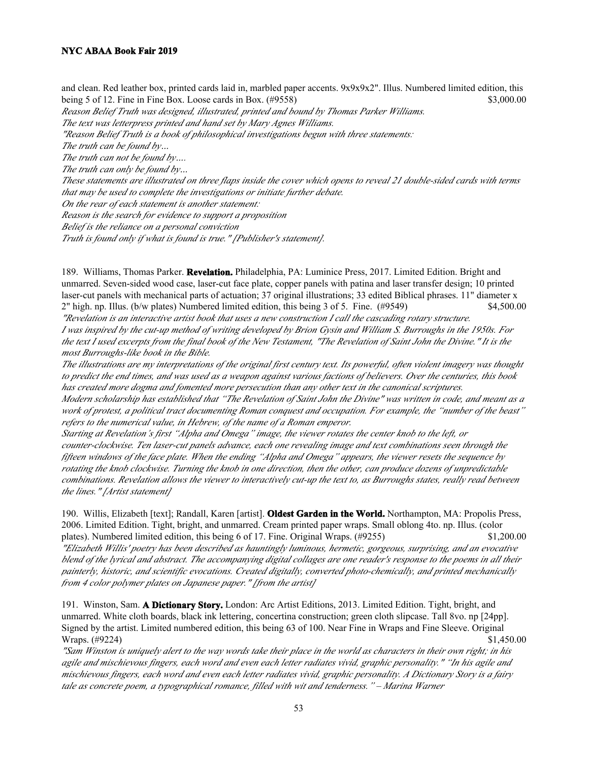and clean. Red leather box, printed cards laid in, marbled paper accents. 9x9x9x2". Illus. Numbered limited edition, this being 5 of 12. Fine in Fine Box. Loose cards in Box. (#9558) \$3,000.00 *Reason Belief Truth was designed, illustrated, printed and bound by Thomas Parker Williams. The text was letterpress printed and hand set by Mary Agnes Williams. "Reason Belief Truth is a book of philosophical investigations begun with three statements: The truth can be found by… The truth can not be found by…. The truth can only be found by… These statements are illustrated on three flaps inside the cover which opens to reveal 21 double-sided cards with terms that may be used to complete the investigations or initiate further debate. On the rear of each statement is another statement: Reason is the search for evidence to support a proposition Belief is the reliance on a personal conviction Truth is found only if what is found is true." [Publisher's statement].*

189. Williams, Thomas Parker. **Revelation.** Philadelphia, PA: Luminice Press, 2017. Limited Edition. Bright and unmarred. Seven-sided wood case, laser-cut face plate, copper panels with patina and laser transfer design; 10 printed laser-cut panels with mechanical parts of actuation; 37 original illustrations; 33 edited Biblical phrases. 11" diameter x 2" high. np. Illus. (b/w plates) Numbered limited edition, this being 3 of 5. Fine. (#9549) \$4,500.00

*"Revelation is an interactive artist book that uses a new construction I call the cascading rotary structure. I was inspired by the cut-up method of writing developed by Brion Gysin and William S. Burroughs in the 1950s. For the text I used excerpts from the final book of the New Testament, "The Revelation of Saint John the Divine." It is the most Burroughs-like book in the Bible.*

*The illustrations are my interpretations of the original first century text. Its powerful, often violent imagery was thought to predict the end times, and was used as a weapon against various factions of believers. Over the centuries, this book has created more dogma and fomented more persecution than any other text in the canonical scriptures. Modern scholarship has established that "The Revelation of Saint John the Divine" was written in code, and meant as a work of protest, a political tract documenting Roman conquest and occupation. For example, the "number of the beast" refers to the numerical value, in Hebrew, of the name of a Roman emperor.*

*Starting at Revelation's first "Alpha and Omega" image, the viewer rotates the center knob to the left, or counter-clockwise. Ten laser-cut panels advance, each one revealing image and text combinations seen through the fifteen windows of the face plate. When the ending "Alpha and Omega" appears, the viewer resets the sequence by rotating the knob clockwise. Turning the knob in one direction, then the other, can produce dozens of unpredictable combinations. Revelation allows the viewer to interactively cut-up the text to, as Burroughs states, really read between the lines." [Artist statement]*

190. Willis, Elizabeth [text]; Randall, Karen [artist]. **Oldest Garden in the World.** Northampton, MA: Propolis Press, 2006. Limited Edition. Tight, bright, and unmarred. Cream printed paper wraps. Small oblong 4to. np. Illus. (color plates). Numbered limited edition, this being 6 of 17. Fine. Original Wraps. (#9255) \$1,200.00 *"Elizabeth Willis' poetry has been described as hauntingly luminous, hermetic, gorgeous, surprising, and an evocative blend of the lyrical and abstract. The accompanying digital collages are one reader's response to the poems in all their painterly, historic, and scientific evocations. Created digitally, converted photo-chemically, and printed mechanically from 4 color polymer plates on Japanese paper." [from the artist]*

191. Winston, Sam. **A Dictionary Story.** London: Arc Artist Editions, 2013. Limited Edition. Tight, bright, and unmarred. White cloth boards, black ink lettering, concertina construction; green cloth slipcase. Tall 8vo. np [24pp]. Signed by the artist. Limited numbered edition, this being 63 of 100. Near Fine in Wraps and Fine Sleeve. Original Wraps. (#9224) \$1,450.00

*"Sam Winston is uniquely alert to the way words take their place in the world as characters in their own right; in his agile and mischievous fingers, each word and even each letter radiates vivid, graphic personality." "In his agile and mischievous fingers, each word and even each letter radiates vivid, graphic personality. A Dictionary Story is a fairy tale as concrete poem, a typographical romance, filled with wit and tenderness." – Marina Warner*